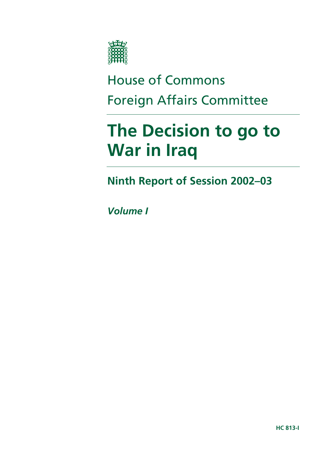

# House of Commons Foreign Affairs Committee

# **The Decision to go to War in Iraq**

**Ninth Report of Session 2002–03** 

*Volume I*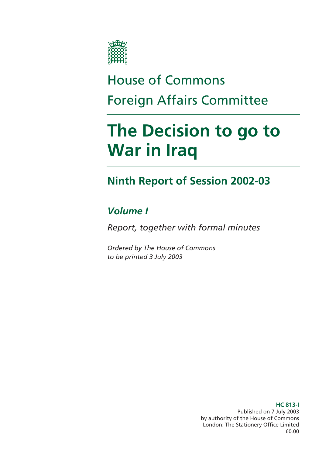

# House of Commons Foreign Affairs Committee

# **The Decision to go to War in Iraq**

# **Ninth Report of Session 2002-03**

### *Volume I*

*Report, together with formal minutes* 

*Ordered by The House of Commons to be printed 3 July 2003* 

> **HC 813-I**  Published on 7 July 2003 by authority of the House of Commons London: The Stationery Office Limited £0.00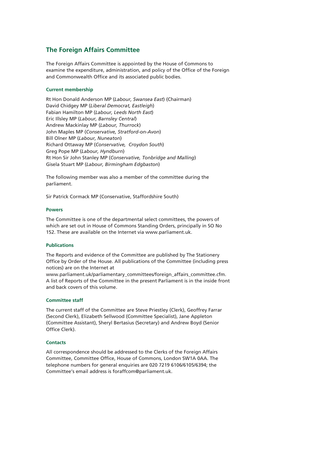#### **The Foreign Affairs Committee**

The Foreign Affairs Committee is appointed by the House of Commons to examine the expenditure, administration, and policy of the Office of the Foreign and Commonwealth Office and its associated public bodies.

#### **Current membership**

Rt Hon Donald Anderson MP (*Labour, Swansea East*) (Chairman) David Chidgey MP (*Liberal Democrat, Eastleigh*) Fabian Hamilton MP (*Labour, Leeds North East*) Eric Illsley MP (*Labour, Barnsley Central*) Andrew Mackinlay MP (*Labour, Thurrock*) John Maples MP (*Conservative, Stratford-on-Avon*) Bill Olner MP (*Labour, Nuneaton*) Richard Ottaway MP (*Conservative, Croydon South*) Greg Pope MP (*Labour, Hyndburn*) Rt Hon Sir John Stanley MP (*Conservative, Tonbridge and Malling*) Gisela Stuart MP (*Labour, Birmingham Edgbaston*)

The following member was also a member of the committee during the parliament.

Sir Patrick Cormack MP (Conservative, Staffordshire South)

#### **Powers**

The Committee is one of the departmental select committees, the powers of which are set out in House of Commons Standing Orders, principally in SO No 152. These are available on the Internet via www.parliament.uk.

#### **Publications**

The Reports and evidence of the Committee are published by The Stationery Office by Order of the House. All publications of the Committee (including press notices) are on the Internet at

www.parliament.uk/parliamentary\_committees/foreign\_affairs\_committee.cfm. A list of Reports of the Committee in the present Parliament is in the inside front and back covers of this volume.

#### **Committee staff**

The current staff of the Committee are Steve Priestley (Clerk), Geoffrey Farrar (Second Clerk), Elizabeth Sellwood (Committee Specialist), Jane Appleton (Committee Assistant), Sheryl Bertasius (Secretary) and Andrew Boyd (Senior Office Clerk).

#### **Contacts**

All correspondence should be addressed to the Clerks of the Foreign Affairs Committee, Committee Office, House of Commons, London SW1A 0AA. The telephone numbers for general enquiries are 020 7219 6106/6105/6394; the Committee's email address is foraffcom@parliament.uk.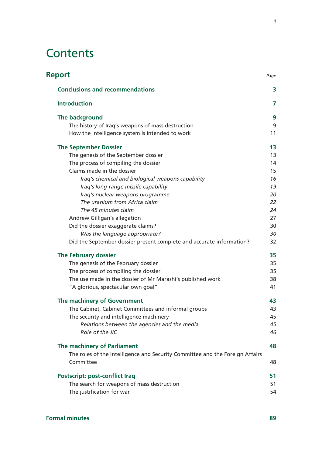# **Contents**

| <b>Report</b>                                                                | Page |
|------------------------------------------------------------------------------|------|
| <b>Conclusions and recommendations</b>                                       | 3    |
| <b>Introduction</b>                                                          | 7    |
| The background                                                               | 9    |
| The history of Iraq's weapons of mass destruction                            | 9    |
| How the intelligence system is intended to work                              | 11   |
| <b>The September Dossier</b>                                                 | 13   |
| The genesis of the September dossier                                         | 13   |
| The process of compiling the dossier                                         | 14   |
| Claims made in the dossier                                                   | 15   |
| Iraq's chemical and biological weapons capability                            | 16   |
| Iraq's long-range missile capability                                         | 19   |
| Iraq's nuclear weapons programme                                             | 20   |
| The uranium from Africa claim                                                | 22   |
| The 45 minutes claim                                                         | 24   |
| Andrew Gilligan's allegation                                                 | 27   |
| Did the dossier exaggerate claims?                                           | 30   |
| Was the language appropriate?                                                | 30   |
| Did the September dossier present complete and accurate information?         | 32   |
| <b>The February dossier</b>                                                  | 35   |
| The genesis of the February dossier                                          | 35   |
| The process of compiling the dossier                                         | 35   |
| The use made in the dossier of Mr Marashi's published work                   | 38   |
| "A glorious, spectacular own goal"                                           | 41   |
| The machinery of Government                                                  | 43   |
| The Cabinet, Cabinet Committees and informal groups                          | 43   |
| The security and intelligence machinery                                      | 45   |
| Relations between the agencies and the media                                 | 45   |
| Role of the JIC                                                              | 46   |
| The machinery of Parliament                                                  | 48   |
| The roles of the Intelligence and Security Committee and the Foreign Affairs |      |
| Committee                                                                    | 48   |
| <b>Postscript: post-conflict Iraq</b>                                        | 51   |
| The search for weapons of mass destruction                                   | 51   |
| The justification for war                                                    | 54   |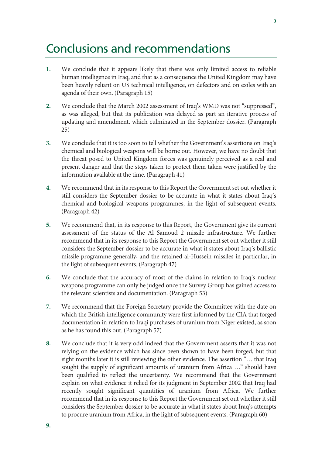## Conclusions and recommendations

- **1.** We conclude that it appears likely that there was only limited access to reliable human intelligence in Iraq, and that as a consequence the United Kingdom may have been heavily reliant on US technical intelligence, on defectors and on exiles with an agenda of their own. (Paragraph 15)
- **2.** We conclude that the March 2002 assessment of Iraq's WMD was not "suppressed", as was alleged, but that its publication was delayed as part an iterative process of updating and amendment, which culminated in the September dossier. (Paragraph 25)
- **3.** We conclude that it is too soon to tell whether the Government's assertions on Iraq's chemical and biological weapons will be borne out. However, we have no doubt that the threat posed to United Kingdom forces was genuinely perceived as a real and present danger and that the steps taken to protect them taken were justified by the information available at the time. (Paragraph 41)
- **4.** We recommend that in its response to this Report the Government set out whether it still considers the September dossier to be accurate in what it states about Iraq's chemical and biological weapons programmes, in the light of subsequent events. (Paragraph 42)
- **5.** We recommend that, in its response to this Report, the Government give its current assessment of the status of the Al Samoud 2 missile infrastructure. We further recommend that in its response to this Report the Government set out whether it still considers the September dossier to be accurate in what it states about Iraq's ballistic missile programme generally, and the retained al-Hussein missiles in particular, in the light of subsequent events. (Paragraph 47)
- **6.** We conclude that the accuracy of most of the claims in relation to Iraq's nuclear weapons programme can only be judged once the Survey Group has gained access to the relevant scientists and documentation. (Paragraph 53)
- **7.** We recommend that the Foreign Secretary provide the Committee with the date on which the British intelligence community were first informed by the CIA that forged documentation in relation to Iraqi purchases of uranium from Niger existed, as soon as he has found this out. (Paragraph 57)
- **8.** We conclude that it is very odd indeed that the Government asserts that it was not relying on the evidence which has since been shown to have been forged, but that eight months later it is still reviewing the other evidence. The assertion "… that Iraq sought the supply of significant amounts of uranium from Africa …" should have been qualified to reflect the uncertainty. We recommend that the Government explain on what evidence it relied for its judgment in September 2002 that Iraq had recently sought significant quantities of uranium from Africa. We further recommend that in its response to this Report the Government set out whether it still considers the September dossier to be accurate in what it states about Iraq's attempts to procure uranium from Africa, in the light of subsequent events. (Paragraph 60)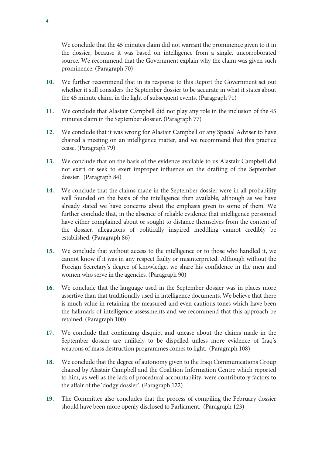We conclude that the 45 minutes claim did not warrant the prominence given to it in the dossier, because it was based on intelligence from a single, uncorroborated source. We recommend that the Government explain why the claim was given such prominence. (Paragraph 70)

- **10.** We further recommend that in its response to this Report the Government set out whether it still considers the September dossier to be accurate in what it states about the 45 minute claim, in the light of subsequent events. (Paragraph 71)
- **11.** We conclude that Alastair Campbell did not play any role in the inclusion of the 45 minutes claim in the September dossier. (Paragraph 77)
- **12.** We conclude that it was wrong for Alastair Campbell or any Special Adviser to have chaired a meeting on an intelligence matter, and we recommend that this practice cease. (Paragraph 79)
- **13.** We conclude that on the basis of the evidence available to us Alastair Campbell did not exert or seek to exert improper influence on the drafting of the September dossier. (Paragraph 84)
- **14.** We conclude that the claims made in the September dossier were in all probability well founded on the basis of the intelligence then available, although as we have already stated we have concerns about the emphasis given to some of them. We further conclude that, in the absence of reliable evidence that intelligence personnel have either complained about or sought to distance themselves from the content of the dossier, allegations of politically inspired meddling cannot credibly be established. (Paragraph 86)
- **15.** We conclude that without access to the intelligence or to those who handled it, we cannot know if it was in any respect faulty or misinterpreted. Although without the Foreign Secretary's degree of knowledge, we share his confidence in the men and women who serve in the agencies. (Paragraph 90)
- **16.** We conclude that the language used in the September dossier was in places more assertive than that traditionally used in intelligence documents. We believe that there is much value in retaining the measured and even cautious tones which have been the hallmark of intelligence assessments and we recommend that this approach be retained. (Paragraph 100)
- **17.** We conclude that continuing disquiet and unease about the claims made in the September dossier are unlikely to be dispelled unless more evidence of Iraq's weapons of mass destruction programmes comes to light. (Paragraph 108)
- **18.** We conclude that the degree of autonomy given to the Iraqi Communications Group chaired by Alastair Campbell and the Coalition Information Centre which reported to him, as well as the lack of procedural accountability, were contributory factors to the affair of the 'dodgy dossier'. (Paragraph 122)
- **19.** The Committee also concludes that the process of compiling the February dossier should have been more openly disclosed to Parliament. (Paragraph 123)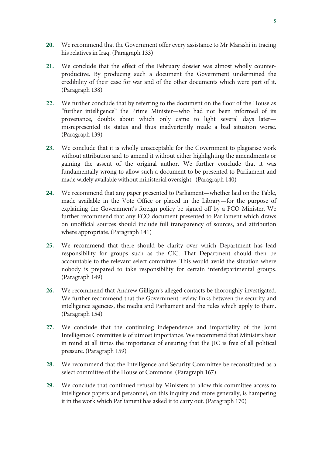- **20.** We recommend that the Government offer every assistance to Mr Marashi in tracing his relatives in Iraq. (Paragraph 133)
- **21.** We conclude that the effect of the February dossier was almost wholly counterproductive. By producing such a document the Government undermined the credibility of their case for war and of the other documents which were part of it. (Paragraph 138)
- **22.** We further conclude that by referring to the document on the floor of the House as "further intelligence" the Prime Minister—who had not been informed of its provenance, doubts about which only came to light several days later misrepresented its status and thus inadvertently made a bad situation worse. (Paragraph 139)
- **23.** We conclude that it is wholly unacceptable for the Government to plagiarise work without attribution and to amend it without either highlighting the amendments or gaining the assent of the original author. We further conclude that it was fundamentally wrong to allow such a document to be presented to Parliament and made widely available without ministerial oversight. (Paragraph 140)
- **24.** We recommend that any paper presented to Parliament—whether laid on the Table, made available in the Vote Office or placed in the Library—for the purpose of explaining the Government's foreign policy be signed off by a FCO Minister. We further recommend that any FCO document presented to Parliament which draws on unofficial sources should include full transparency of sources, and attribution where appropriate. (Paragraph 141)
- **25.** We recommend that there should be clarity over which Department has lead responsibility for groups such as the CIC. That Department should then be accountable to the relevant select committee. This would avoid the situation where nobody is prepared to take responsibility for certain interdepartmental groups. (Paragraph 149)
- **26.** We recommend that Andrew Gilligan's alleged contacts be thoroughly investigated. We further recommend that the Government review links between the security and intelligence agencies, the media and Parliament and the rules which apply to them. (Paragraph 154)
- **27.** We conclude that the continuing independence and impartiality of the Joint Intelligence Committee is of utmost importance. We recommend that Ministers bear in mind at all times the importance of ensuring that the JIC is free of all political pressure. (Paragraph 159)
- **28.** We recommend that the Intelligence and Security Committee be reconstituted as a select committee of the House of Commons. (Paragraph 167)
- **29.** We conclude that continued refusal by Ministers to allow this committee access to intelligence papers and personnel, on this inquiry and more generally, is hampering it in the work which Parliament has asked it to carry out. (Paragraph 170)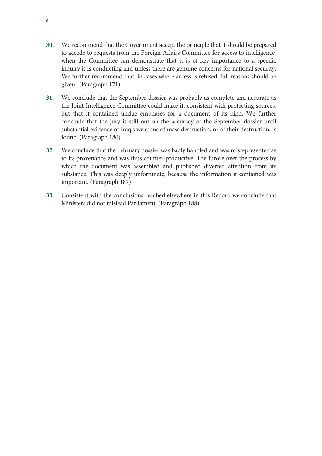- **30.** We recommend that the Government accept the principle that it should be prepared to accede to requests from the Foreign Affairs Committee for access to intelligence, when the Committee can demonstrate that it is of key importance to a specific inquiry it is conducting and unless there are genuine concerns for national security. We further recommend that, in cases where access is refused, full reasons should be given. (Paragraph 171)
- **31.** We conclude that the September dossier was probably as complete and accurate as the Joint Intelligence Committee could make it, consistent with protecting sources, but that it contained undue emphases for a document of its kind. We further conclude that the jury is still out on the accuracy of the September dossier until substantial evidence of Iraq's weapons of mass destruction, or of their destruction, is found. (Paragraph 186)
- **32.** We conclude that the February dossier was badly handled and was misrepresented as to its provenance and was thus counter-productive. The furore over the process by which the document was assembled and published diverted attention from its substance. This was deeply unfortunate, because the information it contained was important. (Paragraph 187)
- **33.** Consistent with the conclusions reached elsewhere in this Report, we conclude that Ministers did not mislead Parliament. (Paragraph 188)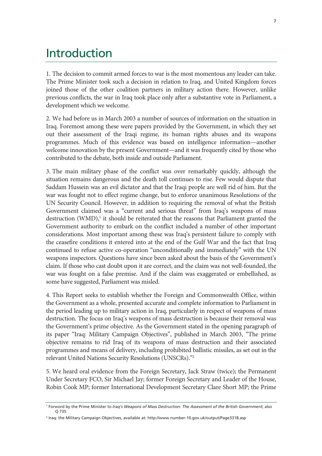### Introduction

1. The decision to commit armed forces to war is the most momentous any leader can take. The Prime Minister took such a decision in relation to Iraq, and United Kingdom forces joined those of the other coalition partners in military action there. However, unlike previous conflicts, the war in Iraq took place only after a substantive vote in Parliament, a development which we welcome.

2. We had before us in March 2003 a number of sources of information on the situation in Iraq. Foremost among these were papers provided by the Government, in which they set out their assessment of the Iraqi regime, its human rights abuses and its weapons programmes. Much of this evidence was based on intelligence information—another welcome innovation by the present Government—and it was frequently cited by those who contributed to the debate, both inside and outside Parliament.

3. The main military phase of the conflict was over remarkably quickly, although the situation remains dangerous and the death toll continues to rise. Few would dispute that Saddam Hussein was an evil dictator and that the Iraqi people are well rid of him. But the war was fought not to effect regime change, but to enforce unanimous Resolutions of the UN Security Council. However, in addition to requiring the removal of what the British Government claimed was a "current and serious threat" from Iraq's weapons of mass destruction (WMD),<sup>1</sup> it should be reiterated that the reasons that Parliament granted the Government authority to embark on the conflict included a number of other important considerations. Most important among these was Iraq's persistent failure to comply with the ceasefire conditions it entered into at the end of the Gulf War and the fact that Iraq continued to refuse active co-operation "unconditionally and immediately" with the UN weapons inspectors. Questions have since been asked about the basis of the Government's claim. If those who cast doubt upon it are correct, and the claim was not well-founded, the war was fought on a false premise. And if the claim was exaggerated or embellished, as some have suggested, Parliament was misled.

4. This Report seeks to establish whether the Foreign and Commonwealth Office, within the Government as a whole, presented accurate and complete information to Parliament in the period leading up to military action in Iraq, particularly in respect of weapons of mass destruction. The focus on Iraq's weapons of mass destruction is because their removal was the Government's prime objective. As the Government stated in the opening paragraph of its paper "Iraq: Military Campaign Objectives", published in March 2003, "The prime objective remains to rid Iraq of its weapons of mass destruction and their associated programmes and means of delivery, including prohibited ballistic missiles, as set out in the relevant United Nations Security Resolutions (UNSCRs)."2

5. We heard oral evidence from the Foreign Secretary, Jack Straw (twice); the Permanent Under Secretary FCO, Sir Michael Jay; former Foreign Secretary and Leader of the House, Robin Cook MP; former International Development Secretary Clare Short MP; the Prime

<sup>1</sup> Forword by the Prime Minister to *Iraq's Weapons of Mass Destruction: The Assessment of the British Government*; also Q 735

<sup>2</sup> Iraq: the Military Campaign Objectives, available at: http://www.number-10.gov.uk/output/Page3318.asp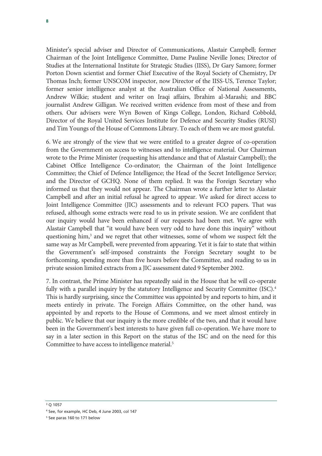Minister's special adviser and Director of Communications, Alastair Campbell; former Chairman of the Joint Intelligence Committee, Dame Pauline Neville Jones; Director of Studies at the International Institute for Strategic Studies (IISS), Dr Gary Samore; former Porton Down scientist and former Chief Executive of the Royal Society of Chemistry, Dr Thomas Inch; former UNSCOM inspector, now Director of the IISS-US, Terence Taylor; former senior intelligence analyst at the Australian Office of National Assessments, Andrew Wilkie; student and writer on Iraqi affairs, Ibrahim al-Marashi; and BBC journalist Andrew Gilligan. We received written evidence from most of these and from others. Our advisers were Wyn Bowen of Kings College, London, Richard Cobbold, Director of the Royal United Services Institute for Defence and Security Studies (RUSI) and Tim Youngs of the House of Commons Library. To each of them we are most grateful.

6. We are strongly of the view that we were entitled to a greater degree of co-operation from the Government on access to witnesses and to intelligence material. Our Chairman wrote to the Prime Minister (requesting his attendance and that of Alastair Campbell); the Cabinet Office Intelligence Co-ordinator; the Chairman of the Joint Intelligence Committee; the Chief of Defence Intelligence; the Head of the Secret Intelligence Service; and the Director of GCHQ. None of them replied. It was the Foreign Secretary who informed us that they would not appear. The Chairman wrote a further letter to Alastair Campbell and after an initial refusal he agreed to appear. We asked for direct access to Joint Intelligence Committee (JIC) assessments and to relevant FCO papers. That was refused, although some extracts were read to us in private session. We are confident that our inquiry would have been enhanced if our requests had been met. We agree with Alastair Campbell that "it would have been very odd to have done this inquiry" without questioning him,<sup>3</sup> and we regret that other witnesses, some of whom we suspect felt the same way as Mr Campbell, were prevented from appearing. Yet it is fair to state that within the Government's self-imposed constraints the Foreign Secretary sought to be forthcoming, spending more than five hours before the Committee, and reading to us in private session limited extracts from a JIC assessment dated 9 September 2002.

7. In contrast, the Prime Minister has repeatedly said in the House that he will co-operate fully with a parallel inquiry by the statutory Intelligence and Security Committee (ISC).<sup>4</sup> This is hardly surprising, since the Committee was appointed by and reports to him, and it meets entirely in private. The Foreign Affairs Committee, on the other hand, was appointed by and reports to the House of Commons, and we meet almost entirely in public. We believe that our inquiry is the more credible of the two, and that it would have been in the Government's best interests to have given full co-operation. We have more to say in a later section in this Report on the status of the ISC and on the need for this Committee to have access to intelligence material.<sup>5</sup>

<sup>4</sup> See, for example, HC Deb, 4 June 2003, col 147

<sup>5</sup> See paras 160 to 171 below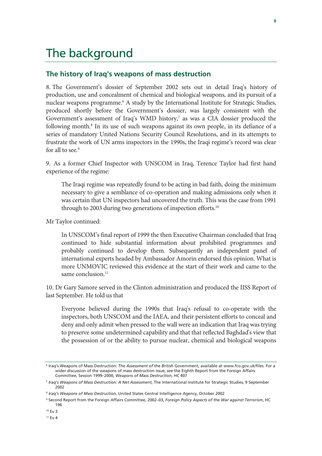## The background

#### **The history of Iraq's weapons of mass destruction**

8. The Government's dossier of September 2002 sets out in detail Iraq's history of production, use and concealment of chemical and biological weapons, and its pursuit of a nuclear weapons programme.<sup>6</sup> A study by the International Institute for Strategic Studies, produced shortly before the Government's dossier, was largely consistent with the Government's assessment of Iraq's WMD history,<sup>7</sup> as was a CIA dossier produced the following month.<sup>8</sup> In its use of such weapons against its own people, in its defiance of a series of mandatory United Nations Security Council Resolutions, and in its attempts to frustrate the work of UN arms inspectors in the 1990s, the Iraqi regime's record was clear for all to see.<sup>9</sup>

9. As a former Chief Inspector with UNSCOM in Iraq, Terence Taylor had first hand experience of the regime:

The Iraqi regime was repeatedly found to be acting in bad faith, doing the minimum necessary to give a semblance of co-operation and making admissions only when it was certain that UN inspectors had uncovered the truth. This was the case from 1991 through to 2003 during two generations of inspection efforts.<sup>10</sup>

Mr Taylor continued:

In UNSCOM's final report of 1999 the then Executive Chairman concluded that Iraq continued to hide substantial information about prohibited programmes and probably continued to develop them. Subsequently an independent panel of international experts headed by Ambassador Amorin endorsed this opinion. What is more UNMOVIC reviewed this evidence at the start of their work and came to the same conclusion.<sup>11</sup>

10. Dr Gary Samore served in the Clinton administration and produced the IISS Report of last September. He told us that

Everyone believed during the 1990s that Iraq's refusal to co-operate with the inspectors, both UNSCOM and the IAEA, and their persistent efforts to conceal and deny and only admit when pressed to the wall were an indication that Iraq was trying to preserve some undetermined capability and that that reflected Baghdad's view that the possession of or the ability to pursue nuclear, chemical and biological weapons

<sup>6</sup> Iraq's Weapons of Mass Destruction: *The Assessment of the British* Government, available at www.fco.gov.uk/files. For a wider discussion of the weapons of mass destruction issue, see the Eighth Report from the Foreign Affairs Committee, Session 1999–2000, *Weapons of Mass Destruction*, HC 407

<sup>7</sup> *Iraq's Weapons of Mass Destruction: A Net Assessment*, The International Institute for Strategic Studies, 9 September 2002

<sup>8</sup> *Iraq's Weapons of Mass Destruction*, United States Central Intelligence Agency, October 2002

<sup>9</sup> Second Report from the Foreign Affairs Committee, 2002–03, *Foreign Policy Aspects of the War against Terrorism*, HC 196

<sup>10</sup> Ev 3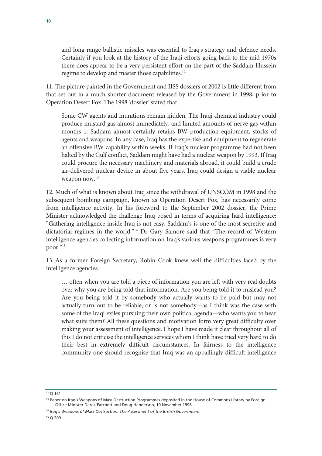and long range ballistic missiles was essential to Iraq's strategy and defence needs. Certainly if you look at the history of the Iraqi efforts going back to the mid 1970s there does appear to be a very persistent effort on the part of the Saddam Hussein regime to develop and master those capabilities.<sup>12</sup>

11. The picture painted in the Government and IISS dossiers of 2002 is little different from that set out in a much shorter document released by the Government in 1998, prior to Operation Desert Fox. The 1998 'dossier' stated that

Some CW agents and munitions remain hidden. The Iraqi chemical industry could produce mustard gas almost immediately, and limited amounts of nerve gas within months ... Saddam almost certainly retains BW production equipment, stocks of agents and weapons. In any case, Iraq has the expertise and equipment to regenerate an offensive BW capability within weeks. If Iraq's nuclear programme had not been halted by the Gulf conflict, Saddam might have had a nuclear weapon by 1993. If Iraq could procure the necessary machinery and materials abroad, it could build a crude air-delivered nuclear device in about five years. Iraq could design a viable nuclear weapon now.<sup>13</sup>

12. Much of what is known about Iraq since the withdrawal of UNSCOM in 1998 and the subsequent bombing campaign, known as Operation Desert Fox, has necessarily come from intelligence activity. In his foreword to the September 2002 dossier, the Prime Minister acknowledged the challenge Iraq posed in terms of acquiring hard intelligence: "Gathering intelligence inside Iraq is not easy. Saddam's is one of the most secretive and dictatorial regimes in the world."14 Dr Gary Samore said that "The record of Western intelligence agencies collecting information on Iraq's various weapons programmes is very poor."15

13. As a former Foreign Secretary, Robin Cook knew well the difficulties faced by the intelligence agencies:

… often when you are told a piece of information you are left with very real doubts over why you are being told that information. Are you being told it to mislead you? Are you being told it by somebody who actually wants to be paid but may not actually turn out to be reliable; or is not somebody—as I think was the case with some of the Iraqi exiles pursuing their own political agenda—who wants you to hear what suits them? All these questions and motivation form very great difficulty over making your assessment of intelligence. I hope I have made it clear throughout all of this I do not criticise the intelligence services whom I think have tried very hard to do their best in extremely difficult circumstances. In fairness to the intelligence community one should recognise that Iraq was an appallingly difficult intelligence

<sup>14</sup> *Iraq's Weapons of Mass Destruction: The Assessment of the British Government*

<sup>12</sup> Q 161

<sup>&</sup>lt;sup>13</sup> Paper on Iraq's Weapons of Mass Destruction Programmes deposited in the House of Commons Library by Foreign Office Minister Derek Fatchett and Doug Henderson, 10 November 1998.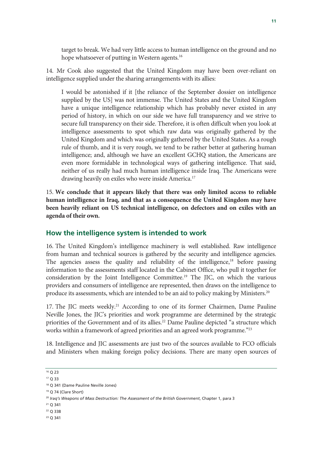target to break. We had very little access to human intelligence on the ground and no hope whatsoever of putting in Western agents.<sup>16</sup>

14. Mr Cook also suggested that the United Kingdom may have been over-reliant on intelligence supplied under the sharing arrangements with its allies:

I would be astonished if it [the reliance of the September dossier on intelligence supplied by the US] was not immense. The United States and the United Kingdom have a unique intelligence relationship which has probably never existed in any period of history, in which on our side we have full transparency and we strive to secure full transparency on their side. Therefore, it is often difficult when you look at intelligence assessments to spot which raw data was originally gathered by the United Kingdom and which was originally gathered by the United States. As a rough rule of thumb, and it is very rough, we tend to be rather better at gathering human intelligence; and, although we have an excellent GCHQ station, the Americans are even more formidable in technological ways of gathering intelligence. That said, neither of us really had much human intelligence inside Iraq. The Americans were drawing heavily on exiles who were inside America.<sup>17</sup>

15. **We conclude that it appears likely that there was only limited access to reliable human intelligence in Iraq, and that as a consequence the United Kingdom may have been heavily reliant on US technical intelligence, on defectors and on exiles with an agenda of their own.**

#### **How the intelligence system is intended to work**

16. The United Kingdom's intelligence machinery is well established. Raw intelligence from human and technical sources is gathered by the security and intelligence agencies. The agencies assess the quality and reliability of the intelligence, $18$  before passing information to the assessments staff located in the Cabinet Office, who pull it together for consideration by the Joint Intelligence Committee.19 The JIC, on which the various providers and consumers of intelligence are represented, then draws on the intelligence to produce its assessments, which are intended to be an aid to policy making by Ministers.<sup>20</sup>

17. The JIC meets weekly.<sup>21</sup> According to one of its former Chairmen, Dame Pauline Neville Jones, the JIC's priorities and work programme are determined by the strategic priorities of the Government and of its allies.<sup>22</sup> Dame Pauline depicted "a structure which works within a framework of agreed priorities and an agreed work programme."23

18. Intelligence and JIC assessments are just two of the sources available to FCO officials and Ministers when making foreign policy decisions. There are many open sources of

- 22 Q 338
- 23 Q 341

<sup>16</sup> Q 23

<sup>17</sup> Q 33

<sup>18</sup> Q 341 (Dame Pauline Neville Jones)

<sup>19</sup> Q 74 (Clare Short)

<sup>20</sup> *Iraq's Weapons of Mass Destruction: The Assessment of the British Government*, Chapter 1, para 3

<sup>21</sup> Q 341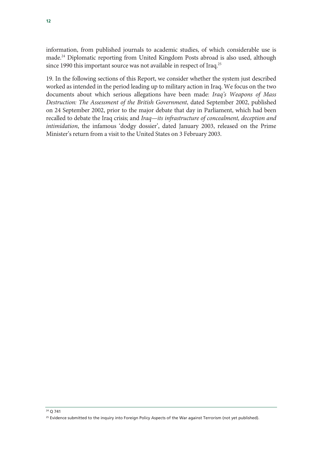information, from published journals to academic studies, of which considerable use is made.24 Diplomatic reporting from United Kingdom Posts abroad is also used, although since 1990 this important source was not available in respect of Iraq.<sup>25</sup>

19. In the following sections of this Report, we consider whether the system just described worked as intended in the period leading up to military action in Iraq. We focus on the two documents about which serious allegations have been made: *Iraq's Weapons of Mass Destruction: The Assessment of the British Government*, dated September 2002, published on 24 September 2002, prior to the major debate that day in Parliament, which had been recalled to debate the Iraq crisis; and *Iraq—its infrastructure of concealment, deception and intimidation*, the infamous 'dodgy dossier', dated January 2003, released on the Prime Minister's return from a visit to the United States on 3 February 2003.

24 Q 741

<sup>&</sup>lt;sup>25</sup> Evidence submitted to the inquiry into Foreign Policy Aspects of the War against Terrorism (not yet published).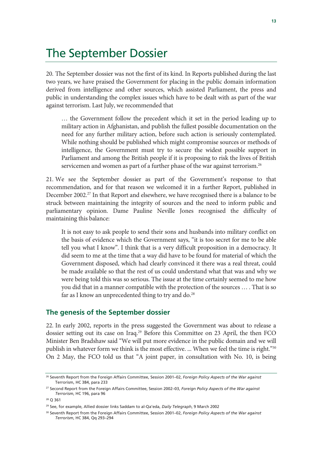## The September Dossier

20. The September dossier was not the first of its kind. In Reports published during the last two years, we have praised the Government for placing in the public domain information derived from intelligence and other sources, which assisted Parliament, the press and public in understanding the complex issues which have to be dealt with as part of the war against terrorism. Last July, we recommended that

… the Government follow the precedent which it set in the period leading up to military action in Afghanistan, and publish the fullest possible documentation on the need for any further military action, before such action is seriously contemplated. While nothing should be published which might compromise sources or methods of intelligence, the Government must try to secure the widest possible support in Parliament and among the British people if it is proposing to risk the lives of British servicemen and women as part of a further phase of the war against terrorism.<sup>26</sup>

21. We see the September dossier as part of the Government's response to that recommendation, and for that reason we welcomed it in a further Report, published in December 2002.<sup>27</sup> In that Report and elsewhere, we have recognised there is a balance to be struck between maintaining the integrity of sources and the need to inform public and parliamentary opinion. Dame Pauline Neville Jones recognised the difficulty of maintaining this balance:

It is not easy to ask people to send their sons and husbands into military conflict on the basis of evidence which the Government says, "it is too secret for me to be able tell you what I know". I think that is a very difficult proposition in a democracy. It did seem to me at the time that a way did have to be found for material of which the Government disposed, which had clearly convinced it there was a real threat, could be made available so that the rest of us could understand what that was and why we were being told this was so serious. The issue at the time certainly seemed to me how you did that in a manner compatible with the protection of the sources … . That is so far as I know an unprecedented thing to try and do.<sup>28</sup>

#### **The genesis of the September dossier**

22. In early 2002, reports in the press suggested the Government was about to release a dossier setting out its case on Iraq.<sup>29</sup> Before this Committee on 23 April, the then FCO Minister Ben Bradshaw said "We will put more evidence in the public domain and we will publish in whatever form we think is the most effective. ... When we feel the time is right."30 On 2 May, the FCO told us that "A joint paper, in consultation with No. 10, is being

<sup>26</sup> Seventh Report from the Foreign Affairs Committee, Session 2001–02, *Foreign Policy Aspects of the War against*  Terrorism, HC 384, para 233

<sup>27</sup> Second Report from the Foreign Affairs Committee, Session 2002–03, *Foreign Policy Aspects of the War against Terrorism*, HC 196, para 96

<sup>28</sup> Q 361

<sup>29</sup> See, for example, Allied dossier links Saddam to al-Qa'eda, *Daily Telegraph*, 9 March 2002

<sup>30</sup> Seventh Report from the Foreign Affairs Committee, Session 2001–02, *Foreign Policy Aspects of the War against Terrorism*, HC 384, Qq 293–294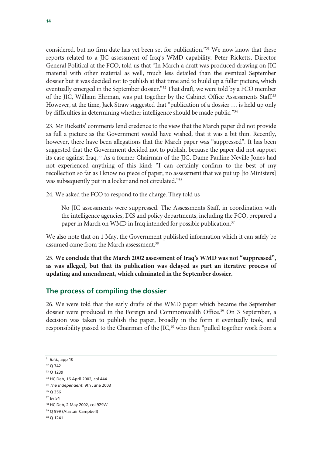considered, but no firm date has yet been set for publication."<sup>31</sup> We now know that these reports related to a JIC assessment of Iraq's WMD capability. Peter Ricketts, Director General Political at the FCO, told us that "In March a draft was produced drawing on JIC material with other material as well, much less detailed than the eventual September dossier but it was decided not to publish at that time and to build up a fuller picture, which eventually emerged in the September dossier."32 That draft, we were told by a FCO member of the JIC, William Ehrman, was put together by the Cabinet Office Assessments Staff.33 However, at the time, Jack Straw suggested that "publication of a dossier … is held up only by difficulties in determining whether intelligence should be made public."34

23. Mr Ricketts' comments lend credence to the view that the March paper did not provide as full a picture as the Government would have wished, that it was a bit thin. Recently, however, there have been allegations that the March paper was "suppressed". It has been suggested that the Government decided not to publish, because the paper did not support its case against Iraq.35 As a former Chairman of the JIC, Dame Pauline Neville Jones had not experienced anything of this kind: "I can certainly confirm to the best of my recollection so far as I know no piece of paper, no assessment that we put up [to Ministers] was subsequently put in a locker and not circulated."36

24. We asked the FCO to respond to the charge. They told us

No JIC assessments were suppressed. The Assessments Staff, in coordination with the intelligence agencies, DIS and policy departments, including the FCO, prepared a paper in March on WMD in Iraq intended for possible publication.<sup>37</sup>

We also note that on 1 May, the Government published information which it can safely be assumed came from the March assessment.<sup>38</sup>

25. **We conclude that the March 2002 assessment of Iraq's WMD was not "suppressed", as was alleged, but that its publication was delayed as part an iterative process of updating and amendment, which culminated in the September dossier.**

### **The process of compiling the dossier**

26. We were told that the early drafts of the WMD paper which became the September dossier were produced in the Foreign and Commonwealth Office.<sup>39</sup> On 3 September, a decision was taken to publish the paper, broadly in the form it eventually took, and responsibility passed to the Chairman of the JIC,<sup>40</sup> who then "pulled together work from a

<sup>31</sup> *Ibid.*, app 10

<sup>32</sup> Q 742

<sup>33</sup> Q 1239

<sup>34</sup> HC Deb, 16 April 2002, col 444

<sup>35</sup> *The Independent*, 9th June 2003

<sup>36</sup> Q 356

<sup>37</sup> Ev 54

<sup>38</sup> HC Deb, 2 May 2002, col 929W

<sup>39</sup> Q 999 (Alastair Campbell)

<sup>40</sup> Q 1241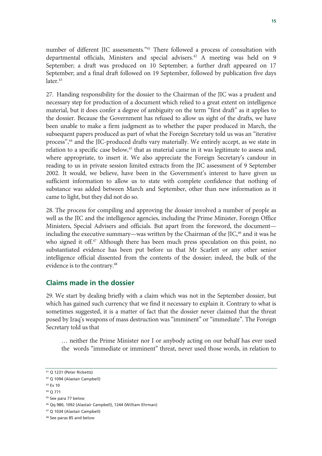number of different JIC assessments."<sup>41</sup> There followed a process of consultation with departmental officials, Ministers and special advisers.<sup>42</sup> A meeting was held on 9 September; a draft was produced on 10 September; a further draft appeared on 17 September; and a final draft followed on 19 September, followed by publication five days  $later<sup>43</sup>$ 

27. Handing responsibility for the dossier to the Chairman of the JIC was a prudent and necessary step for production of a document which relied to a great extent on intelligence material, but it does confer a degree of ambiguity on the term "first draft" as it applies to the dossier. Because the Government has refused to allow us sight of the drafts, we have been unable to make a firm judgment as to whether the paper produced in March, the subsequent papers produced as part of what the Foreign Secretary told us was an "iterative process",44 and the JIC-produced drafts vary materially. We entirely accept, as we state in relation to a specific case below,<sup>45</sup> that as material came in it was legitimate to assess and, where appropriate, to insert it. We also appreciate the Foreign Secretary's candour in reading to us in private session limited extracts from the JIC assessment of 9 September 2002. It would, we believe, have been in the Government's interest to have given us sufficient information to allow us to state with complete confidence that nothing of substance was added between March and September, other than new information as it came to light, but they did not do so.

28. The process for compiling and approving the dossier involved a number of people as well as the JIC and the intelligence agencies, including the Prime Minister, Foreign Office Ministers, Special Advisers and officials. But apart from the foreword, the document including the executive summary—was written by the Chairman of the  $\text{HC},^{46}$  and it was he who signed it off.<sup>47</sup> Although there has been much press speculation on this point, no substantiated evidence has been put before us that Mr Scarlett or any other senior intelligence official dissented from the contents of the dossier; indeed, the bulk of the evidence is to the contrary.<sup>48</sup>

### **Claims made in the dossier**

29. We start by dealing briefly with a claim which was not in the September dossier, but which has gained such currency that we find it necessary to explain it. Contrary to what is sometimes suggested, it is a matter of fact that the dossier never claimed that the threat posed by Iraq's weapons of mass destruction was "imminent" or "immediate". The Foreign Secretary told us that

… neither the Prime Minister nor I or anybody acting on our behalf has ever used the words "immediate or imminent" threat, never used those words, in relation to

<sup>41</sup> Q 1231 (Peter Ricketts)

<sup>42</sup> Q 1094 (Alastair Campbell)

<sup>43</sup> Ev 10

<sup>44</sup> Q 771

<sup>&</sup>lt;sup>45</sup> See para 77 below

<sup>46</sup> Qq 980, 1092 (Alastair Campbell), 1244 (William Ehrman)

<sup>47</sup> Q 1034 (Alastair Campbell)

<sup>48</sup> See paras 85 and below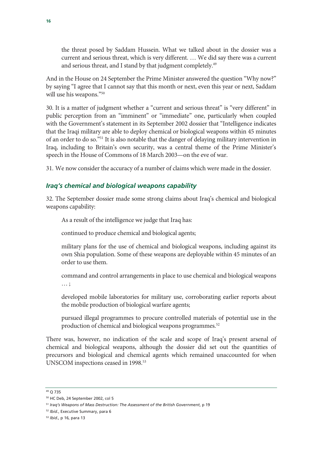the threat posed by Saddam Hussein. What we talked about in the dossier was a current and serious threat, which is very different. … We did say there was a current and serious threat, and I stand by that judgment completely.<sup>49</sup>

And in the House on 24 September the Prime Minister answered the question "Why now?" by saying "I agree that I cannot say that this month or next, even this year or next, Saddam will use his weapons."50

30. It is a matter of judgment whether a "current and serious threat" is "very different" in public perception from an "imminent" or "immediate" one, particularly when coupled with the Government's statement in its September 2002 dossier that "Intelligence indicates that the Iraqi military are able to deploy chemical or biological weapons within 45 minutes of an order to do so."51 It is also notable that the danger of delaying military intervention in Iraq, including to Britain's own security, was a central theme of the Prime Minister's speech in the House of Commons of 18 March 2003—on the eve of war.

31. We now consider the accuracy of a number of claims which were made in the dossier.

### *Iraq's chemical and biological weapons capability*

32. The September dossier made some strong claims about Iraq's chemical and biological weapons capability:

As a result of the intelligence we judge that Iraq has:

continued to produce chemical and biological agents;

military plans for the use of chemical and biological weapons, including against its own Shia population. Some of these weapons are deployable within 45 minutes of an order to use them.

command and control arrangements in place to use chemical and biological weapons … ;

developed mobile laboratories for military use, corroborating earlier reports about the mobile production of biological warfare agents;

pursued illegal programmes to procure controlled materials of potential use in the production of chemical and biological weapons programmes.<sup>52</sup>

There was, however, no indication of the scale and scope of Iraq's present arsenal of chemical and biological weapons, although the dossier did set out the quantities of precursors and biological and chemical agents which remained unaccounted for when UNSCOM inspections ceased in 1998.<sup>53</sup>

<sup>49</sup> Q 735

<sup>50</sup> HC Deb, 24 September 2002, col 5

<sup>51</sup> *Iraq's Weapons of Mass Destruction: The Assessment of the British Government*, p 19

<sup>52</sup> *Ibid.*, Executive Summary, para 6

<sup>53</sup> *Ibid.,* p 16, para 13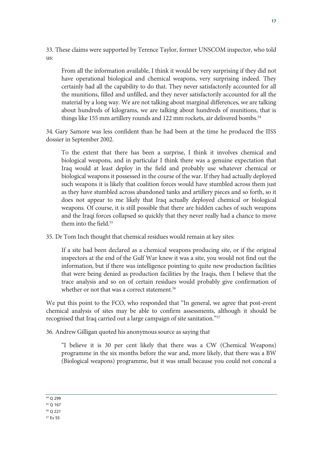33. These claims were supported by Terence Taylor, former UNSCOM inspector, who told us:

From all the information available, I think it would be very surprising if they did not have operational biological and chemical weapons, very surprising indeed. They certainly had all the capability to do that. They never satisfactorily accounted for all the munitions, filled and unfilled, and they never satisfactorily accounted for all the material by a long way. We are not talking about marginal differences, we are talking about hundreds of kilograms, we are talking about hundreds of munitions, that is things like 155 mm artillery rounds and 122 mm rockets, air delivered bombs.<sup>54</sup>

34. Gary Samore was less confident than he had been at the time he produced the IISS dossier in September 2002.

To the extent that there has been a surprise, I think it involves chemical and biological weapons, and in particular I think there was a genuine expectation that Iraq would at least deploy in the field and probably use whatever chemical or biological weapons it possessed in the course of the war. If they had actually deployed such weapons it is likely that coalition forces would have stumbled across them just as they have stumbled across abandoned tanks and artillery pieces and so forth, so it does not appear to me likely that Iraq actually deployed chemical or biological weapons. Of course, it is still possible that there are hidden caches of such weapons and the Iraqi forces collapsed so quickly that they never really had a chance to move them into the field.<sup>55</sup>

35. Dr Tom Inch thought that chemical residues would remain at key sites:

If a site had been declared as a chemical weapons producing site, or if the original inspectors at the end of the Gulf War knew it was a site, you would not find out the information, but if there was intelligence pointing to quite new production facilities that were being denied as production facilities by the Iraqis, then I believe that the trace analysis and so on of certain residues would probably give confirmation of whether or not that was a correct statement.<sup>56</sup>

We put this point to the FCO, who responded that "In general, we agree that post-event chemical analysis of sites may be able to confirm assessments, although it should be recognised that Iraq carried out a large campaign of site sanitation."57

36. Andrew Gilligan quoted his anonymous source as saying that

"I believe it is 30 per cent likely that there was a CW (Chemical Weapons) programme in the six months before the war and, more likely, that there was a BW (Biological weapons) programme, but it was small because you could not conceal a

54 Q 299

<sup>55</sup> Q 167

<sup>56</sup> Q 221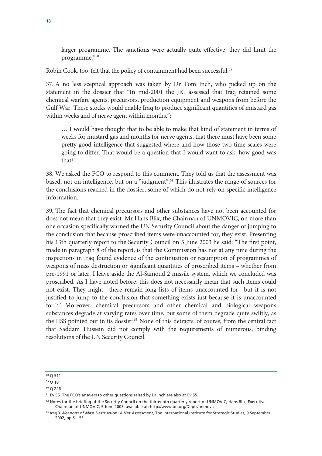larger programme. The sanctions were actually quite effective, they did limit the programme."58

Robin Cook, too, felt that the policy of containment had been successful.<sup>59</sup>

37. A no less sceptical approach was taken by Dr Tom Inch, who picked up on the statement in the dossier that "In mid-2001 the JIC assessed that Iraq retained some chemical warfare agents, precursors, production equipment and weapons from before the Gulf War. These stocks would enable Iraq to produce significant quantities of mustard gas within weeks and of nerve agent within months.":

… I would have thought that to be able to make that kind of statement in terms of weeks for mustard gas and months for nerve agents, that there must have been some pretty good intelligence that suggested where and how those two time scales were going to differ. That would be a question that I would want to ask: how good was that?<sup>60</sup>

38. We asked the FCO to respond to this comment. They told us that the assessment was based, not on intelligence, but on a "judgment".61 This illustrates the range of sources for the conclusions reached in the dossier, some of which do not rely on specific intelligence information.

39. The fact that chemical precursors and other substances have not been accounted for does not mean that they exist. Mr Hans Blix, the Chairman of UNMOVIC, on more than one occasion specifically warned the UN Security Council about the danger of jumping to the conclusion that because proscribed items were unaccounted for, they exist. Presenting his 13th quarterly report to the Security Council on 5 June 2003 he said: "The first point, made in paragraph 8 of the report, is that the Commission has not at any time during the inspections in Iraq found evidence of the continuation or resumption of programmes of weapons of mass destruction or significant quantities of proscribed items – whether from pre-1991 or later. I leave aside the Al-Samoud 2 missile system, which we concluded was proscribed. As I have noted before, this does not necessarily mean that such items could not exist. They might—there remain long lists of items unaccounted for—but it is not justified to jump to the conclusion that something exists just because it is unaccounted for."62 Moreover, chemical precursors and other chemical and biological weapons substances degrade at varying rates over time, but some of them degrade quite swiftly, as the IISS pointed out in its dossier.<sup>63</sup> None of this detracts, of course, from the central fact that Saddam Hussein did not comply with the requirements of numerous, binding resolutions of the UN Security Council.

<sup>58</sup> Q 511

<sup>59</sup> Q 18

<sup>60</sup> Q 226

<sup>&</sup>lt;sup>61</sup> Ev 55. The FCO's answers to other questions raised by Dr Inch are also at Ev 55.

<sup>&</sup>lt;sup>62</sup> Notes for the briefing of the Security Council on the thirteenth quarterly report of UNMOVIC, Hans Blix, Executive Chairman of UNMOVIC, 5 June 2003, available at: http://www.un.org/Depts/unmovic

<sup>63</sup> *Iraq's Weapons of Mass Destruction: A Net Assessment*, The International Institute for Strategic Studies, 9 September 2002, pp 51–53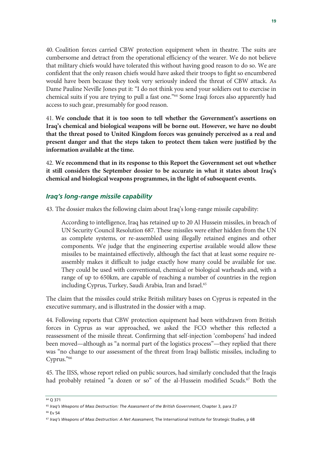40. Coalition forces carried CBW protection equipment when in theatre. The suits are cumbersome and detract from the operational efficiency of the wearer. We do not believe that military chiefs would have tolerated this without having good reason to do so. We are confident that the only reason chiefs would have asked their troops to fight so encumbered would have been because they took very seriously indeed the threat of CBW attack. As Dame Pauline Neville Jones put it: "I do not think you send your soldiers out to exercise in chemical suits if you are trying to pull a fast one."64 Some Iraqi forces also apparently had access to such gear, presumably for good reason.

41. **We conclude that it is too soon to tell whether the Government's assertions on Iraq's chemical and biological weapons will be borne out. However, we have no doubt that the threat posed to United Kingdom forces was genuinely perceived as a real and present danger and that the steps taken to protect them taken were justified by the information available at the time.**

42. **We recommend that in its response to this Report the Government set out whether it still considers the September dossier to be accurate in what it states about Iraq's chemical and biological weapons programmes, in the light of subsequent events.**

#### *Iraq's long-range missile capability*

43. The dossier makes the following claim about Iraq's long-range missile capability:

According to intelligence, Iraq has retained up to 20 Al Hussein missiles, in breach of UN Security Council Resolution 687. These missiles were either hidden from the UN as complete systems, or re-assembled using illegally retained engines and other components. We judge that the engineering expertise available would allow these missiles to be maintained effectively, although the fact that at least some require reassembly makes it difficult to judge exactly how many could be available for use. They could be used with conventional, chemical or biological warheads and, with a range of up to 650km, are capable of reaching a number of countries in the region including Cyprus, Turkey, Saudi Arabia, Iran and Israel.65

The claim that the missiles could strike British military bases on Cyprus is repeated in the executive summary, and is illustrated in the dossier with a map.

44. Following reports that CBW protection equipment had been withdrawn from British forces in Cyprus as war approached, we asked the FCO whether this reflected a reassessment of the missile threat. Confirming that self-injection 'combopens' had indeed been moved—although as "a normal part of the logistics process"—they replied that there was "no change to our assessment of the threat from Iraqi ballistic missiles, including to Cyprus."66

45. The IISS, whose report relied on public sources, had similarly concluded that the Iraqis had probably retained "a dozen or so" of the al-Hussein modified Scuds.<sup>67</sup> Both the

<sup>64</sup> Q 371

<sup>65</sup> *Iraq's Weapons of Mass Destruction: The Assessment of the British Government*, Chapter 3, para 27

<sup>66</sup> Ev 54

<sup>67</sup> *Iraq's Weapons of Mass Destruction: A Net Assessment,* The International Institute for Strategic Studies, p 68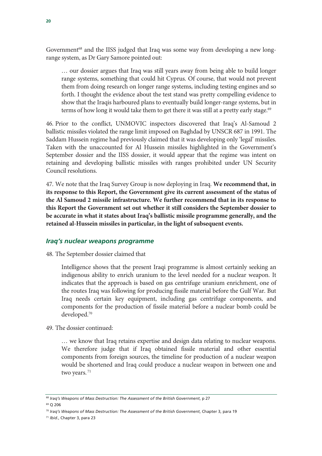Government<sup>68</sup> and the IISS judged that Iraq was some way from developing a new longrange system, as Dr Gary Samore pointed out:

… our dossier argues that Iraq was still years away from being able to build longer range systems, something that could hit Cyprus. Of course, that would not prevent them from doing research on longer range systems, including testing engines and so forth. I thought the evidence about the test stand was pretty compelling evidence to show that the Iraqis harboured plans to eventually build longer-range systems, but in terms of how long it would take them to get there it was still at a pretty early stage.<sup>69</sup>

46. Prior to the conflict, UNMOVIC inspectors discovered that Iraq's Al-Samoud 2 ballistic missiles violated the range limit imposed on Baghdad by UNSCR 687 in 1991. The Saddam Hussein regime had previously claimed that it was developing only 'legal' missiles. Taken with the unaccounted for Al Hussein missiles highlighted in the Government's September dossier and the IISS dossier, it would appear that the regime was intent on retaining and developing ballistic missiles with ranges prohibited under UN Security Council resolutions.

47. We note that the Iraq Survey Group is now deploying in Iraq. **We recommend that, in its response to this Report, the Government give its current assessment of the status of the Al Samoud 2 missile infrastructure. We further recommend that in its response to this Report the Government set out whether it still considers the September dossier to be accurate in what it states about Iraq's ballistic missile programme generally, and the retained al-Hussein missiles in particular, in the light of subsequent events.**

#### *Iraq's nuclear weapons programme*

48. The September dossier claimed that

Intelligence shows that the present Iraqi programme is almost certainly seeking an indigenous ability to enrich uranium to the level needed for a nuclear weapon. It indicates that the approach is based on gas centrifuge uranium enrichment, one of the routes Iraq was following for producing fissile material before the Gulf War. But Iraq needs certain key equipment, including gas centrifuge components, and components for the production of fissile material before a nuclear bomb could be developed.70

49. The dossier continued:

… we know that Iraq retains expertise and design data relating to nuclear weapons. We therefore judge that if Iraq obtained fissile material and other essential components from foreign sources, the timeline for production of a nuclear weapon would be shortened and Iraq could produce a nuclear weapon in between one and two years.<sup>71</sup>

<sup>68</sup> *Iraq's Weapons of Mass Destruction: The Assessment of the British Government*, p 27

 $69$  Q 206

<sup>70</sup> *Iraq's Weapons of Mass Destruction: The Assessment of the British Government*, Chapter 3, para 19

<sup>71</sup> *Ibid.*, Chapter 3, para 23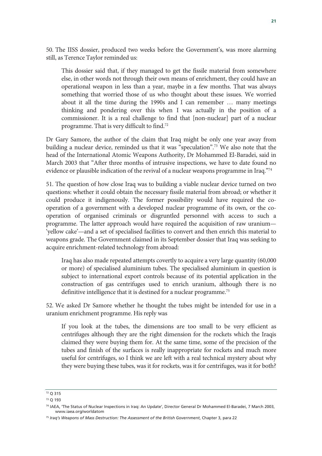50. The IISS dossier, produced two weeks before the Government's, was more alarming still, as Terence Taylor reminded us:

This dossier said that, if they managed to get the fissile material from somewhere else, in other words not through their own means of enrichment, they could have an operational weapon in less than a year, maybe in a few months. That was always something that worried those of us who thought about these issues. We worried about it all the time during the 1990s and I can remember … many meetings thinking and pondering over this when I was actually in the position of a commissioner. It is a real challenge to find that [non-nuclear] part of a nuclear programme. That is very difficult to find.72

Dr Gary Samore, the author of the claim that Iraq might be only one year away from building a nuclear device, reminded us that it was "speculation".73 We also note that the head of the International Atomic Weapons Authority, Dr Mohammed El-Baradei, said in March 2003 that "After three months of intrusive inspections, we have to date found no evidence or plausible indication of the revival of a nuclear weapons programme in Iraq."74

51. The question of how close Iraq was to building a viable nuclear device turned on two questions: whether it could obtain the necessary fissile material from abroad; or whether it could produce it indigenously. The former possibility would have required the cooperation of a government with a developed nuclear programme of its own, or the cooperation of organised criminals or disgruntled personnel with access to such a programme. The latter approach would have required the acquisition of raw uranium— 'yellow cake'—and a set of specialised facilities to convert and then enrich this material to weapons grade. The Government claimed in its September dossier that Iraq was seeking to acquire enrichment-related technology from abroad:

Iraq has also made repeated attempts covertly to acquire a very large quantity (60,000 or more) of specialised aluminium tubes. The specialised aluminium in question is subject to international export controls because of its potential application in the construction of gas centrifuges used to enrich uranium, although there is no definitive intelligence that it is destined for a nuclear programme.<sup>75</sup>

52. We asked Dr Samore whether he thought the tubes might be intended for use in a uranium enrichment programme. His reply was

If you look at the tubes, the dimensions are too small to be very efficient as centrifuges although they are the right dimension for the rockets which the Iraqis claimed they were buying them for. At the same time, some of the precision of the tubes and finish of the surfaces is really inappropriate for rockets and much more useful for centrifuges, so I think we are left with a real technical mystery about why they were buying these tubes, was it for rockets, was it for centrifuges, was it for both?

<sup>72</sup> Q 315

<sup>73</sup> Q 193

<sup>74</sup> IAEA, 'The Status of Nuclear Inspections in Iraq: An Update', Director General Dr Mohammed El-Baradei, 7 March 2003, www.iaea.org/worldatom

<sup>75</sup> *Iraq's Weapons of Mass Destruction: The Assessment of the British Government*, Chapter 3, para 22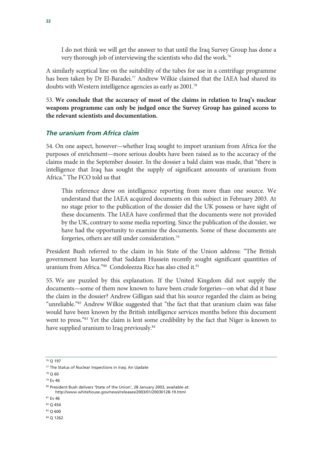I do not think we will get the answer to that until the Iraq Survey Group has done a very thorough job of interviewing the scientists who did the work.76

A similarly sceptical line on the suitability of the tubes for use in a centrifuge programme has been taken by Dr El-Baradei.<sup>77</sup> Andrew Wilkie claimed that the IAEA had shared its doubts with Western intelligence agencies as early as 2001.78

53. **We conclude that the accuracy of most of the claims in relation to Iraq's nuclear weapons programme can only be judged once the Survey Group has gained access to the relevant scientists and documentation.**

#### *The uranium from Africa claim*

54. On one aspect, however—whether Iraq sought to import uranium from Africa for the purposes of enrichment—more serious doubts have been raised as to the accuracy of the claims made in the September dossier. In the dossier a bald claim was made, that "there is intelligence that Iraq has sought the supply of significant amounts of uranium from Africa." The FCO told us that

This reference drew on intelligence reporting from more than one source. We understand that the IAEA acquired documents on this subject in February 2003. At no stage prior to the publication of the dossier did the UK possess or have sight of these documents. The IAEA have confirmed that the documents were not provided by the UK, contrary to some media reporting. Since the publication of the dossier, we have had the opportunity to examine the documents. Some of these documents are forgeries, others are still under consideration.79

President Bush referred to the claim in his State of the Union address: "The British government has learned that Saddam Hussein recently sought significant quantities of uranium from Africa."<sup>80</sup> Condoleezza Rice has also cited it.<sup>81</sup>

55. We are puzzled by this explanation. If the United Kingdom did not supply the documents—some of them now known to have been crude forgeries—on what did it base the claim in the dossier? Andrew Gilligan said that his source regarded the claim as being "unreliable."82 Andrew Wilkie suggested that "the fact that that uranium claim was false would have been known by the British intelligence services months before this document went to press."<sup>83</sup> Yet the claim is lent some credibility by the fact that Niger is known to have supplied uranium to Iraq previously.<sup>84</sup>

79 Ev 46

<sup>76</sup> Q 197

<sup>77</sup> The Status of Nuclear Inspections in Iraq: An Update

<sup>78</sup> Q 60

<sup>80</sup> President Bush delivers 'State of the Union', 28 January 2003, available at: http://www.whitehouse.gov/news/releases/2003/01/20030128-19.html

<sup>81</sup> Ev 46

<sup>82</sup> Q 454

<sup>83</sup> Q 600

<sup>84</sup> Q 1262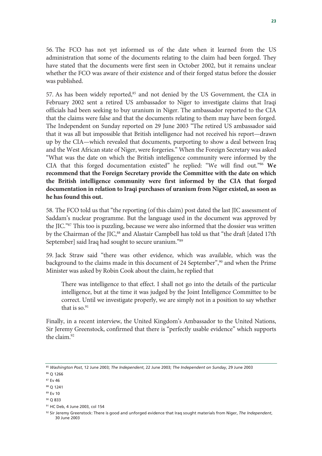56. The FCO has not yet informed us of the date when it learned from the US administration that some of the documents relating to the claim had been forged. They have stated that the documents were first seen in October 2002, but it remains unclear whether the FCO was aware of their existence and of their forged status before the dossier was published.

57. As has been widely reported, $85$  and not denied by the US Government, the CIA in February 2002 sent a retired US ambassador to Niger to investigate claims that Iraqi officials had been seeking to buy uranium in Niger. The ambassador reported to the CIA that the claims were false and that the documents relating to them may have been forged. The Independent on Sunday reported on 29 June 2003 "The retired US ambassador said that it was all but impossible that British intelligence had not received his report—drawn up by the CIA—which revealed that documents, purporting to show a deal between Iraq and the West African state of Niger, were forgeries." When the Foreign Secretary was asked "What was the date on which the British intelligence community were informed by the CIA that this forged documentation existed" he replied: "We will find out."86 **We recommend that the Foreign Secretary provide the Committee with the date on which the British intelligence community were first informed by the CIA that forged documentation in relation to Iraqi purchases of uranium from Niger existed, as soon as he has found this out.**

58. The FCO told us that "the reporting (of this claim) post dated the last JIC assessment of Saddam's nuclear programme. But the language used in the document was approved by the JIC."87 This too is puzzling, because we were also informed that the dossier was written by the Chairman of the JIC,<sup>88</sup> and Alastair Campbell has told us that "the draft [dated 17th September] said Iraq had sought to secure uranium."89

59. Jack Straw said "there was other evidence, which was available, which was the background to the claims made in this document of 24 September",<sup>90</sup> and when the Prime Minister was asked by Robin Cook about the claim, he replied that

There was intelligence to that effect. I shall not go into the details of the particular intelligence, but at the time it was judged by the Joint Intelligence Committee to be correct. Until we investigate properly, we are simply not in a position to say whether that is so. $91$ 

Finally, in a recent interview, the United Kingdom's Ambassador to the United Nations, Sir Jeremy Greenstock, confirmed that there is "perfectly usable evidence" which supports the claim.<sup>92</sup>

<sup>85</sup> *Washington Post*, 12 June 2003; *The Independent*, 22 June 2003; *The Independent on Sunday*, 29 June 2003

<sup>86</sup> Q 1266

<sup>87</sup> Ev 46

<sup>88</sup> Q 1241

<sup>89</sup> Ev 10

<sup>90</sup> Q 833

<sup>91</sup> HC Deb, 4 June 2003, col 154

<sup>92</sup> Sir Jeremy Greenstock: There is good and unforged evidence that Iraq sought materials from Niger, *The Independent*, 30 June 2003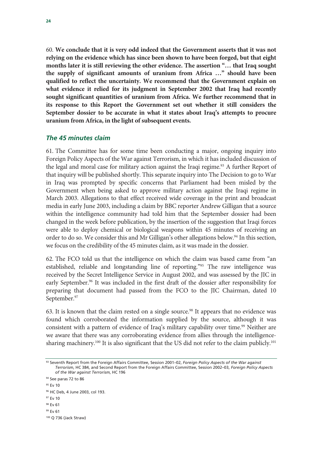60. **We conclude that it is very odd indeed that the Government asserts that it was not relying on the evidence which has since been shown to have been forged, but that eight months later it is still reviewing the other evidence. The assertion "… that Iraq sought the supply of significant amounts of uranium from Africa …" should have been qualified to reflect the uncertainty. We recommend that the Government explain on what evidence it relied for its judgment in September 2002 that Iraq had recently sought significant quantities of uranium from Africa. We further recommend that in its response to this Report the Government set out whether it still considers the September dossier to be accurate in what it states about Iraq's attempts to procure uranium from Africa, in the light of subsequent events.**

#### *The 45 minutes claim*

61. The Committee has for some time been conducting a major, ongoing inquiry into Foreign Policy Aspects of the War against Terrorism, in which it has included discussion of the legal and moral case for military action against the Iraqi regime.<sup>93</sup> A further Report of that inquiry will be published shortly. This separate inquiry into The Decision to go to War in Iraq was prompted by specific concerns that Parliament had been misled by the Government when being asked to approve military action against the Iraqi regime in March 2003. Allegations to that effect received wide coverage in the print and broadcast media in early June 2003, including a claim by BBC reporter Andrew Gilligan that a source within the intelligence community had told him that the September dossier had been changed in the week before publication, by the insertion of the suggestion that Iraqi forces were able to deploy chemical or biological weapons within 45 minutes of receiving an order to do so. We consider this and Mr Gilligan's other allegations below.<sup>94</sup> In this section, we focus on the credibility of the 45 minutes claim, as it was made in the dossier.

62. The FCO told us that the intelligence on which the claim was based came from "an established, reliable and longstanding line of reporting."95 The raw intelligence was received by the Secret Intelligence Service in August 2002, and was assessed by the JIC in early September.<sup>96</sup> It was included in the first draft of the dossier after responsibility for preparing that document had passed from the FCO to the JIC Chairman, dated 10 September.<sup>97</sup>

63. It is known that the claim rested on a single source.<sup>98</sup> It appears that no evidence was found which corroborated the information supplied by the source, although it was consistent with a pattern of evidence of Iraq's military capability over time.<sup>99</sup> Neither are we aware that there was any corroborating evidence from allies through the intelligencesharing machinery.<sup>100</sup> It is also significant that the US did not refer to the claim publicly.<sup>101</sup>

98 Ev 61

<sup>93</sup> Seventh Report from the Foreign Affairs Committee, Session 2001–02, *Foreign Policy Aspects of the War against Terrorism*, HC 384, and Second Report from the Foreign Affairs Committee, Session 2002–03, *Foreign Policy Aspects of the War against Terrorism*, HC 196

<sup>&</sup>lt;sup>94</sup> See paras 72 to 86

<sup>95</sup> Ev 10

<sup>96</sup> HC Deb, 4 June 2003, col 193.

<sup>97</sup> Ev 10

<sup>99</sup> Ev 61

<sup>100</sup> Q 736 (Jack Straw)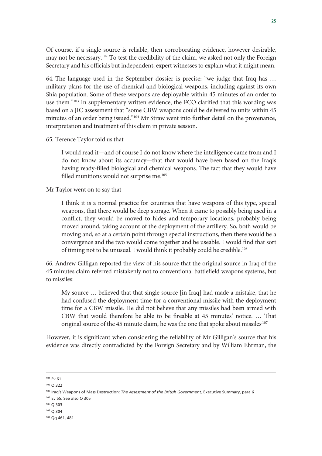Of course, if a single source is reliable, then corroborating evidence, however desirable, may not be necessary.<sup>102</sup> To test the credibility of the claim, we asked not only the Foreign Secretary and his officials but independent, expert witnesses to explain what it might mean.

64. The language used in the September dossier is precise: "we judge that Iraq has … military plans for the use of chemical and biological weapons, including against its own Shia population. Some of these weapons are deployable within 45 minutes of an order to use them."103 In supplementary written evidence, the FCO clarified that this wording was based on a JIC assessment that "some CBW weapons could be delivered to units within 45 minutes of an order being issued."104 Mr Straw went into further detail on the provenance, interpretation and treatment of this claim in private session.

65. Terence Taylor told us that

I would read it—and of course I do not know where the intelligence came from and I do not know about its accuracy—that that would have been based on the Iraqis having ready-filled biological and chemical weapons. The fact that they would have filled munitions would not surprise me.<sup>105</sup>

Mr Taylor went on to say that

I think it is a normal practice for countries that have weapons of this type, special weapons, that there would be deep storage. When it came to possibly being used in a conflict, they would be moved to hides and temporary locations, probably being moved around, taking account of the deployment of the artillery. So, both would be moving and, so at a certain point through special instructions, then there would be a convergence and the two would come together and be useable. I would find that sort of timing not to be unusual. I would think it probably could be credible.106

66. Andrew Gilligan reported the view of his source that the original source in Iraq of the 45 minutes claim referred mistakenly not to conventional battlefield weapons systems, but to missiles:

My source … believed that that single source [in Iraq] had made a mistake, that he had confused the deployment time for a conventional missile with the deployment time for a CBW missile. He did not believe that any missiles had been armed with CBW that would therefore be able to be fireable at 45 minutes' notice. … That original source of the 45 minute claim, he was the one that spoke about missiles<sup>107</sup>

However, it is significant when considering the reliability of Mr Gilligan's source that his evidence was directly contradicted by the Foreign Secretary and by William Ehrman, the

-

- 105 Q 303
- 106 Q 304

<sup>101</sup> Ev 61

<sup>102</sup> Q 322

<sup>103</sup> Iraq's Weapons of Mass Destruction: *The Assessment of the British Government,* Executive Summary, para 6

<sup>104</sup> Ev 55. See also Q 305

<sup>107</sup> Qq 461, 481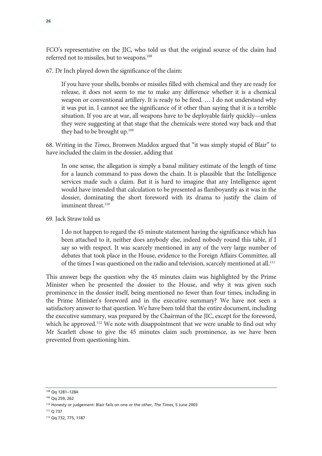FCO's representative on the JIC, who told us that the original source of the claim had referred not to missiles, but to weapons.<sup>108</sup>

67. Dr Inch played down the significance of the claim:

If you have your shells, bombs or missiles filled with chemical and they are ready for release, it does not seem to me to make any difference whether it is a chemical weapon or conventional artillery. It is ready to be fired. … I do not understand why it was put in. I cannot see the significance of it other than saying that it is a terrible situation. If you are at war, all weapons have to be deployable fairly quickly—unless they were suggesting at that stage that the chemicals were stored way back and that they had to be brought up.<sup>109</sup>

68. Writing in the *Times*, Bronwen Maddox argued that "it was simply stupid of Blair" to have included the claim in the dossier, adding that

In one sense, the allegation is simply a banal military estimate of the length of time for a launch command to pass down the chain. It is plausible that the Intelligence services made such a claim. But it is hard to imagine that any Intelligence agent would have intended that calculation to be presented as flamboyantly as it was in the dossier, dominating the short foreword with its drama to justify the claim of imminent threat.<sup>110</sup>

#### 69. Jack Straw told us

I do not happen to regard the 45 minute statement having the significance which has been attached to it, neither does anybody else, indeed nobody round this table, if I say so with respect. It was scarcely mentioned in any of the very large number of debates that took place in the House, evidence to the Foreign Affairs Committee, all of the times I was questioned on the radio and television, scarcely mentioned at all.<sup>111</sup>

This answer begs the question why the 45 minutes claim was highlighted by the Prime Minister when he presented the dossier to the House, and why it was given such prominence in the dossier itself, being mentioned no fewer than four times, including in the Prime Minister's foreword and in the executive summary? We have not seen a satisfactory answer to that question. We have been told that the entire document, including the executive summary, was prepared by the Chairman of the JIC, except for the foreword, which he approved.<sup>112</sup> We note with disappointment that we were unable to find out why Mr Scarlett chose to give the 45 minutes claim such prominence, as we have been prevented from questioning him.

<sup>108</sup> Qq 1281–1284

<sup>109</sup> Qq 259, 262

<sup>110</sup> Honesty or judgement: Blair fails on one or the other, *The Times*, 5 June 2003

<sup>111</sup> Q 737

<sup>112</sup> Qq 732, 775, 1187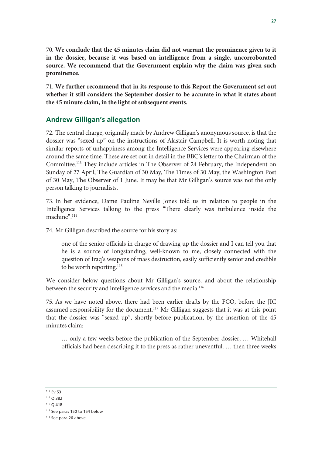70. **We conclude that the 45 minutes claim did not warrant the prominence given to it in the dossier, because it was based on intelligence from a single, uncorroborated source. We recommend that the Government explain why the claim was given such prominence.**

71. **We further recommend that in its response to this Report the Government set out whether it still considers the September dossier to be accurate in what it states about the 45 minute claim, in the light of subsequent events.**

### **Andrew Gilligan's allegation**

72. The central charge, originally made by Andrew Gilligan's anonymous source, is that the dossier was "sexed up" on the instructions of Alastair Campbell. It is worth noting that similar reports of unhappiness among the Intelligence Services were appearing elsewhere around the same time. These are set out in detail in the BBC's letter to the Chairman of the Committee.113 They include articles in The Observer of 24 February, the Independent on Sunday of 27 April, The Guardian of 30 May, The Times of 30 May, the Washington Post of 30 May, The Observer of 1 June. It may be that Mr Gilligan's source was not the only person talking to journalists.

73. In her evidence, Dame Pauline Neville Jones told us in relation to people in the Intelligence Services talking to the press "There clearly was turbulence inside the machine".114

74. Mr Gilligan described the source for his story as:

one of the senior officials in charge of drawing up the dossier and I can tell you that he is a source of longstanding, well-known to me, closely connected with the question of Iraq's weapons of mass destruction, easily sufficiently senior and credible to be worth reporting.<sup>115</sup>

We consider below questions about Mr Gilligan's source, and about the relationship between the security and intelligence services and the media.<sup>116</sup>

75. As we have noted above, there had been earlier drafts by the FCO, before the JIC assumed responsibility for the document.<sup>117</sup> Mr Gilligan suggests that it was at this point that the dossier was "sexed up", shortly before publication, by the insertion of the 45 minutes claim:

… only a few weeks before the publication of the September dossier, … Whitehall officials had been describing it to the press as rather uneventful. … then three weeks

<sup>113</sup> Ev 53

<sup>114</sup> Q 382

<sup>115</sup> Q 418

<sup>116</sup> See paras 150 to 154 below

<sup>117</sup> See para 26 above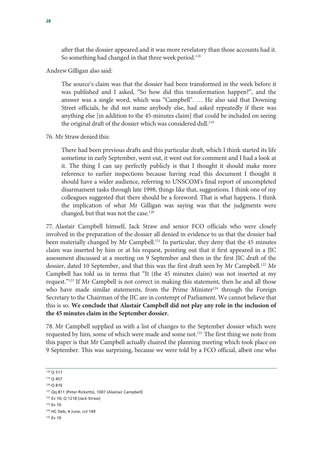after that the dossier appeared and it was more revelatory than those accounts had it. So something had changed in that three week period.<sup>118</sup>

Andrew Gilligan also said:

The source's claim was that the dossier had been transformed in the week before it was published and I asked, "So how did this transformation happen?", and the answer was a single word, which was "Campbell". … He also said that Downing Street officials, he did not name anybody else, had asked repeatedly if there was anything else [in addition to the 45-minutes claim] that could be included on seeing the original draft of the dossier which was considered dull.<sup>119</sup>

76. Mr Straw denied this:

There had been previous drafts and this particular draft, which I think started its life sometime in early September, went out, it went out for comment and I had a look at it. The thing I can say perfectly publicly is that I thought it should make more reference to earlier inspections because having read this document I thought it should have a wider audience, referring to UNSCOM's final report of uncompleted disarmament tasks through late 1998, things like that, suggestions. I think one of my colleagues suggested that there should be a foreword. That is what happens. I think the implication of what Mr Gilligan was saying was that the judgments were changed, but that was not the case.<sup>120</sup>

77. Alastair Campbell himself, Jack Straw and senior FCO officials who were closely involved in the preparation of the dossier all denied in evidence to us that the dossier had been materially changed by Mr Campbell.<sup>121</sup> In particular, they deny that the 45 minutes claim was inserted by him or at his request, pointing out that it first appeared in a JIC assessment discussed at a meeting on 9 September and then in the first JIC draft of the dossier, dated 10 September, and that this was the first draft seen by Mr Campbell.<sup>122</sup> Mr Campbell has told us in terms that "It (the 45 minutes claim) was not inserted at my request."123 If Mr Campbell is not correct in making this statement, then he and all those who have made similar statements, from the Prime Minister<sup>124</sup> through the Foreign Secretary to the Chairman of the JIC are in contempt of Parliament. We cannot believe that this is so. **We conclude that Alastair Campbell did not play any role in the inclusion of the 45 minutes claim in the September dossier.**

78. Mr Campbell supplied us with a list of changes to the September dossier which were requested by him, some of which were made and some not.125 The first thing we note from this paper is that Mr Campbell actually chaired the planning meeting which took place on 9 September. This was surprising, because we were told by a FCO official, albeit one who

- 119 Q 457
- 120 Q 810

123 Ev 10

<sup>118</sup> Q 517

<sup>121</sup> Qq 811 (Peter Ricketts), 1007 (Alastair Campbell)

<sup>122</sup> Ev 10; Q 1218 (Jack Straw)

<sup>124</sup> HC Deb, 4 June, col 149

<sup>125</sup> Ev 10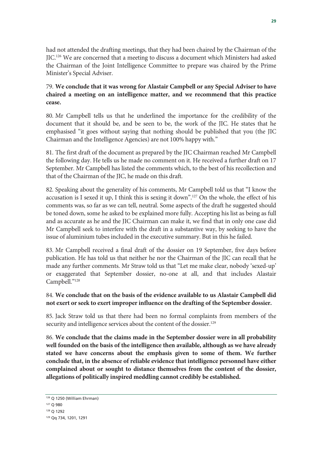had not attended the drafting meetings, that they had been chaired by the Chairman of the JIC.126 We are concerned that a meeting to discuss a document which Ministers had asked the Chairman of the Joint Intelligence Committee to prepare was chaired by the Prime Minister's Special Adviser.

### 79. **We conclude that it was wrong for Alastair Campbell or any Special Adviser to have chaired a meeting on an intelligence matter, and we recommend that this practice cease.**

80. Mr Campbell tells us that he underlined the importance for the credibility of the document that it should be, and be seen to be, the work of the JIC. He states that he emphasised "it goes without saying that nothing should be published that you (the JIC Chairman and the Intelligence Agencies) are not 100% happy with."

81. The first draft of the document as prepared by the JIC Chairman reached Mr Campbell the following day. He tells us he made no comment on it. He received a further draft on 17 September. Mr Campbell has listed the comments which, to the best of his recollection and that of the Chairman of the JIC, he made on this draft.

82. Speaking about the generality of his comments, Mr Campbell told us that "I know the accusation is I sexed it up, I think this is sexing it down".127 On the whole, the effect of his comments was, so far as we can tell, neutral. Some aspects of the draft he suggested should be toned down, some he asked to be explained more fully. Accepting his list as being as full and as accurate as he and the JIC Chairman can make it, we find that in only one case did Mr Campbell seek to interfere with the draft in a substantive way, by seeking to have the issue of aluminium tubes included in the executive summary. But in this he failed.

83. Mr Campbell received a final draft of the dossier on 19 September, five days before publication. He has told us that neither he nor the Chairman of the JIC can recall that he made any further comments. Mr Straw told us that "Let me make clear, nobody 'sexed-up' or exaggerated that September dossier, no-one at all, and that includes Alastair Campbell."128

#### 84. **We conclude that on the basis of the evidence available to us Alastair Campbell did not exert or seek to exert improper influence on the drafting of the September dossier.**

85. Jack Straw told us that there had been no formal complaints from members of the security and intelligence services about the content of the dossier.<sup>129</sup>

86. **We conclude that the claims made in the September dossier were in all probability well founded on the basis of the intelligence then available, although as we have already stated we have concerns about the emphasis given to some of them. We further conclude that, in the absence of reliable evidence that intelligence personnel have either complained about or sought to distance themselves from the content of the dossier, allegations of politically inspired meddling cannot credibly be established.**

<sup>126</sup> Q 1250 (William Ehrman)

<sup>127</sup> Q 980

<sup>128</sup> Q 1292

<sup>129</sup> Qq 734, 1201, 1291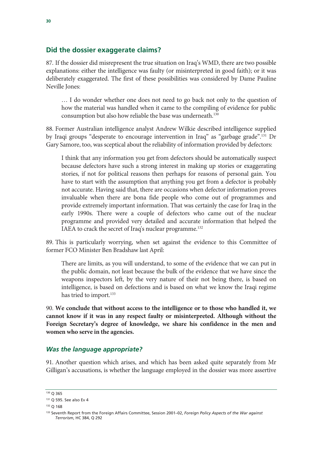#### **Did the dossier exaggerate claims?**

87. If the dossier did misrepresent the true situation on Iraq's WMD, there are two possible explanations: either the intelligence was faulty (or misinterpreted in good faith); or it was deliberately exaggerated. The first of these possibilities was considered by Dame Pauline Neville Jones:

… I do wonder whether one does not need to go back not only to the question of how the material was handled when it came to the compiling of evidence for public consumption but also how reliable the base was underneath.<sup>130</sup>

88. Former Australian intelligence analyst Andrew Wilkie described intelligence supplied by Iraqi groups "desperate to encourage intervention in Iraq" as "garbage grade".<sup>131</sup> Dr Gary Samore, too, was sceptical about the reliability of information provided by defectors:

I think that any information you get from defectors should be automatically suspect because defectors have such a strong interest in making up stories or exaggerating stories, if not for political reasons then perhaps for reasons of personal gain. You have to start with the assumption that anything you get from a defector is probably not accurate. Having said that, there are occasions when defector information proves invaluable when there are bona fide people who come out of programmes and provide extremely important information. That was certainly the case for Iraq in the early 1990s. There were a couple of defectors who came out of the nuclear programme and provided very detailed and accurate information that helped the IAEA to crack the secret of Iraq's nuclear programme.<sup>132</sup>

89. This is particularly worrying, when set against the evidence to this Committee of former FCO Minister Ben Bradshaw last April:

There are limits, as you will understand, to some of the evidence that we can put in the public domain, not least because the bulk of the evidence that we have since the weapons inspectors left, by the very nature of their not being there, is based on intelligence, is based on defections and is based on what we know the Iraqi regime has tried to import.<sup>133</sup>

90. **We conclude that without access to the intelligence or to those who handled it, we cannot know if it was in any respect faulty or misinterpreted. Although without the Foreign Secretary's degree of knowledge, we share his confidence in the men and women who serve in the agencies.**

#### *Was the language appropriate?*

91. Another question which arises, and which has been asked quite separately from Mr Gilligan's accusations, is whether the language employed in the dossier was more assertive

<sup>130</sup> Q 365

<sup>131</sup> Q 595. See also Ev 4

<sup>132</sup> Q 168

<sup>133</sup> Seventh Report from the Foreign Affairs Committee, Session 2001–02, *Foreign Policy Aspects of the War against Terrorism*, HC 384, Q 292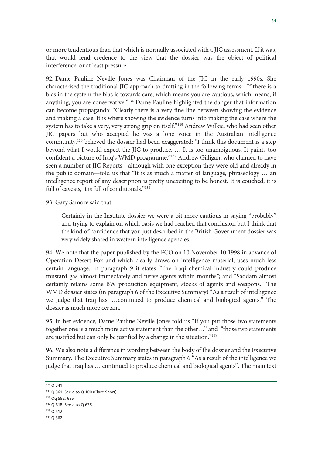or more tendentious than that which is normally associated with a JIC assessment. If it was, that would lend credence to the view that the dossier was the object of political interference, or at least pressure.

92. Dame Pauline Neville Jones was Chairman of the JIC in the early 1990s. She characterised the traditional JIC approach to drafting in the following terms: "If there is a bias in the system the bias is towards care, which means you are cautious, which means, if anything, you are conservative."<sup>134</sup> Dame Pauline highlighted the danger that information can become propaganda: "Clearly there is a very fine line between showing the evidence and making a case. It is where showing the evidence turns into making the case where the system has to take a very, very strong grip on itself."<sup>135</sup> Andrew Wilkie, who had seen other JIC papers but who accepted he was a lone voice in the Australian intelligence community,136 believed the dossier had been exaggerated: "I think this document is a step beyond what I would expect the JIC to produce. … It is too unambiguous. It paints too confident a picture of Iraq's WMD programme."<sup>137</sup> Andrew Gilligan, who claimed to have seen a number of JIC Reports—although with one exception they were old and already in the public domain—told us that "It is as much a matter of language, phraseology … an intelligence report of any description is pretty unexciting to be honest. It is couched, it is full of caveats, it is full of conditionals."138

#### 93. Gary Samore said that

Certainly in the Institute dossier we were a bit more cautious in saying "probably" and trying to explain on which basis we had reached that conclusion but I think that the kind of confidence that you just described in the British Government dossier was very widely shared in western intelligence agencies.

94. We note that the paper published by the FCO on 10 November 10 1998 in advance of Operation Desert Fox and which clearly draws on intelligence material, uses much less certain language. In paragraph 9 it states "The Iraqi chemical industry could produce mustard gas almost immediately and nerve agents within months"; and "Saddam almost certainly retains some BW production equipment, stocks of agents and weapons." The WMD dossier states (in paragraph 6 of the Executive Summary) "As a result of intelligence we judge that Iraq has: …continued to produce chemical and biological agents." The dossier is much more certain.

95. In her evidence, Dame Pauline Neville Jones told us "If you put those two statements together one is a much more active statement than the other…" and "those two statements are justified but can only be justified by a change in the situation."<sup>139</sup>

96. We also note a difference in wording between the body of the dossier and the Executive Summary. The Executive Summary states in paragraph 6 "As a result of the intelligence we judge that Iraq has … continued to produce chemical and biological agents". The main text

<sup>134</sup> Q 341

<sup>135</sup> Q 361. See also Q 100 (Clare Short)

<sup>136</sup> Qq 592, 655

<sup>137</sup> Q 618. See also Q 635.

<sup>138</sup> Q 512

<sup>139</sup> Q 362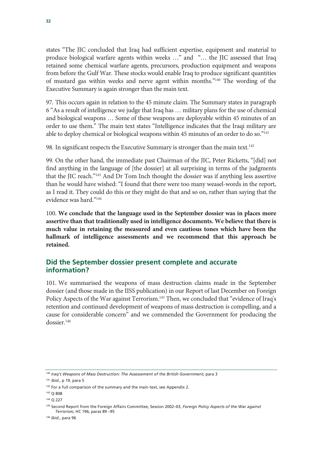states "The JIC concluded that Iraq had sufficient expertise, equipment and material to produce biological warfare agents within weeks …" and "… the JIC assessed that Iraq retained some chemical warfare agents, precursors, production equipment and weapons from before the Gulf War. These stocks would enable Iraq to produce significant quantities of mustard gas within weeks and nerve agent within months."140 The wording of the Executive Summary is again stronger than the main text.

97. This occurs again in relation to the 45 minute claim. The Summary states in paragraph 6 "As a result of intelligence we judge that Iraq has … military plans for the use of chemical and biological weapons … Some of these weapons are deployable within 45 minutes of an order to use them." The main text states "Intelligence indicates that the Iraqi military are able to deploy chemical or biological weapons within 45 minutes of an order to do so."<sup>141</sup>

98. In significant respects the Executive Summary is stronger than the main text.<sup>142</sup>

99. On the other hand, the immediate past Chairman of the JIC, Peter Ricketts, "[did] not find anything in the language of [the dossier] at all surprising in terms of the judgments that the JIC reach."143 And Dr Tom Inch thought the dossier was if anything less assertive than he would have wished: "I found that there were too many weasel-words in the report, as I read it. They could do this or they might do that and so on, rather than saying that the evidence was hard."144

100. **We conclude that the language used in the September dossier was in places more assertive than that traditionally used in intelligence documents. We believe that there is much value in retaining the measured and even cautious tones which have been the hallmark of intelligence assessments and we recommend that this approach be retained.**

### **Did the September dossier present complete and accurate information?**

101. We summarised the weapons of mass destruction claims made in the September dossier (and those made in the IISS publication) in our Report of last December on Foreign Policy Aspects of the War against Terrorism.<sup>145</sup> Then, we concluded that "evidence of Iraq's retention and continued development of weapons of mass destruction is compelling, and a cause for considerable concern" and we commended the Government for producing the dossier.<sup>146</sup>

<sup>146</sup> *Ibid.,* para 96

<sup>140</sup> *Iraq's Weapons of Mass Destruction: The Assessement of the British Government*, para 3

<sup>141</sup> *Ibid.,* p 19, para 5

<sup>&</sup>lt;sup>142</sup> For a full comparison of the summary and the main text, see Appendix 2.

<sup>143</sup> Q 808

<sup>144</sup> Q 227

<sup>145</sup> Second Report from the Foreign Affairs Committee, Session 2002–03, *Foreign Policy Aspects of the War against Terrorism,* HC 196, paras 89 –95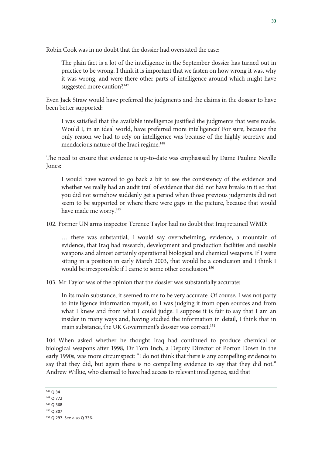Robin Cook was in no doubt that the dossier had overstated the case:

The plain fact is a lot of the intelligence in the September dossier has turned out in practice to be wrong. I think it is important that we fasten on how wrong it was, why it was wrong, and were there other parts of intelligence around which might have suggested more caution?<sup>147</sup>

Even Jack Straw would have preferred the judgments and the claims in the dossier to have been better supported:

I was satisfied that the available intelligence justified the judgments that were made. Would I, in an ideal world, have preferred more intelligence? For sure, because the only reason we had to rely on intelligence was because of the highly secretive and mendacious nature of the Iraqi regime.<sup>148</sup>

The need to ensure that evidence is up-to-date was emphasised by Dame Pauline Neville Jones:

I would have wanted to go back a bit to see the consistency of the evidence and whether we really had an audit trail of evidence that did not have breaks in it so that you did not somehow suddenly get a period when those previous judgments did not seem to be supported or where there were gaps in the picture, because that would have made me worry.<sup>149</sup>

102. Former UN arms inspector Terence Taylor had no doubt that Iraq retained WMD:

… there was substantial, I would say overwhelming, evidence, a mountain of evidence, that Iraq had research, development and production facilities and useable weapons and almost certainly operational biological and chemical weapons. If I were sitting in a position in early March 2003, that would be a conclusion and I think I would be irresponsible if I came to some other conclusion.<sup>150</sup>

103. Mr Taylor was of the opinion that the dossier was substantially accurate:

In its main substance, it seemed to me to be very accurate. Of course, I was not party to intelligence information myself, so I was judging it from open sources and from what I knew and from what I could judge. I suppose it is fair to say that I am an insider in many ways and, having studied the information in detail, I think that in main substance, the UK Government's dossier was correct.<sup>151</sup>

104. When asked whether he thought Iraq had continued to produce chemical or biological weapons after 1998, Dr Tom Inch, a Deputy Director of Porton Down in the early 1990s, was more circumspect: "I do not think that there is any compelling evidence to say that they did, but again there is no compelling evidence to say that they did not." Andrew Wilkie, who claimed to have had access to relevant intelligence, said that

<sup>147</sup> Q 34

<sup>148</sup> Q 772

<sup>149</sup> Q 368

<sup>150</sup> Q 307

<sup>151</sup> Q 297. See also Q 336.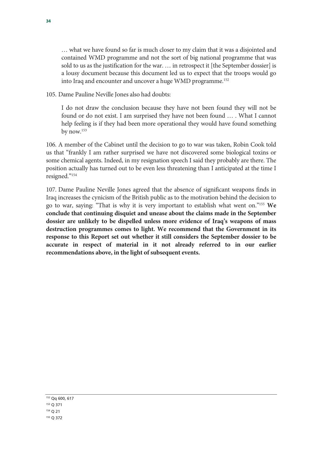… what we have found so far is much closer to my claim that it was a disjointed and contained WMD programme and not the sort of big national programme that was sold to us as the justification for the war. ... in retrospect it [the September dossier] is a lousy document because this document led us to expect that the troops would go into Iraq and encounter and uncover a huge WMD programme.<sup>152</sup>

105. Dame Pauline Neville Jones also had doubts:

I do not draw the conclusion because they have not been found they will not be found or do not exist. I am surprised they have not been found … . What I cannot help feeling is if they had been more operational they would have found something by now.153

106. A member of the Cabinet until the decision to go to war was taken, Robin Cook told us that "frankly I am rather surprised we have not discovered some biological toxins or some chemical agents. Indeed, in my resignation speech I said they probably are there. The position actually has turned out to be even less threatening than I anticipated at the time I resigned."154

107. Dame Pauline Neville Jones agreed that the absence of significant weapons finds in Iraq increases the cynicism of the British public as to the motivation behind the decision to go to war, saying: "That is why it is very important to establish what went on."155 **We conclude that continuing disquiet and unease about the claims made in the September dossier are unlikely to be dispelled unless more evidence of Iraq's weapons of mass destruction programmes comes to light. We recommend that the Government in its response to this Report set out whether it still considers the September dossier to be accurate in respect of material in it not already referred to in our earlier recommendations above, in the light of subsequent events.**

152 Qq 600, 617 153 Q 371 154 Q 21 155 Q 372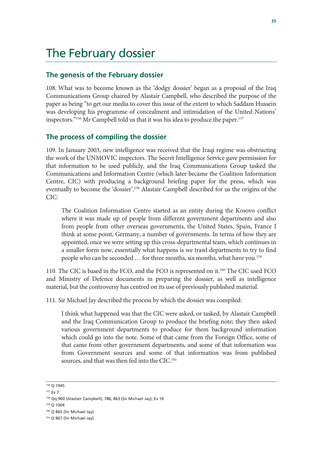# The February dossier

# **The genesis of the February dossier**

108. What was to become known as the 'dodgy dossier' began as a proposal of the Iraq Communications Group chaired by Alastair Campbell, who described the purpose of the paper as being "to get our media to cover this issue of the extent to which Saddam Hussein was developing his programme of concealment and intimidation of the United Nations' inspectors."<sup>156</sup> Mr Campbell told us that it was his idea to produce the paper.<sup>157</sup>

## **The process of compiling the dossier**

109. In January 2003, new intelligence was received that the Iraqi regime was obstructing the work of the UNMOVIC inspectors. The Secret Intelligence Service gave permission for that information to be used publicly, and the Iraq Communications Group tasked the Communications and Information Centre (which later became the Coalition Information Centre, CIC) with producing a background briefing paper for the press, which was eventually to become the 'dossier'.<sup>158</sup> Alastair Campbell described for us the origins of the CIC:

The Coalition Information Centre started as an entity during the Kosovo conflict where it was made up of people from different government departments and also from people from other overseas governments, the United States, Spain, France I think at some point, Germany, a number of governments. In terms of how they are appointed, once we were setting up this cross-departmental team, which continues in a smaller form now, essentially what happens is we trawl departments to try to find people who can be seconded ... for three months, six months, what have you.<sup>159</sup>

110. The CIC is based in the FCO, and the FCO is represented on it.160 The CIC used FCO and Ministry of Defence documents in preparing the dossier, as well as intelligence material, but the controversy has centred on its use of previously published material.

111. Sir Michael Jay described the process by which the dossier was compiled:

I think what happened was that the CIC were asked, or tasked, by Alastair Campbell and the Iraq Communication Group to produce the briefing note; they then asked various government departments to produce for them background information which could go into the note. Some of that came from the Foreign Office, some of that came from other government departments, and some of that information was from Government sources and some of that information was from published sources, and that was then fed into the CIC.<sup>161</sup>

<sup>156</sup> Q 1045

<sup>157</sup> Ev 7

<sup>158</sup> Qq 900 (Alastair Campbell), 786, 863 (Sir Michael Jay); Ev 10

<sup>159</sup> Q 1004

<sup>160</sup> Q 865 (Sir Michael Jay)

<sup>161</sup> Q 867 (Sir Michael Jay)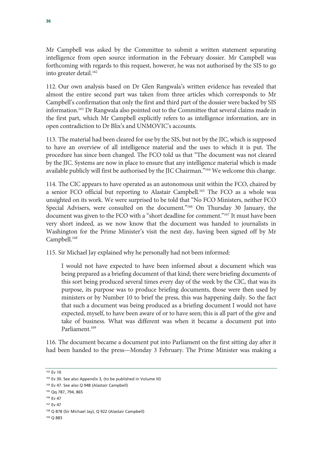Mr Campbell was asked by the Committee to submit a written statement separating intelligence from open source information in the February dossier. Mr Campbell was forthcoming with regards to this request, however, he was not authorised by the SIS to go into greater detail.<sup>162</sup>

112. Our own analysis based on Dr Glen Rangwala's written evidence has revealed that almost the entire second part was taken from three articles which corresponds to Mr Campbell's confirmation that only the first and third part of the dossier were backed by SIS information.163 Dr Rangwala also pointed out to the Committee that several claims made in the first part, which Mr Campbell explicitly refers to as intelligence information, are in open contradiction to Dr Blix's and UNMOVIC's accounts.

113. The material had been cleared for use by the SIS, but not by the JIC, which is supposed to have an overview of all intelligence material and the uses to which it is put. The procedure has since been changed. The FCO told us that "The document was not cleared by the JIC. Systems are now in place to ensure that any intelligence material which is made available publicly will first be authorised by the JIC Chairman."164 We welcome this change.

114. The CIC appears to have operated as an autonomous unit within the FCO, chaired by a senior FCO official but reporting to Alastair Campbell.<sup>165</sup> The FCO as a whole was unsighted on its work. We were surprised to be told that "No FCO Ministers, neither FCO Special Advisers, were consulted on the document."<sup>166</sup> On Thursday 30 January, the document was given to the FCO with a "short deadline for comment."<sup>167</sup> It must have been very short indeed, as we now know that the document was handed to journalists in Washington for the Prime Minister's visit the next day, having been signed off by Mr Campbell.<sup>168</sup>

115. Sir Michael Jay explained why he personally had not been informed:

I would not have expected to have been informed about a document which was being prepared as a briefing document of that kind; there were briefing documents of this sort being produced several times every day of the week by the CIC, that was its purpose, its purpose was to produce briefing documents, those were then used by ministers or by Number 10 to brief the press, this was happening daily. So the fact that such a document was being produced as a briefing document I would not have expected, myself, to have been aware of or to have seen; this is all part of the give and take of business. What was different was when it became a document put into Parliament.169

116. The document became a document put into Parliament on the first sitting day after it had been handed to the press—Monday 3 February. The Prime Minister was making a

167 Ev 47

<sup>162</sup> Ev 10

<sup>163</sup> Ev 30. See also Appendix 3, (to be published in Volume III)

<sup>164</sup> Ev 47. See also Q 948 (Alastair Campbell)

<sup>165</sup> Qq 787, 794, 865

<sup>166</sup> Ev 47

<sup>168</sup> Q 878 (Sir Michael Jay), Q 922 (Alastair Campbell)

<sup>169</sup> Q 883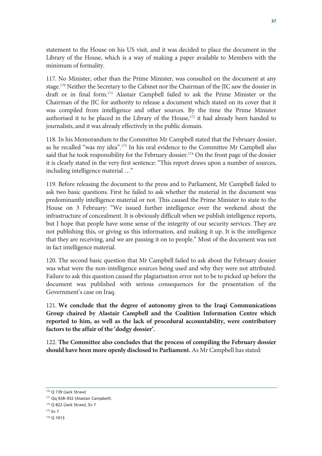statement to the House on his US visit, and it was decided to place the document in the Library of the House, which is a way of making a paper available to Members with the minimum of formality.

117. No Minister, other than the Prime Minister, was consulted on the document at any stage.170 Neither the Secretary to the Cabinet nor the Chairman of the JIC saw the dossier in draft or in final form.171 Alastair Campbell failed to ask the Prime Minister or the Chairman of the JIC for authority to release a document which stated on its cover that it was compiled from intelligence and other sources. By the time the Prime Minister authorised it to be placed in the Library of the House, $172$  it had already been handed to journalists, and it was already effectively in the public domain.

118. In his Memorandum to the Committee Mr Campbell stated that the February dossier, as he recalled "was my idea".173 In his oral evidence to the Committee Mr Campbell also said that he took responsibility for the February dossier.<sup>174</sup> On the front page of the dossier it is clearly stated in the very first sentence: "This report draws upon a number of sources, including intelligence material …"

119. Before releasing the document to the press and to Parliament, Mr Campbell failed to ask two basic questions. First he failed to ask whether the material in the document was predominantly intelligence material or not. This caused the Prime Minister to state to the House on 3 February: "We issued further intelligence over the weekend about the infrastructure of concealment. It is obviously difficult when we publish intelligence reports, but I hope that people have some sense of the integrity of our security services. They are not publishing this, or giving us this information, and making it up. It is the intelligence that they are receiving, and we are passing it on to people." Most of the document was not in fact intelligence material.

120. The second basic question that Mr Campbell failed to ask about the February dossier was what were the non-intelligence sources being used and why they were not attributed. Failure to ask this question caused the plagiarisation error not to be to picked up before the document was published with serious consequences for the presentation of the Government's case on Iraq.

121. **We conclude that the degree of autonomy given to the Iraqi Communications Group chaired by Alastair Campbell and the Coalition Information Centre which reported to him, as well as the lack of procedural accountability, were contributory factors to the affair of the 'dodgy dossier'.**

122. **The Committee also concludes that the process of compiling the February dossier should have been more openly disclosed to Parliament.** As Mr Campbell has stated:

<sup>170</sup> Q 739 (Jack Straw)

<sup>171</sup> Qq 928–932 (Alastair Campbell).

<sup>172</sup> Q 822 (Jack Straw), Ev 7

<sup>173</sup> Ev 7

<sup>174</sup> Q 1013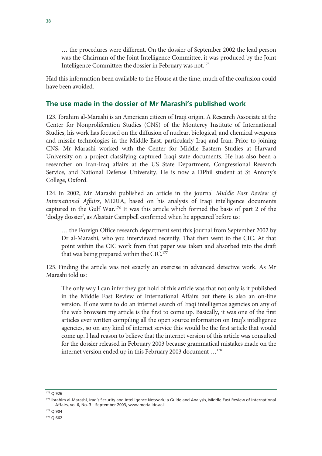… the procedures were different. On the dossier of September 2002 the lead person was the Chairman of the Joint Intelligence Committee, it was produced by the Joint Intelligence Committee; the dossier in February was not.175

Had this information been available to the House at the time, much of the confusion could have been avoided.

# **The use made in the dossier of Mr Marashi's published work**

123. Ibrahim al-Marashi is an American citizen of Iraqi origin. A Research Associate at the Center for Nonproliferation Studies (CNS) of the Monterey Institute of International Studies, his work has focused on the diffusion of nuclear, biological, and chemical weapons and missile technologies in the Middle East, particularly Iraq and Iran. Prior to joining CNS, Mr Marashi worked with the Center for Middle Eastern Studies at Harvard University on a project classifying captured Iraqi state documents. He has also been a researcher on Iran-Iraq affairs at the US State Department, Congressional Research Service, and National Defense University. He is now a DPhil student at St Antony's College, Oxford.

124. In 2002, Mr Marashi published an article in the journal *Middle East Review of International Affairs*, MERIA, based on his analysis of Iraqi intelligence documents captured in the Gulf War.176 It was this article which formed the basis of part 2 of the 'dodgy dossier', as Alastair Campbell confirmed when he appeared before us:

… the Foreign Office research department sent this journal from September 2002 by Dr al-Marashi, who you interviewed recently. That then went to the CIC. At that point within the CIC work from that paper was taken and absorbed into the draft that was being prepared within the CIC.<sup>177</sup>

125. Finding the article was not exactly an exercise in advanced detective work. As Mr Marashi told us:

The only way I can infer they got hold of this article was that not only is it published in the Middle East Review of International Affairs but there is also an on-line version. If one were to do an internet search of Iraqi intelligence agencies on any of the web browsers my article is the first to come up. Basically, it was one of the first articles ever written compiling all the open source information on Iraq's intelligence agencies, so on any kind of internet service this would be the first article that would come up. I had reason to believe that the internet version of this article was consulted for the dossier released in February 2003 because grammatical mistakes made on the internet version ended up in this February 2003 document …178

<sup>175</sup> Q 926

<sup>176</sup> Ibrahim al-Marashi, Iraq's Security and Intelligence Network; a Guide and Analysis, Middle East Review of International Affairs, vol 6, No. 3—September 2003, www.meria.idc.ac.il

<sup>177</sup> Q 904

<sup>178</sup> Q 662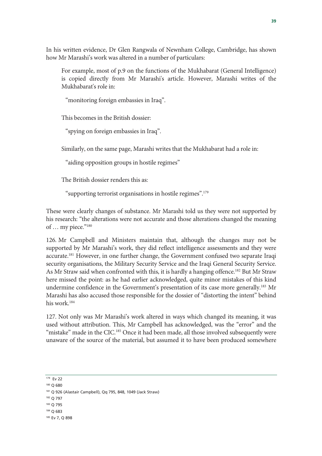In his written evidence, Dr Glen Rangwala of Newnham College, Cambridge, has shown how Mr Marashi's work was altered in a number of particulars:

For example, most of p.9 on the functions of the Mukhabarat (General Intelligence) is copied directly from Mr Marashi's article. However, Marashi writes of the Mukhabarat's role in:

"monitoring foreign embassies in Iraq".

This becomes in the British dossier:

"spying on foreign embassies in Iraq".

Similarly, on the same page, Marashi writes that the Mukhabarat had a role in:

"aiding opposition groups in hostile regimes"

The British dossier renders this as:

"supporting terrorist organisations in hostile regimes".179

These were clearly changes of substance. Mr Marashi told us they were not supported by his research: "the alterations were not accurate and those alterations changed the meaning of … my piece."180

126. Mr Campbell and Ministers maintain that, although the changes may not be supported by Mr Marashi's work, they did reflect intelligence assessments and they were accurate.<sup>181</sup> However, in one further change, the Government confused two separate Iraqi security organisations, the Military Security Service and the Iraqi General Security Service. As Mr Straw said when confronted with this, it is hardly a hanging offence.<sup>182</sup> But Mr Straw here missed the point: as he had earlier acknowledged, quite minor mistakes of this kind undermine confidence in the Government's presentation of its case more generally.<sup>183</sup> Mr Marashi has also accused those responsible for the dossier of "distorting the intent" behind his work.184

127. Not only was Mr Marashi's work altered in ways which changed its meaning, it was used without attribution. This, Mr Campbell has acknowledged, was the "error" and the "mistake" made in the CIC.<sup>185</sup> Once it had been made, all those involved subsequently were unaware of the source of the material, but assumed it to have been produced somewhere

179 Ev 22

<sup>180</sup> Q 680

<sup>181</sup> Q 926 (Alastair Campbell), Qq 795, 848, 1049 (Jack Straw)

<sup>182</sup> Q 797

<sup>184</sup> Q 683

<sup>185</sup> Ev 7, Q 898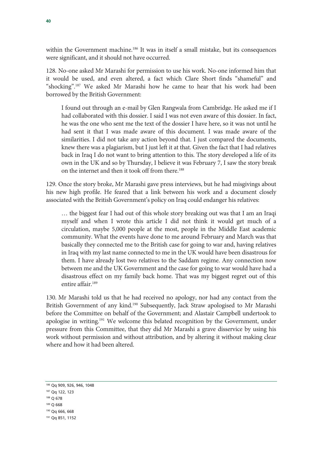within the Government machine.<sup>186</sup> It was in itself a small mistake, but its consequences were significant, and it should not have occurred.

128. No-one asked Mr Marashi for permission to use his work. No-one informed him that it would be used, and even altered, a fact which Clare Short finds "shameful" and "shocking".187 We asked Mr Marashi how he came to hear that his work had been borrowed by the British Government:

I found out through an e-mail by Glen Rangwala from Cambridge. He asked me if I had collaborated with this dossier. I said I was not even aware of this dossier. In fact, he was the one who sent me the text of the dossier I have here, so it was not until he had sent it that I was made aware of this document. I was made aware of the similarities. I did not take any action beyond that. I just compared the documents, knew there was a plagiarism, but I just left it at that. Given the fact that I had relatives back in Iraq I do not want to bring attention to this. The story developed a life of its own in the UK and so by Thursday, I believe it was February 7, I saw the story break on the internet and then it took off from there.<sup>188</sup>

129. Once the story broke, Mr Marashi gave press interviews, but he had misgivings about his new high profile. He feared that a link between his work and a document closely associated with the British Government's policy on Iraq could endanger his relatives:

… the biggest fear I had out of this whole story breaking out was that I am an Iraqi myself and when I wrote this article I did not think it would get much of a circulation, maybe 5,000 people at the most, people in the Middle East academic community. What the events have done to me around February and March was that basically they connected me to the British case for going to war and, having relatives in Iraq with my last name connected to me in the UK would have been disastrous for them. I have already lost two relatives to the Saddam regime. Any connection now between me and the UK Government and the case for going to war would have had a disastrous effect on my family back home. That was my biggest regret out of this entire affair.<sup>189</sup>

130. Mr Marashi told us that he had received no apology, nor had any contact from the British Government of any kind.<sup>190</sup> Subsequently, Jack Straw apologised to Mr Marashi before the Committee on behalf of the Government; and Alastair Campbell undertook to apologise in writing.<sup>191</sup> We welcome this belated recognition by the Government, under pressure from this Committee, that they did Mr Marashi a grave disservice by using his work without permission and without attribution, and by altering it without making clear where and how it had been altered.

<sup>186</sup> Qq 909, 926, 946, 1048

<sup>187</sup> Qq 122, 123

<sup>188</sup> Q 678

<sup>190</sup> Qq 666, 668

<sup>191</sup> Qq 851, 1152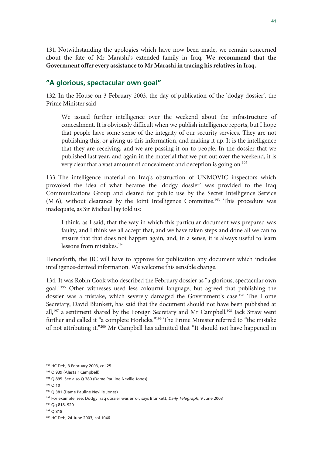131. Notwithstanding the apologies which have now been made, we remain concerned about the fate of Mr Marashi's extended family in Iraq. **We recommend that the Government offer every assistance to Mr Marashi in tracing his relatives in Iraq.**

# **"A glorious, spectacular own goal"**

132. In the House on 3 February 2003, the day of publication of the 'dodgy dossier', the Prime Minister said

We issued further intelligence over the weekend about the infrastructure of concealment. It is obviously difficult when we publish intelligence reports, but I hope that people have some sense of the integrity of our security services. They are not publishing this, or giving us this information, and making it up. It is the intelligence that they are receiving, and we are passing it on to people. In the dossier that we published last year, and again in the material that we put out over the weekend, it is very clear that a vast amount of concealment and deception is going on.192

133. The intelligence material on Iraq's obstruction of UNMOVIC inspectors which provoked the idea of what became the 'dodgy dossier' was provided to the Iraq Communications Group and cleared for public use by the Secret Intelligence Service (MI6), without clearance by the Joint Intelligence Committee.<sup>193</sup> This procedure was inadequate, as Sir Michael Jay told us:

I think, as I said, that the way in which this particular document was prepared was faulty, and I think we all accept that, and we have taken steps and done all we can to ensure that that does not happen again, and, in a sense, it is always useful to learn lessons from mistakes.194

Henceforth, the JIC will have to approve for publication any document which includes intelligence-derived information. We welcome this sensible change.

134. It was Robin Cook who described the February dossier as "a glorious, spectacular own goal."195 Other witnesses used less colourful language, but agreed that publishing the dossier was a mistake, which severely damaged the Government's case.<sup>196</sup> The Home Secretary, David Blunkett, has said that the document should not have been published at all,<sup>197</sup> a sentiment shared by the Foreign Secretary and Mr Campbell.<sup>198</sup> Jack Straw went further and called it "a complete Horlicks."<sup>199</sup> The Prime Minister referred to "the mistake of not attributing it."200 Mr Campbell has admitted that "It should not have happened in

<sup>192</sup> HC Deb, 3 February 2003, col 25

<sup>193</sup> Q 939 (Alastair Campbell)

<sup>194</sup> Q 895. See also Q 380 (Dame Pauline Neville Jones)

<sup>196</sup> Q 381 (Dame Pauline Neville Jones)

<sup>197</sup> For example, see: Dodgy Iraq dossier was error, says Blunkett, *Daily Telegraph*, 9 June 2003

<sup>198</sup> Qq 818, 920

<sup>199</sup> Q 818

<sup>200</sup> HC Deb, 24 June 2003, col 1046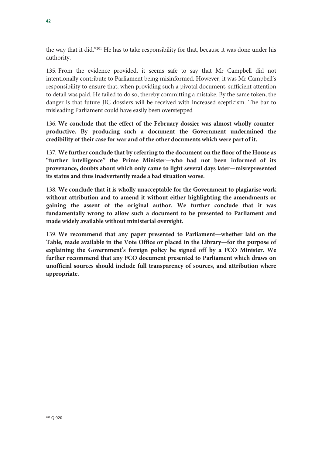the way that it did."201 He has to take responsibility for that, because it was done under his authority.

135. From the evidence provided, it seems safe to say that Mr Campbell did not intentionally contribute to Parliament being misinformed. However, it was Mr Campbell's responsibility to ensure that, when providing such a pivotal document, sufficient attention to detail was paid. He failed to do so, thereby committing a mistake. By the same token, the danger is that future JIC dossiers will be received with increased scepticism. The bar to misleading Parliament could have easily been overstepped

136. **We conclude that the effect of the February dossier was almost wholly counterproductive. By producing such a document the Government undermined the credibility of their case for war and of the other documents which were part of it.**

137. **We further conclude that by referring to the document on the floor of the House as "further intelligence" the Prime Minister—who had not been informed of its provenance, doubts about which only came to light several days later—misrepresented its status and thus inadvertently made a bad situation worse.**

138. **We conclude that it is wholly unacceptable for the Government to plagiarise work without attribution and to amend it without either highlighting the amendments or gaining the assent of the original author. We further conclude that it was fundamentally wrong to allow such a document to be presented to Parliament and made widely available without ministerial oversight.** 

139. **We recommend that any paper presented to Parliament—whether laid on the Table, made available in the Vote Office or placed in the Library—for the purpose of explaining the Government's foreign policy be signed off by a FCO Minister. We further recommend that any FCO document presented to Parliament which draws on unofficial sources should include full transparency of sources, and attribution where appropriate.**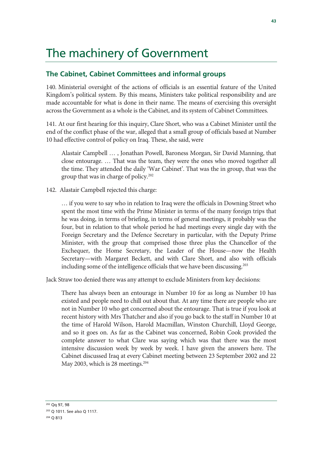# The machinery of Government

# **The Cabinet, Cabinet Committees and informal groups**

140. Ministerial oversight of the actions of officials is an essential feature of the United Kingdom's political system. By this means, Ministers take political responsibility and are made accountable for what is done in their name. The means of exercising this oversight across the Government as a whole is the Cabinet, and its system of Cabinet Committees.

141. At our first hearing for this inquiry, Clare Short, who was a Cabinet Minister until the end of the conflict phase of the war, alleged that a small group of officials based at Number 10 had effective control of policy on Iraq. These, she said, were

Alastair Campbell … , Jonathan Powell, Baroness Morgan, Sir David Manning, that close entourage. … That was the team, they were the ones who moved together all the time. They attended the daily 'War Cabinet'. That was the in group, that was the group that was in charge of policy.202

142. Alastair Campbell rejected this charge:

… if you were to say who in relation to Iraq were the officials in Downing Street who spent the most time with the Prime Minister in terms of the many foreign trips that he was doing, in terms of briefing, in terms of general meetings, it probably was the four, but in relation to that whole period he had meetings every single day with the Foreign Secretary and the Defence Secretary in particular, with the Deputy Prime Minister, with the group that comprised those three plus the Chancellor of the Exchequer, the Home Secretary, the Leader of the House—now the Health Secretary—with Margaret Beckett, and with Clare Short, and also with officials including some of the intelligence officials that we have been discussing.203

Jack Straw too denied there was any attempt to exclude Ministers from key decisions:

There has always been an entourage in Number 10 for as long as Number 10 has existed and people need to chill out about that. At any time there are people who are not in Number 10 who get concerned about the entourage. That is true if you look at recent history with Mrs Thatcher and also if you go back to the staff in Number 10 at the time of Harold Wilson, Harold Macmillan, Winston Churchill, Lloyd George, and so it goes on. As far as the Cabinet was concerned, Robin Cook provided the complete answer to what Clare was saying which was that there was the most intensive discussion week by week by week. I have given the answers here. The Cabinet discussed Iraq at every Cabinet meeting between 23 September 2002 and 22 May 2003, which is 28 meetings.<sup>204</sup>

<sup>202</sup> Qq 97, 98

<sup>203</sup> Q 1011. See also Q 1117.

<sup>204</sup> Q 813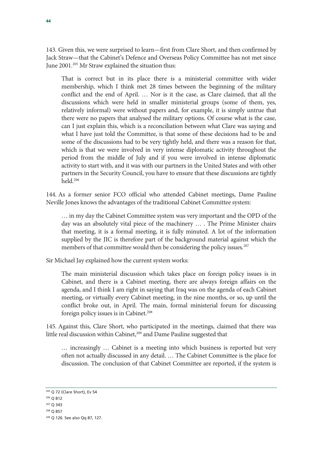143. Given this, we were surprised to learn—first from Clare Short, and then confirmed by Jack Straw—that the Cabinet's Defence and Overseas Policy Committee has not met since June 2001.<sup>205</sup> Mr Straw explained the situation thus:

That is correct but in its place there is a ministerial committee with wider membership, which I think met 28 times between the beginning of the military conflict and the end of April. … Nor is it the case, as Clare claimed, that all the discussions which were held in smaller ministerial groups (some of them, yes, relatively informal) were without papers and, for example, it is simply untrue that there were no papers that analysed the military options. Of course what is the case, can I just explain this, which is a reconciliation between what Clare was saying and what I have just told the Committee, is that some of these decisions had to be and some of the discussions had to be very tightly held, and there was a reason for that, which is that we were involved in very intense diplomatic activity throughout the period from the middle of July and if you were involved in intense diplomatic activity to start with, and it was with our partners in the United States and with other partners in the Security Council, you have to ensure that these discussions are tightly held.206

144. As a former senior FCO official who attended Cabinet meetings, Dame Pauline Neville Jones knows the advantages of the traditional Cabinet Committee system:

… in my day the Cabinet Committee system was very important and the OPD of the day was an absolutely vital piece of the machinery … . The Prime Minister chairs that meeting, it is a formal meeting, it is fully minuted. A lot of the information supplied by the JIC is therefore part of the background material against which the members of that committee would then be considering the policy issues.<sup>207</sup>

Sir Michael Jay explained how the current system works:

The main ministerial discussion which takes place on foreign policy issues is in Cabinet, and there is a Cabinet meeting, there are always foreign affairs on the agenda, and I think I am right in saying that Iraq was on the agenda of each Cabinet meeting, or virtually every Cabinet meeting, in the nine months, or so, up until the conflict broke out, in April. The main, formal ministerial forum for discussing foreign policy issues is in Cabinet.<sup>208</sup>

145. Against this, Clare Short, who participated in the meetings, claimed that there was little real discussion within Cabinet,<sup>209</sup> and Dame Pauline suggested that

… increasingly … Cabinet is a meeting into which business is reported but very often not actually discussed in any detail. … The Cabinet Committee is the place for discussion. The conclusion of that Cabinet Committee are reported, if the system is

<sup>205</sup> Q 72 (Clare Short), Ev 54

<sup>206</sup> Q 812

<sup>207</sup> Q 343

<sup>208</sup> Q 857

<sup>209</sup> Q 126. See also Qq 87, 127.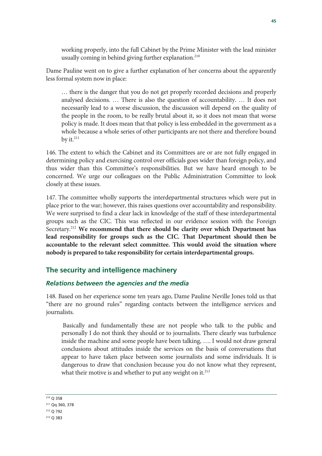working properly, into the full Cabinet by the Prime Minister with the lead minister usually coming in behind giving further explanation.<sup>210</sup>

Dame Pauline went on to give a further explanation of her concerns about the apparently less formal system now in place:

… there is the danger that you do not get properly recorded decisions and properly analysed decisions. … There is also the question of accountability. … It does not necessarily lead to a worse discussion, the discussion will depend on the quality of the people in the room, to be really brutal about it, so it does not mean that worse policy is made. It does mean that that policy is less embedded in the government as a whole because a whole series of other participants are not there and therefore bound by it. $211$ 

146. The extent to which the Cabinet and its Committees are or are not fully engaged in determining policy and exercising control over officials goes wider than foreign policy, and thus wider than this Committee's responsibilities. But we have heard enough to be concerned. We urge our colleagues on the Public Administration Committee to look closely at these issues.

147. The committee wholly supports the interdepartmental structures which were put in place prior to the war; however, this raises questions over accountability and responsibility. We were surprised to find a clear lack in knowledge of the staff of these interdepartmental groups such as the CIC. This was reflected in our evidence session with the Foreign Secretary.212 **We recommend that there should be clarity over which Department has lead responsibility for groups such as the CIC. That Department should then be accountable to the relevant select committee. This would avoid the situation where nobody is prepared to take responsibility for certain interdepartmental groups.**

# **The security and intelligence machinery**

## *Relations between the agencies and the media*

148. Based on her experience some ten years ago, Dame Pauline Neville Jones told us that "there are no ground rules" regarding contacts between the intelligence services and journalists.

 Basically and fundamentally these are not people who talk to the public and personally I do not think they should or to journalists. There clearly was turbulence inside the machine and some people have been talking, …. I would not draw general conclusions about attitudes inside the services on the basis of conversations that appear to have taken place between some journalists and some individuals. It is dangerous to draw that conclusion because you do not know what they represent, what their motive is and whether to put any weight on it.<sup>213</sup>

<sup>211</sup> Qq 360, 378

<sup>212</sup> Q 792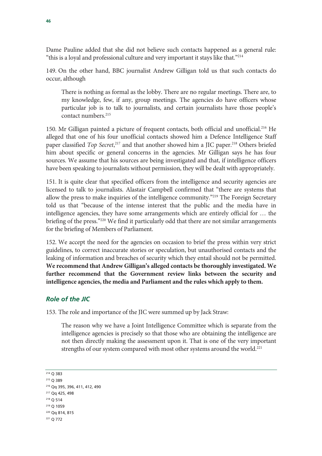Dame Pauline added that she did not believe such contacts happened as a general rule: "this is a loyal and professional culture and very important it stays like that."<sup>214</sup>

149. On the other hand, BBC journalist Andrew Gilligan told us that such contacts do occur, although

There is nothing as formal as the lobby. There are no regular meetings. There are, to my knowledge, few, if any, group meetings. The agencies do have officers whose particular job is to talk to journalists, and certain journalists have those people's contact numbers.<sup>215</sup>

150. Mr Gilligan painted a picture of frequent contacts, both official and unofficial.<sup>216</sup> He alleged that one of his four unofficial contacts showed him a Defence Intelligence Staff paper classified *Top Secret*,<sup>217</sup> and that another showed him a JIC paper.<sup>218</sup> Others briefed him about specific or general concerns in the agencies. Mr Gilligan says he has four sources. We assume that his sources are being investigated and that, if intelligence officers have been speaking to journalists without permission, they will be dealt with appropriately.

151. It is quite clear that specified officers from the intelligence and security agencies are licensed to talk to journalists. Alastair Campbell confirmed that "there are systems that allow the press to make inquiries of the intelligence community."219 The Foreign Secretary told us that "because of the intense interest that the public and the media have in intelligence agencies, they have some arrangements which are entirely official for … the briefing of the press."<sup>220</sup> We find it particularly odd that there are not similar arrangements for the briefing of Members of Parliament.

152. We accept the need for the agencies on occasion to brief the press within very strict guidelines, to correct inaccurate stories or speculation, but unauthorised contacts and the leaking of information and breaches of security which they entail should not be permitted. **We recommend that Andrew Gilligan's alleged contacts be thoroughly investigated. We further recommend that the Government review links between the security and intelligence agencies, the media and Parliament and the rules which apply to them.**

# *Role of the JIC*

153. The role and importance of the JIC were summed up by Jack Straw:

The reason why we have a Joint Intelligence Committee which is separate from the intelligence agencies is precisely so that those who are obtaining the intelligence are not then directly making the assessment upon it. That is one of the very important strengths of our system compared with most other systems around the world.<sup>221</sup>

```
215 Q 389 
216 Qq 395, 396, 411, 412, 490 
217 Qq 425, 498 
218 Q 514 
219 Q 1059 
220 Qq 814, 815 
221 Q 772
```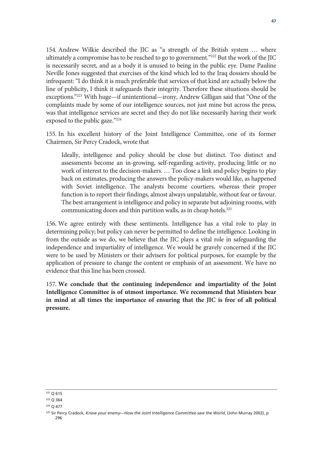154. Andrew Wilkie described the JIC as "a strength of the British system … where ultimately a compromise has to be reached to go to government."222 But the work of the JIC is necessarily secret, and as a body it is unused to being in the public eye. Dame Pauline Neville Jones suggested that exercises of the kind which led to the Iraq dossiers should be infrequent: "I do think it is much preferable that services of that kind are actually below the line of publicity, I think it safeguards their integrity. Therefore these situations should be exceptions."223 With huge—if unintentional—irony, Andrew Gilligan said that "One of the complaints made by some of our intelligence sources, not just mine but across the press, was that intelligence services are secret and they do not like necessarily having their work exposed to the public gaze."<sup>224</sup>

155. In his excellent history of the Joint Intelligence Committee, one of its former Chairmen, Sir Percy Cradock, wrote that

Ideally, intelligence and policy should be close but distinct. Too distinct and assessments become an in-growing, self-regarding activity, producing little or no work of interest to the decision-makers. … Too close a link and policy begins to play back on estimates, producing the answers the policy-makers would like, as happened with Soviet intelligence. The analysts become courtiers, whereas their proper function is to report their findings, almost always unpalatable, without fear or favour. The best arrangement is intelligence and policy in separate but adjoining rooms, with communicating doors and thin partition walls, as in cheap hotels.225

156. We agree entirely with these sentiments. Intelligence has a vital role to play in determining policy; but policy can never be permitted to define the intelligence. Looking in from the outside as we do, we believe that the JIC plays a vital role in safeguarding the independence and impartiality of intelligence. We would be gravely concerned if the JIC were to be used by Ministers or their advisers for political purposes, for example by the application of pressure to change the content or emphasis of an assessment. We have no evidence that this line has been crossed.

157. **We conclude that the continuing independence and impartiality of the Joint Intelligence Committee is of utmost importance. We recommend that Ministers bear in mind at all times the importance of ensuring that the JIC is free of all political pressure.**

<sup>222</sup> Q 615

<sup>223</sup> Q 364

<sup>224</sup> Q 477

<sup>225</sup> Sir Percy Cradock, *Know your enemy—How the Joint Intelligence Committee saw the World*, (John Murray 2002), p 296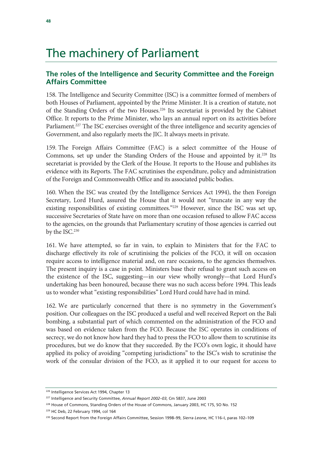# The machinery of Parliament

# **The roles of the Intelligence and Security Committee and the Foreign Affairs Committee**

158. The Intelligence and Security Committee (ISC) is a committee formed of members of both Houses of Parliament, appointed by the Prime Minister. It is a creation of statute, not of the Standing Orders of the two Houses.226 Its secretariat is provided by the Cabinet Office. It reports to the Prime Minister, who lays an annual report on its activities before Parliament.<sup>227</sup> The ISC exercises oversight of the three intelligence and security agencies of Government, and also regularly meets the JIC. It always meets in private.

159. The Foreign Affairs Committee (FAC) is a select committee of the House of Commons, set up under the Standing Orders of the House and appointed by it.<sup>228</sup> Its secretariat is provided by the Clerk of the House. It reports to the House and publishes its evidence with its Reports. The FAC scrutinises the expenditure, policy and administration of the Foreign and Commonwealth Office and its associated public bodies.

160. When the ISC was created (by the Intelligence Services Act 1994), the then Foreign Secretary, Lord Hurd, assured the House that it would not "truncate in any way the existing responsibilities of existing committees."229 However, since the ISC was set up, successive Secretaries of State have on more than one occasion refused to allow FAC access to the agencies, on the grounds that Parliamentary scrutiny of those agencies is carried out by the ISC.<sup>230</sup>

161. We have attempted, so far in vain, to explain to Ministers that for the FAC to discharge effectively its role of scrutinising the policies of the FCO, it will on occasion require access to intelligence material and, on rare occasions, to the agencies themselves. The present inquiry is a case in point. Ministers base their refusal to grant such access on the existence of the ISC, suggesting—in our view wholly wrongly—that Lord Hurd's undertaking has been honoured, because there was no such access before 1994. This leads us to wonder what "existing responsibilities" Lord Hurd could have had in mind.

162. We are particularly concerned that there is no symmetry in the Government's position. Our colleagues on the ISC produced a useful and well received Report on the Bali bombing, a substantial part of which commented on the administration of the FCO and was based on evidence taken from the FCO. Because the ISC operates in conditions of secrecy, we do not know how hard they had to press the FCO to allow them to scrutinise its procedures, but we do know that they succeeded. By the FCO's own logic, it should have applied its policy of avoiding "competing jurisdictions" to the ISC's wish to scrutinise the work of the consular division of the FCO, as it applied it to our request for access to

<sup>226</sup> Intelligence Services Act 1994, Chapter 13

<sup>227</sup> Intelligence and Security Committee, *Annual Report 2002–03*, Cm 5837, June 2003

<sup>&</sup>lt;sup>228</sup> House of Commons, Standing Orders of the House of Commons, January 2003, HC 175, SO No. 152

<sup>229</sup> HC Deb, 22 February 1994, col 164

<sup>230</sup> Second Report from the Foreign Affairs Committee, Session 1998–99, *Sierra Leone*, HC 116–I, paras 102–109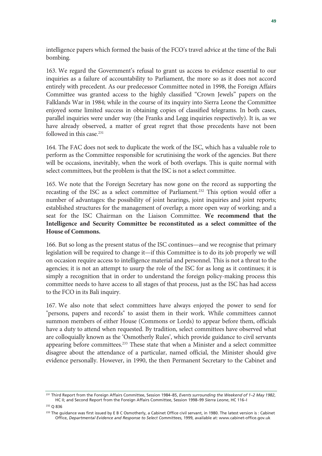intelligence papers which formed the basis of the FCO's travel advice at the time of the Bali bombing.

163. We regard the Government's refusal to grant us access to evidence essential to our inquiries as a failure of accountability to Parliament, the more so as it does not accord entirely with precedent. As our predecessor Committee noted in 1998, the Foreign Affairs Committee was granted access to the highly classified "Crown Jewels" papers on the Falklands War in 1984; while in the course of its inquiry into Sierra Leone the Committee enjoyed some limited success in obtaining copies of classified telegrams. In both cases, parallel inquiries were under way (the Franks and Legg inquiries respectively). It is, as we have already observed, a matter of great regret that those precedents have not been followed in this case.<sup>231</sup>

164. The FAC does not seek to duplicate the work of the ISC, which has a valuable role to perform as the Committee responsible for scrutinising the work of the agencies. But there will be occasions, inevitably, when the work of both overlaps. This is quite normal with select committees, but the problem is that the ISC is not a select committee.

165. We note that the Foreign Secretary has now gone on the record as supporting the recasting of the ISC as a select committee of Parliament.<sup>232</sup> This option would offer a number of advantages: the possibility of joint hearings, joint inquiries and joint reports; established structures for the management of overlap; a more open way of working; and a seat for the ISC Chairman on the Liaison Committee. **We recommend that the Intelligence and Security Committee be reconstituted as a select committee of the House of Commons.**

166. But so long as the present status of the ISC continues—and we recognise that primary legislation will be required to change it—if this Committee is to do its job properly we will on occasion require access to intelligence material and personnel. This is not a threat to the agencies; it is not an attempt to usurp the role of the ISC for as long as it continues; it is simply a recognition that in order to understand the foreign policy-making process this committee needs to have access to all stages of that process, just as the ISC has had access to the FCO in its Bali inquiry.

167. We also note that select committees have always enjoyed the power to send for "persons, papers and records" to assist them in their work. While committees cannot summon members of either House (Commons or Lords) to appear before them, officials have a duty to attend when requested. By tradition, select committees have observed what are colloquially known as the 'Osmotherly Rules', which provide guidance to civil servants appearing before committees.<sup>233</sup> These state that when a Minister and a select committee disagree about the attendance of a particular, named official, the Minister should give evidence personally. However, in 1990, the then Permanent Secretary to the Cabinet and

<sup>231</sup> Third Report from the Foreign Affairs Committee, Session 1984–85, *Events surrounding the Weekend of 1–2 May 1982*, HC II; and Second Report from the Foreign Affairs Committee, Session 1998–99 *Sierra Leone*, HC 116–I

<sup>232</sup> Q 836

<sup>&</sup>lt;sup>233</sup> The guidance was first issued by E B C Osmotherly, a Cabinet Office civil servant, in 1980. The latest version is : Cabinet Office, *Departmental Evidence and Response to Select Committees*, 1999, available at: www.cabinet-office.gov.uk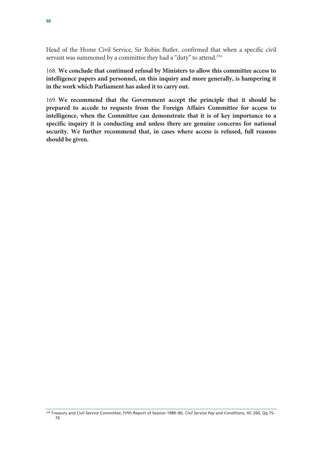Head of the Home Civil Service, Sir Robin Butler, confirmed that when a specific civil servant was summoned by a committee they had a "duty" to attend.<sup>234</sup>

168. **We conclude that continued refusal by Ministers to allow this committee access to intelligence papers and personnel, on this inquiry and more generally, is hampering it in the work which Parliament has asked it to carry out.**

169. **We recommend that the Government accept the principle that it should be prepared to accede to requests from the Foreign Affairs Committee for access to intelligence, when the Committee can demonstrate that it is of key importance to a specific inquiry it is conducting and unless there are genuine concerns for national security. We further recommend that, in cases where access is refused, full reasons should be given.** 

<sup>234</sup> Treasury and Civil Service Committee, Fifth Report of Session 1989–90, *Civil Service Pay and Conditions*, HC 260, Qq 75– 76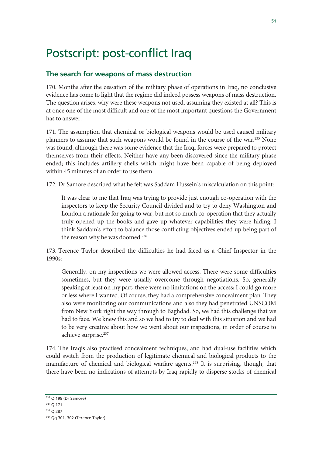# Postscript: post-conflict Iraq

# **The search for weapons of mass destruction**

170. Months after the cessation of the military phase of operations in Iraq, no conclusive evidence has come to light that the regime did indeed possess weapons of mass destruction. The question arises, why were these weapons not used, assuming they existed at all? This is at once one of the most difficult and one of the most important questions the Government has to answer.

171. The assumption that chemical or biological weapons would be used caused military planners to assume that such weapons would be found in the course of the war.235 None was found, although there was some evidence that the Iraqi forces were prepared to protect themselves from their effects. Neither have any been discovered since the military phase ended; this includes artillery shells which might have been capable of being deployed within 45 minutes of an order to use them

172. Dr Samore described what he felt was Saddam Hussein's miscalculation on this point:

It was clear to me that Iraq was trying to provide just enough co-operation with the inspectors to keep the Security Council divided and to try to deny Washington and London a rationale for going to war, but not so much co-operation that they actually truly opened up the books and gave up whatever capabilities they were hiding. I think Saddam's effort to balance those conflicting objectives ended up being part of the reason why he was doomed.<sup>236</sup>

173. Terence Taylor described the difficulties he had faced as a Chief Inspector in the 1990s:

Generally, on my inspections we were allowed access. There were some difficulties sometimes, but they were usually overcome through negotiations. So, generally speaking at least on my part, there were no limitations on the access; I could go more or less where I wanted. Of course, they had a comprehensive concealment plan. They also were monitoring our communications and also they had penetrated UNSCOM from New York right the way through to Baghdad. So, we had this challenge that we had to face. We knew this and so we had to try to deal with this situation and we had to be very creative about how we went about our inspections, in order of course to achieve surprise.<sup>237</sup>

174. The Iraqis also practised concealment techniques, and had dual-use facilities which could switch from the production of legitimate chemical and biological products to the manufacture of chemical and biological warfare agents.<sup>238</sup> It is surprising, though, that there have been no indications of attempts by Iraq rapidly to disperse stocks of chemical

<sup>235</sup> Q 198 (Dr Samore)

<sup>236</sup> Q 171

<sup>237</sup> Q 287

<sup>238</sup> Qq 301, 302 (Terence Taylor)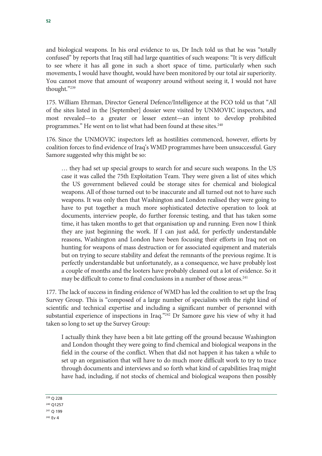and biological weapons. In his oral evidence to us, Dr Inch told us that he was "totally confused" by reports that Iraq still had large quantities of such weapons: "It is very difficult to see where it has all gone in such a short space of time, particularly when such movements, I would have thought, would have been monitored by our total air superiority. You cannot move that amount of weaponry around without seeing it, I would not have thought."239

175. William Ehrman, Director General Defence/Intelligence at the FCO told us that "All of the sites listed in the [September] dossier were visited by UNMOVIC inspectors, and most revealed—to a greater or lesser extent—an intent to develop prohibited programmes." He went on to list what had been found at these sites.<sup>240</sup>

176. Since the UNMOVIC inspectors left as hostilities commenced, however, efforts by coalition forces to find evidence of Iraq's WMD programmes have been unsuccessful. Gary Samore suggested why this might be so:

… they had set up special groups to search for and secure such weapons. In the US case it was called the 75th Exploitation Team. They were given a list of sites which the US government believed could be storage sites for chemical and biological weapons. All of those turned out to be inaccurate and all turned out not to have such weapons. It was only then that Washington and London realised they were going to have to put together a much more sophisticated detective operation to look at documents, interview people, do further forensic testing, and that has taken some time, it has taken months to get that organisation up and running. Even now I think they are just beginning the work. If I can just add, for perfectly understandable reasons, Washington and London have been focusing their efforts in Iraq not on hunting for weapons of mass destruction or for associated equipment and materials but on trying to secure stability and defeat the remnants of the previous regime. It is perfectly understandable but unfortunately, as a consequence, we have probably lost a couple of months and the looters have probably cleaned out a lot of evidence. So it may be difficult to come to final conclusions in a number of those areas.<sup>241</sup>

177. The lack of success in finding evidence of WMD has led the coalition to set up the Iraq Survey Group. This is "composed of a large number of specialists with the right kind of scientific and technical expertise and including a significant number of personnel with substantial experience of inspections in Iraq."242 Dr Samore gave his view of why it had taken so long to set up the Survey Group:

I actually think they have been a bit late getting off the ground because Washington and London thought they were going to find chemical and biological weapons in the field in the course of the conflict. When that did not happen it has taken a while to set up an organisation that will have to do much more difficult work to try to trace through documents and interviews and so forth what kind of capabilities Iraq might have had, including, if not stocks of chemical and biological weapons then possibly

239 Q 228

**52**

<sup>240</sup> Q1257

<sup>241</sup> Q 199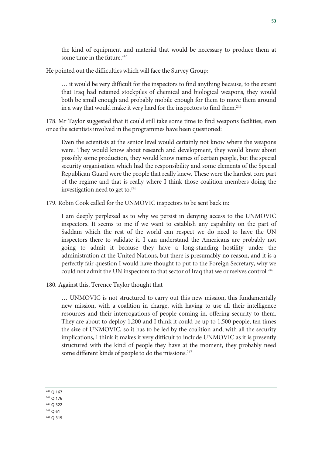the kind of equipment and material that would be necessary to produce them at some time in the future.<sup>243</sup>

He pointed out the difficulties which will face the Survey Group:

… it would be very difficult for the inspectors to find anything because, to the extent that Iraq had retained stockpiles of chemical and biological weapons, they would both be small enough and probably mobile enough for them to move them around in a way that would make it very hard for the inspectors to find them.<sup>244</sup>

178. Mr Taylor suggested that it could still take some time to find weapons facilities, even once the scientists involved in the programmes have been questioned:

Even the scientists at the senior level would certainly not know where the weapons were. They would know about research and development, they would know about possibly some production, they would know names of certain people, but the special security organisation which had the responsibility and some elements of the Special Republican Guard were the people that really knew. These were the hardest core part of the regime and that is really where I think those coalition members doing the investigation need to get to. $245$ 

179. Robin Cook called for the UNMOVIC inspectors to be sent back in:

I am deeply perplexed as to why we persist in denying access to the UNMOVIC inspectors. It seems to me if we want to establish any capability on the part of Saddam which the rest of the world can respect we do need to have the UN inspectors there to validate it. I can understand the Americans are probably not going to admit it because they have a long-standing hostility under the administration at the United Nations, but there is presumably no reason, and it is a perfectly fair question I would have thought to put to the Foreign Secretary, why we could not admit the UN inspectors to that sector of Iraq that we ourselves control.<sup>246</sup>

180. Against this, Terence Taylor thought that

… UNMOVIC is not structured to carry out this new mission, this fundamentally new mission, with a coalition in charge, with having to use all their intelligence resources and their interrogations of people coming in, offering security to them. They are about to deploy 1,200 and I think it could be up to 1,500 people, ten times the size of UNMOVIC, so it has to be led by the coalition and, with all the security implications, I think it makes it very difficult to include UNMOVIC as it is presently structured with the kind of people they have at the moment, they probably need some different kinds of people to do the missions.<sup>247</sup>

243 Q 167

- 244 Q 176
- 245 Q 322
- 246 Q 61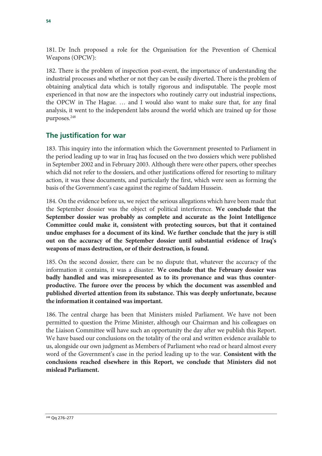181. Dr Inch proposed a role for the Organisation for the Prevention of Chemical Weapons (OPCW):

182. There is the problem of inspection post-event, the importance of understanding the industrial processes and whether or not they can be easily diverted. There is the problem of obtaining analytical data which is totally rigorous and indisputable. The people most experienced in that now are the inspectors who routinely carry out industrial inspections, the OPCW in The Hague. … and I would also want to make sure that, for any final analysis, it went to the independent labs around the world which are trained up for those purposes.248

# **The justification for war**

183. This inquiry into the information which the Government presented to Parliament in the period leading up to war in Iraq has focused on the two dossiers which were published in September 2002 and in February 2003. Although there were other papers, other speeches which did not refer to the dossiers, and other justifications offered for resorting to military action, it was these documents, and particularly the first, which were seen as forming the basis of the Government's case against the regime of Saddam Hussein.

184. On the evidence before us, we reject the serious allegations which have been made that the September dossier was the object of political interference. **We conclude that the September dossier was probably as complete and accurate as the Joint Intelligence Committee could make it, consistent with protecting sources, but that it contained undue emphases for a document of its kind. We further conclude that the jury is still out on the accuracy of the September dossier until substantial evidence of Iraq's weapons of mass destruction, or of their destruction, is found.**

185. On the second dossier, there can be no dispute that, whatever the accuracy of the information it contains, it was a disaster. **We conclude that the February dossier was badly handled and was misrepresented as to its provenance and was thus counterproductive. The furore over the process by which the document was assembled and published diverted attention from its substance. This was deeply unfortunate, because the information it contained was important.**

186. The central charge has been that Ministers misled Parliament. We have not been permitted to question the Prime Minister, although our Chairman and his colleagues on the Liaison Committee will have such an opportunity the day after we publish this Report. We have based our conclusions on the totality of the oral and written evidence available to us, alongside our own judgment as Members of Parliament who read or heard almost every word of the Government's case in the period leading up to the war. **Consistent with the conclusions reached elsewhere in this Report, we conclude that Ministers did not mislead Parliament.**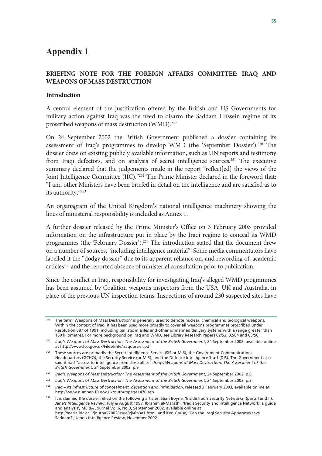# **Appendix 1**

# **BRIEFING NOTE FOR THE FOREIGN AFFAIRS COMMITTEE: IRAQ AND WEAPONS OF MASS DESTRUCTION**

#### **Introduction**

A central element of the justification offered by the British and US Governments for military action against Iraq was the need to disarm the Saddam Hussein regime of its proscribed weapons of mass destruction (WMD).<sup>249</sup>

On 24 September 2002 the British Government published a dossier containing its assessment of Iraq's programmes to develop WMD (the 'September Dossier').<sup>250</sup> The dossier drew on existing publicly available information, such as UN reports and testimony from Iraqi defectors, and on analysis of secret intelligence sources.<sup>251</sup> The executive summary declared that the judgements made in the report "reflect[ed] the views of the Joint Intelligence Committee (JIC)."252 The Prime Minister declared in the foreword that: "I and other Ministers have been briefed in detail on the intelligence and are satisfied as to its authority."253

An organagram of the United Kingdom's national intelligence machinery showing the lines of ministerial responsibility is included as Annex 1.

A further dossier released by the Prime Minister's Office on 3 February 2003 provided information on the infrastructure put in place by the Iraqi regime to conceal its WMD programmes (the 'February Dossier').<sup>254</sup> The introduction stated that the document drew on a number of sources, "including intelligence material". Some media commentators have labelled it the "dodgy dossier" due to its apparent reliance on, and rewording of, academic articles<sup>255</sup> and the reported absence of ministerial consultation prior to publication.

Since the conflict in Iraq, responsibility for investigating Iraq's alleged WMD programmes has been assumed by Coalition weapons inspectors from the USA, UK and Australia, in place of the previous UN inspection teams. Inspections of around 230 suspected sites have

<sup>&</sup>lt;sup>249</sup> The term 'Weapons of Mass Destruction' is generally used to denote nuclear, chemical and biological weapons. Within the context of Iraq, it has been used more broadly to cover all weapons programmes proscribed under Resolution 687 of 1991, including ballistic missiles and other unmanned delivery systems with a range greater than 150 kilometres. For more background on Iraq and WMD, see Library Research Papers 02/53, 02/64 and 03/50.

<sup>250</sup> *Iraq's Weapons of Mass Destruction: The Assessment of the British Government*, 24 September 2002, available online at http://www.fco.gov.uk/Files/kfile/iraqdossier.pdf

<sup>&</sup>lt;sup>251</sup> These sources are primarily the Secret Intelligence Service (SIS or MI6), the Government Communications Headquarters (GCHQ), the Security Service (or MI5), and the Defence Intelligence Staff (DIS). The Government also said it had "access to intelligence from close allies". *Iraq's Weapons of Mass Destruction: The Assessment of the British Government*, 24 September 2002, p.9

<sup>252</sup> *Iraq's Weapons of Mass Destruction: The Assessment of the British Government*, 24 September 2002, p.6

<sup>253</sup> *Iraq's Weapons of Mass Destruction: The Assessment of the British Government*, 24 September 2002, p.3

<sup>254</sup> *Iraq – its infrastructure of concealment, deception and intimidation*, released 3 February 2003, available online at http://www.number-10.gov.uk/output/page1470.asp

<sup>&</sup>lt;sup>255</sup> It is claimed the dossier relied on the following articles: Sean Boyne, 'Inside Iraq's Security Networks' (parts I and II), *Jane's Intelligence Review*, July & August 1997, Ibrahim al-Marashi, 'Iraq's Security and Intelligence Network: a guide and analysis', MERIA Journal Vol.6, No.3, September 2002, available online at http://meria.idc.ac.il/journal/2002/issue3/jv6n3a1.html, and Ken Gause, 'Can the Iraqi Security Apparatus save Saddam?', Jane's Intelligence Review, November 2002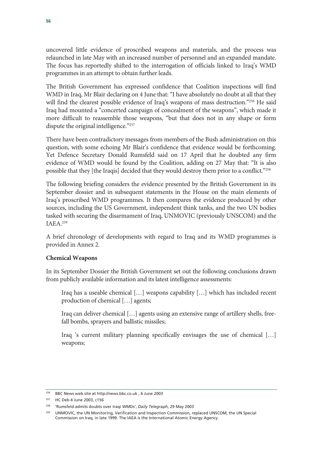uncovered little evidence of proscribed weapons and materials, and the process was relaunched in late May with an increased number of personnel and an expanded mandate. The focus has reportedly shifted to the interrogation of officials linked to Iraq's WMD programmes in an attempt to obtain further leads.

The British Government has expressed confidence that Coalition inspections will find WMD in Iraq, Mr Blair declaring on 4 June that: "I have absolutely no doubt at all that they will find the clearest possible evidence of Iraq's weapons of mass destruction."256 He said Iraq had mounted a "concerted campaign of concealment of the weapons", which made it more difficult to reassemble those weapons, "but that does not in any shape or form dispute the original intelligence."257

There have been contradictory messages from members of the Bush administration on this question, with some echoing Mr Blair's confidence that evidence would be forthcoming. Yet Defence Secretary Donald Rumsfeld said on 17 April that he doubted any firm evidence of WMD would be found by the Coalition, adding on 27 May that: "It is also possible that they [the Iraqis] decided that they would destroy them prior to a conflict."258

The following briefing considers the evidence presented by the British Government in its September dossier and in subsequent statements in the House on the main elements of Iraq's proscribed WMD programmes. It then compares the evidence produced by other sources, including the US Government, independent think tanks, and the two UN bodies tasked with securing the disarmament of Iraq, UNMOVIC (previously UNSCOM) and the IAEA.259

A brief chronology of developments with regard to Iraq and its WMD programmes is provided in Annex 2.

# **Chemical Weapons**

In its September Dossier the British Government set out the following conclusions drawn from publicly available information and its latest intelligence assessments:

Iraq has a useable chemical […] weapons capability […] which has included recent production of chemical […] agents;

Iraq can deliver chemical […] agents using an extensive range of artillery shells, freefall bombs, sprayers and ballistic missiles;

Iraq 's current military planning specifically envisages the use of chemical […] weapons;

<sup>256</sup> BBC News web site at http://news.bbc.co.uk , 6 June 2003

<sup>257</sup> HC Deb 4 June 2003, c156

<sup>258 &#</sup>x27;Rumsfeld admits doubts over Iraqi WMDs', *Daily Telegraph*, 29 May 2003

<sup>259</sup> UNMOVIC, the UN Monitoring, Verification and Inspection Commission, replaced UNSCOM, the UN Special Commission on Iraq, in late 1999. The IAEA is the International Atomic Energy Agency.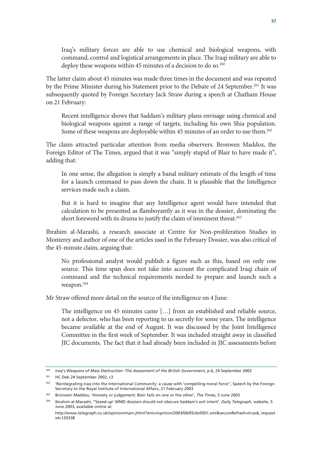Iraq's military forces are able to use chemical and biological weapons, with command, control and logistical arrangements in place. The Iraqi military are able to deploy these weapons within 45 minutes of a decision to do so.<sup>260</sup>

The latter claim about 45 minutes was made three times in the document and was repeated by the Prime Minister during his Statement prior to the Debate of 24 September.<sup>261</sup> It was subsequently quoted by Foreign Secretary Jack Straw during a speech at Chatham House on 21 February:

Recent intelligence shows that Saddam's military plans envisage using chemical and biological weapons against a range of targets, including his own Shia population. Some of these weapons are deployable within 45 minutes of an order to use them.<sup>262</sup>

The claim attracted particular attention from media observers. Bronwen Maddox, the Foreign Editor of The Times, argued that it was "simply stupid of Blair to have made it", adding that:

In one sense, the allegation is simply a banal military estimate of the length of time for a launch command to pass down the chain. It is plausible that the Intelligence services made such a claim.

But it is hard to imagine that any Intelligence agent would have intended that calculation to be presented as flamboyantly as it was in the dossier, dominating the short foreword with its drama to justify the claim of imminent threat.<sup>263</sup>

Ibrahim al-Marashi, a research associate at Centre for Non-proliferation Studies in Monterey and author of one of the articles used in the February Dossier, was also critical of the 45-minute claim, arguing that:

No professional analyst would publish a figure such as this, based on only one source. This time span does not take into account the complicated Iraqi chain of command and the technical requirements needed to prepare and launch such a weapon.264

Mr Straw offered more detail on the source of the intelligence on 4 June:

The intelligence on 45 minutes came […] from an established and reliable source, not a defector, who has been reporting to us secretly for some years. The intelligence became available at the end of August. It was discussed by the Joint Intelligence Committee in the first week of September. It was included straight away in classified JIC documents. The fact that it had already been included in JIC assessments before

<sup>260</sup> *Iraq's Weapons of Mass Destruction: The Assessment of the British Government*, p.6, 24 September 2002

<sup>261</sup> HC Deb 24 September 2002, c3

<sup>&</sup>lt;sup>262</sup> 'Reintegrating Iraq into the International Community: a cause with 'compelling moral force'', Speech by the Foreign Secretary to the Royal Institute of International Affairs, 21 February 2003

<sup>263</sup> Bronwen Maddox, 'Honesty or judgement: Blair fails on one or the other', *The Times*, 5 June 2003

<sup>264</sup> Ibrahim al-Marashi, ''Sexed-up' WMD dossiers should not obscure Saddam's evil intent', *Daily Telegraph*, website, 5 June 2003, available online at

http://www.telegraph.co.uk/opinion/main.jhtml?xml=/opinion/2003/06/05/do0501.xml&secureRefresh=true&\_request id=120338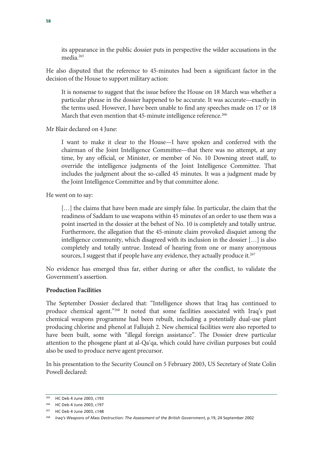its appearance in the public dossier puts in perspective the wilder accusations in the media.265

He also disputed that the reference to 45-minutes had been a significant factor in the decision of the House to support military action:

It is nonsense to suggest that the issue before the House on 18 March was whether a particular phrase in the dossier happened to be accurate. It was accurate—exactly in the terms used. However, I have been unable to find any speeches made on 17 or 18 March that even mention that 45-minute intelligence reference.<sup>266</sup>

Mr Blair declared on 4 June:

I want to make it clear to the House—I have spoken and conferred with the chairman of the Joint Intelligence Committee—that there was no attempt, at any time, by any official, or Minister, or member of No. 10 Downing street staff, to override the intelligence judgments of the Joint Intelligence Committee. That includes the judgment about the so-called 45 minutes. It was a judgment made by the Joint Intelligence Committee and by that committee alone.

He went on to say:

[...] the claims that have been made are simply false. In particular, the claim that the readiness of Saddam to use weapons within 45 minutes of an order to use them was a point inserted in the dossier at the behest of No. 10 is completely and totally untrue. Furthermore, the allegation that the 45-minute claim provoked disquiet among the intelligence community, which disagreed with its inclusion in the dossier […] is also completely and totally untrue. Instead of hearing from one or many anonymous sources, I suggest that if people have any evidence, they actually produce it.<sup>267</sup>

No evidence has emerged thus far, either during or after the conflict, to validate the Government's assertion.

## **Production Facilities**

The September Dossier declared that: "Intelligence shows that Iraq has continued to produce chemical agent."268 It noted that some facilities associated with Iraq's past chemical weapons programme had been rebuilt, including a potentially dual-use plant producing chlorine and phenol at Fallujah 2. New chemical facilities were also reported to have been built, some with "illegal foreign assistance". The Dossier drew particular attention to the phosgene plant at al-Qa'qa, which could have civilian purposes but could also be used to produce nerve agent precursor.

In his presentation to the Security Council on 5 February 2003, US Secretary of State Colin Powell declared:

<sup>265</sup> HC Deb 4 June 2003, c193

<sup>266</sup> HC Deb 4 June 2003, c197

<sup>267</sup> HC Deb 4 June 2003, c148

<sup>268</sup> *Iraq's Weapons of Mass Destruction: The Assessment of the British Government*, p.19, 24 September 2002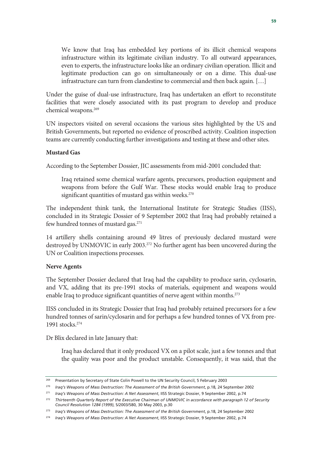We know that Iraq has embedded key portions of its illicit chemical weapons infrastructure within its legitimate civilian industry. To all outward appearances, even to experts, the infrastructure looks like an ordinary civilian operation. Illicit and legitimate production can go on simultaneously or on a dime. This dual-use infrastructure can turn from clandestine to commercial and then back again. […]

Under the guise of dual-use infrastructure, Iraq has undertaken an effort to reconstitute facilities that were closely associated with its past program to develop and produce chemical weapons.269

UN inspectors visited on several occasions the various sites highlighted by the US and British Governments, but reported no evidence of proscribed activity. Coalition inspection teams are currently conducting further investigations and testing at these and other sites.

## **Mustard Gas**

According to the September Dossier, JIC assessments from mid-2001 concluded that:

Iraq retained some chemical warfare agents, precursors, production equipment and weapons from before the Gulf War. These stocks would enable Iraq to produce significant quantities of mustard gas within weeks. $270$ 

The independent think tank, the International Institute for Strategic Studies (IISS), concluded in its Strategic Dossier of 9 September 2002 that Iraq had probably retained a few hundred tonnes of mustard gas.271

14 artillery shells containing around 49 litres of previously declared mustard were destroyed by UNMOVIC in early 2003.<sup>272</sup> No further agent has been uncovered during the UN or Coalition inspections processes.

## **Nerve Agents**

The September Dossier declared that Iraq had the capability to produce sarin, cyclosarin, and VX, adding that its pre-1991 stocks of materials, equipment and weapons would enable Iraq to produce significant quantities of nerve agent within months.<sup>273</sup>

IISS concluded in its Strategic Dossier that Iraq had probably retained precursors for a few hundred tonnes of sarin/cyclosarin and for perhaps a few hundred tonnes of VX from pre-1991 stocks.274

Dr Blix declared in late January that:

Iraq has declared that it only produced VX on a pilot scale, just a few tonnes and that the quality was poor and the product unstable. Consequently, it was said, that the

<sup>&</sup>lt;sup>269</sup> Presentation by Secretary of State Colin Powell to the UN Security Council, 5 February 2003

<sup>270</sup> *Iraq's Weapons of Mass Destruction: The Assessment of the British Government*, p.18, 24 September 2002

<sup>271</sup> *Iraq's Weapons of Mass Destruction: A Net Assessment*, IISS Strategic Dossier, 9 September 2002, p.74

<sup>272</sup> *Thirteenth Quarterly Report of the Executive Chairman of UNMOVIC in accordance with paragraph 12 of Security Council Resolution 1284 (1999)*, S/2003/580, 30 May 2003, p.30

<sup>273</sup> *Iraq's Weapons of Mass Destruction: The Assessment of the British Government*, p.18, 24 September 2002

<sup>274</sup> *Iraq's Weapons of Mass Destruction: A Net Assessment*, IISS Strategic Dossier, 9 September 2002, p.74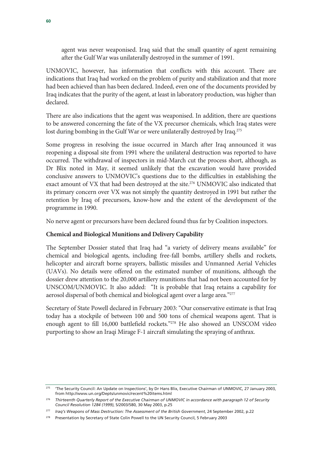agent was never weaponised. Iraq said that the small quantity of agent remaining after the Gulf War was unilaterally destroyed in the summer of 1991.

UNMOVIC, however, has information that conflicts with this account. There are indications that Iraq had worked on the problem of purity and stabilization and that more had been achieved than has been declared. Indeed, even one of the documents provided by Iraq indicates that the purity of the agent, at least in laboratory production, was higher than declared.

There are also indications that the agent was weaponised. In addition, there are questions to be answered concerning the fate of the VX precursor chemicals, which Iraq states were lost during bombing in the Gulf War or were unilaterally destroyed by Iraq.<sup>275</sup>

Some progress in resolving the issue occurred in March after Iraq announced it was reopening a disposal site from 1991 where the unilateral destruction was reported to have occurred. The withdrawal of inspectors in mid-March cut the process short, although, as Dr Blix noted in May, it seemed unlikely that the excavation would have provided conclusive answers to UNMOVIC's questions due to the difficulties in establishing the exact amount of VX that had been destroyed at the site.<sup>276</sup> UNMOVIC also indicated that its primary concern over VX was not simply the quantity destroyed in 1991 but rather the retention by Iraq of precursors, know-how and the extent of the development of the programme in 1990.

No nerve agent or precursors have been declared found thus far by Coalition inspectors.

# **Chemical and Biological Munitions and Delivery Capability**

The September Dossier stated that Iraq had "a variety of delivery means available" for chemical and biological agents, including free-fall bombs, artillery shells and rockets, helicopter and aircraft borne sprayers, ballistic missiles and Unmanned Aerial Vehicles (UAVs). No details were offered on the estimated number of munitions, although the dossier drew attention to the 20,000 artillery munitions that had not been accounted for by UNSCOM/UNMOVIC. It also added: "It is probable that Iraq retains a capability for aerosol dispersal of both chemical and biological agent over a large area."<sup>277</sup>

Secretary of State Powell declared in February 2003: "Our conservative estimate is that Iraq today has a stockpile of between 100 and 500 tons of chemical weapons agent. That is enough agent to fill 16,000 battlefield rockets."278 He also showed an UNSCOM video purporting to show an Iraqi Mirage F-1 aircraft simulating the spraying of anthrax.

<sup>&</sup>lt;sup>275</sup> 'The Security Council: An Update on Inspections', by Dr Hans Blix, Executive Chairman of UNMOVIC, 27 January 2003, from http://www.un.org/Depts/unmovic/recent%20items.html

<sup>276</sup> *Thirteenth Quarterly Report of the Executive Chairman of UNMOVIC in accordance with paragraph 12 of Security Council Resolution 1284 (1999)*, S/2003/580, 30 May 2003, p.25

<sup>277</sup> *Iraq's Weapons of Mass Destruction: The Assessment of the British Government*, 24 September 2002, p.22

<sup>&</sup>lt;sup>278</sup> Presentation by Secretary of State Colin Powell to the UN Security Council, 5 February 2003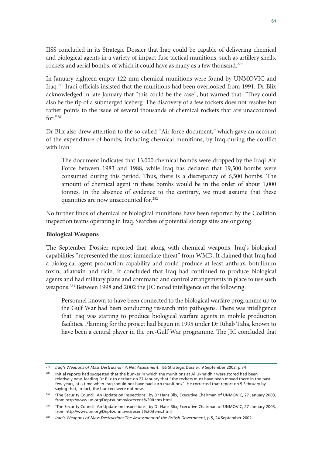IISS concluded in its Strategic Dossier that Iraq could be capable of delivering chemical and biological agents in a variety of impact-fuse tactical munitions, such as artillery shells, rockets and aerial bombs, of which it could have as many as a few thousand.<sup>279</sup>

In January eighteen empty 122-mm chemical munitions were found by UNMOVIC and Iraq.280 Iraqi officials insisted that the munitions had been overlooked from 1991. Dr Blix acknowledged in late January that "this could be the case", but warned that: "They could also be the tip of a submerged iceberg. The discovery of a few rockets does not resolve but rather points to the issue of several thousands of chemical rockets that are unaccounted for."281

Dr Blix also drew attention to the so-called "Air force document," which gave an account of the expenditure of bombs, including chemical munitions, by Iraq during the conflict with Iran:

The document indicates that 13,000 chemical bombs were dropped by the Iraqi Air Force between 1983 and 1988, while Iraq has declared that 19,500 bombs were consumed during this period. Thus, there is a discrepancy of 6,500 bombs. The amount of chemical agent in these bombs would be in the order of about 1,000 tonnes. In the absence of evidence to the contrary, we must assume that these quantities are now unaccounted for.<sup>282</sup>

No further finds of chemical or biological munitions have been reported by the Coalition inspection teams operating in Iraq. Searches of potential storage sites are ongoing.

#### **Biological Weapons**

The September Dossier reported that, along with chemical weapons, Iraq's biological capabilities "represented the most immediate threat" from WMD. It claimed that Iraq had a biological agent production capability and could produce at least anthrax, botulinum toxin, aflatoxin and ricin. It concluded that Iraq had continued to produce biological agents and had military plans and command and control arrangements in place to use such weapons.283 Between 1998 and 2002 the JIC noted intelligence on the following:

Personnel known to have been connected to the biological warfare programme up to the Gulf War had been conducting research into pathogens. There was intelligence that Iraq was starting to produce biological warfare agents in mobile production facilities. Planning for the project had begun in 1995 under Dr Rihab Taha, known to have been a central player in the pre-Gulf War programme. The JIC concluded that

<sup>279</sup> *Iraq's Weapons of Mass Destruction: A Net Assessment*, IISS Strategic Dossier, 9 September 2002, p.74

<sup>&</sup>lt;sup>280</sup> Initial reports had suggested that the bunker in which the munitions at Al Ukhaidhir were stored had been relatively new, leading Dr Blix to declare on 27 January that "the rockets must have been moved there in the past few years, at a time when Iraq should not have had such munitions". He corrected that report on 9 February by saying that, in fact, the bunkers were not new

<sup>&</sup>lt;sup>281</sup> 'The Security Council: An Update on Inspections', by Dr Hans Blix, Executive Chairman of UNMOVIC, 27 January 2003, from http://www.un.org/Depts/unmovic/recent%20items.html

<sup>&</sup>lt;sup>282</sup> 'The Security Council: An Update on Inspections', by Dr Hans Blix, Executive Chairman of UNMOVIC, 27 January 2003, from http://www.un.org/Depts/unmovic/recent%20items.html

<sup>283</sup> *Iraq's Weapons of Mass Destruction: The Assessment of the British Government*, p.5, 24 September 2002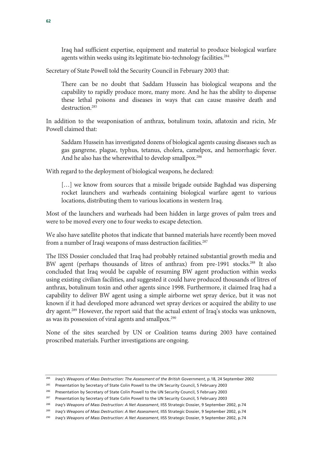Iraq had sufficient expertise, equipment and material to produce biological warfare agents within weeks using its legitimate bio-technology facilities.<sup>284</sup>

Secretary of State Powell told the Security Council in February 2003 that:

There can be no doubt that Saddam Hussein has biological weapons and the capability to rapidly produce more, many more. And he has the ability to dispense these lethal poisons and diseases in ways that can cause massive death and destruction.<sup>285</sup>

In addition to the weaponisation of anthrax, botulinum toxin, aflatoxin and ricin, Mr Powell claimed that:

Saddam Hussein has investigated dozens of biological agents causing diseases such as gas gangrene, plague, typhus, tetanus, cholera, camelpox, and hemorrhagic fever. And he also has the wherewithal to develop smallpox.<sup>286</sup>

With regard to the deployment of biological weapons, he declared:

[…] we know from sources that a missile brigade outside Baghdad was dispersing rocket launchers and warheads containing biological warfare agent to various locations, distributing them to various locations in western Iraq.

Most of the launchers and warheads had been hidden in large groves of palm trees and were to be moved every one to four weeks to escape detection.

We also have satellite photos that indicate that banned materials have recently been moved from a number of Iraqi weapons of mass destruction facilities.<sup>287</sup>

The IISS Dossier concluded that Iraq had probably retained substantial growth media and BW agent (perhaps thousands of litres of anthrax) from pre-1991 stocks.<sup>288</sup> It also concluded that Iraq would be capable of resuming BW agent production within weeks using existing civilian facilities, and suggested it could have produced thousands of litres of anthrax, botulinum toxin and other agents since 1998. Furthermore, it claimed Iraq had a capability to deliver BW agent using a simple airborne wet spray device, but it was not known if it had developed more advanced wet spray devices or acquired the ability to use dry agent.289 However, the report said that the actual extent of Iraq's stocks was unknown, as was its possession of viral agents and smallpox.<sup>290</sup>

None of the sites searched by UN or Coalition teams during 2003 have contained proscribed materials. Further investigations are ongoing.

<sup>284</sup> *Iraq's Weapons of Mass Destruction: The Assessment of the British Government*, p.18, 24 September 2002

<sup>&</sup>lt;sup>285</sup> Presentation by Secretary of State Colin Powell to the UN Security Council, 5 February 2003

<sup>&</sup>lt;sup>286</sup> Presentation by Secretary of State Colin Powell to the UN Security Council, 5 February 2003

<sup>&</sup>lt;sup>287</sup> Presentation by Secretary of State Colin Powell to the UN Security Council, 5 February 2003

<sup>288</sup> *Iraq's Weapons of Mass Destruction: A Net Assessment*, IISS Strategic Dossier, 9 September 2002, p.74

<sup>289</sup> *Iraq's Weapons of Mass Destruction: A Net Assessment*, IISS Strategic Dossier, 9 September 2002, p.74

<sup>290</sup> *Iraq's Weapons of Mass Destruction: A Net Assessment*, IISS Strategic Dossier, 9 September 2002, p.74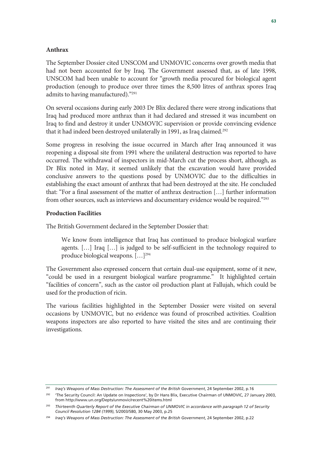#### **Anthrax**

The September Dossier cited UNSCOM and UNMOVIC concerns over growth media that had not been accounted for by Iraq. The Government assessed that, as of late 1998, UNSCOM had been unable to account for "growth media procured for biological agent production (enough to produce over three times the 8,500 litres of anthrax spores Iraq admits to having manufactured)."291

On several occasions during early 2003 Dr Blix declared there were strong indications that Iraq had produced more anthrax than it had declared and stressed it was incumbent on Iraq to find and destroy it under UNMOVIC supervision or provide convincing evidence that it had indeed been destroyed unilaterally in 1991, as Iraq claimed.<sup>292</sup>

Some progress in resolving the issue occurred in March after Iraq announced it was reopening a disposal site from 1991 where the unilateral destruction was reported to have occurred. The withdrawal of inspectors in mid-March cut the process short, although, as Dr Blix noted in May, it seemed unlikely that the excavation would have provided conclusive answers to the questions posed by UNMOVIC due to the difficulties in establishing the exact amount of anthrax that had been destroyed at the site. He concluded that: "For a final assessment of the matter of anthrax destruction […] further information from other sources, such as interviews and documentary evidence would be required."<sup>293</sup>

#### **Production Facilities**

The British Government declared in the September Dossier that:

We know from intelligence that Iraq has continued to produce biological warfare agents. […] Iraq […] is judged to be self-sufficient in the technology required to produce biological weapons. […]294

The Government also expressed concern that certain dual-use equipment, some of it new, "could be used in a resurgent biological warfare programme." It highlighted certain "facilities of concern", such as the castor oil production plant at Fallujah, which could be used for the production of ricin.

The various facilities highlighted in the September Dossier were visited on several occasions by UNMOVIC, but no evidence was found of proscribed activities. Coalition weapons inspectors are also reported to have visited the sites and are continuing their investigations.

<sup>291</sup> *Iraq's Weapons of Mass Destruction: The Assessment of the British Government*, 24 September 2002, p.16

<sup>&</sup>lt;sup>292</sup> 'The Security Council: An Update on Inspections', by Dr Hans Blix, Executive Chairman of UNMOVIC, 27 January 2003, from http://www.un.org/Depts/unmovic/recent%20items.html

<sup>293</sup> *Thirteenth Quarterly Report of the Executive Chairman of UNMOVIC in accordance with paragraph 12 of Security Council Resolution 1284 (1999)*, S/2003/580, 30 May 2003, p.25

<sup>294</sup> *Iraq's Weapons of Mass Destruction: The Assessment of the British Government*, 24 September 2002, p.22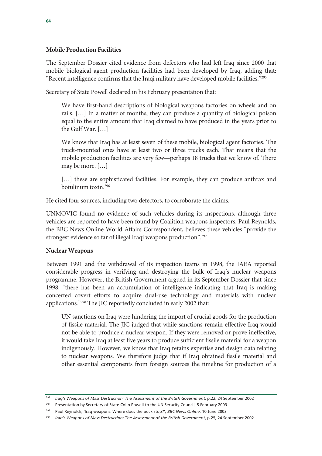## **Mobile Production Facilities**

The September Dossier cited evidence from defectors who had left Iraq since 2000 that mobile biological agent production facilities had been developed by Iraq, adding that: "Recent intelligence confirms that the Iraqi military have developed mobile facilities."295

Secretary of State Powell declared in his February presentation that:

We have first-hand descriptions of biological weapons factories on wheels and on rails. […] In a matter of months, they can produce a quantity of biological poison equal to the entire amount that Iraq claimed to have produced in the years prior to the Gulf War. […]

We know that Iraq has at least seven of these mobile, biological agent factories. The truck-mounted ones have at least two or three trucks each. That means that the mobile production facilities are very few—perhaps 18 trucks that we know of. There may be more. […]

[...] these are sophisticated facilities. For example, they can produce anthrax and botulinum toxin.296

He cited four sources, including two defectors, to corroborate the claims.

UNMOVIC found no evidence of such vehicles during its inspections, although three vehicles are reported to have been found by Coalition weapons inspectors. Paul Reynolds, the BBC News Online World Affairs Correspondent, believes these vehicles "provide the strongest evidence so far of illegal Iraqi weapons production".297

## **Nuclear Weapons**

Between 1991 and the withdrawal of its inspection teams in 1998, the IAEA reported considerable progress in verifying and destroying the bulk of Iraq's nuclear weapons programme. However, the British Government argued in its September Dossier that since 1998: "there has been an accumulation of intelligence indicating that Iraq is making concerted covert efforts to acquire dual-use technology and materials with nuclear applications."298 The JIC reportedly concluded in early 2002 that:

UN sanctions on Iraq were hindering the import of crucial goods for the production of fissile material. The JIC judged that while sanctions remain effective Iraq would not be able to produce a nuclear weapon. If they were removed or prove ineffective, it would take Iraq at least five years to produce sufficient fissile material for a weapon indigenously. However, we know that Iraq retains expertise and design data relating to nuclear weapons. We therefore judge that if Iraq obtained fissile material and other essential components from foreign sources the timeline for production of a

<sup>295</sup> *Iraq's Weapons of Mass Destruction: The Assessment of the British Government*, p.22, 24 September 2002

<sup>&</sup>lt;sup>296</sup> Presentation by Secretary of State Colin Powell to the UN Security Council, 5 February 2003

<sup>297</sup> Paul Reynolds, 'Iraq weapons: Where does the buck stop?', *BBC News Online*, 10 June 2003

<sup>298</sup> *Iraq's Weapons of Mass Destruction: The Assessment of the British Government*, p.25, 24 September 2002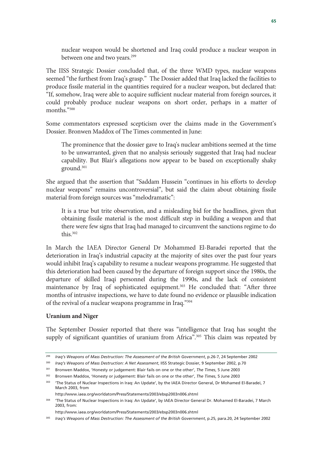nuclear weapon would be shortened and Iraq could produce a nuclear weapon in between one and two years.<sup>299</sup>

The IISS Strategic Dossier concluded that, of the three WMD types, nuclear weapons seemed "the furthest from Iraq's grasp." The Dossier added that Iraq lacked the facilities to produce fissile material in the quantities required for a nuclear weapon, but declared that: "If, somehow, Iraq were able to acquire sufficient nuclear material from foreign sources, it could probably produce nuclear weapons on short order, perhaps in a matter of months."300

Some commentators expressed scepticism over the claims made in the Government's Dossier. Bronwen Maddox of The Times commented in June:

The prominence that the dossier gave to Iraq's nuclear ambitions seemed at the time to be unwarranted, given that no analysis seriously suggested that Iraq had nuclear capability. But Blair's allegations now appear to be based on exceptionally shaky ground.301

She argued that the assertion that "Saddam Hussein "continues in his efforts to develop nuclear weapons" remains uncontroversial", but said the claim about obtaining fissile material from foreign sources was "melodramatic":

It is a true but trite observation, and a misleading bid for the headlines, given that obtaining fissile material is the most difficult step in building a weapon and that there were few signs that Iraq had managed to circumvent the sanctions regime to do this.302

In March the IAEA Director General Dr Mohammed El-Baradei reported that the deterioration in Iraq's industrial capacity at the majority of sites over the past four years would inhibit Iraq's capability to resume a nuclear weapons programme. He suggested that this deterioration had been caused by the departure of foreign support since the 1980s, the departure of skilled Iraqi personnel during the 1990s, and the lack of consistent maintenance by Iraq of sophisticated equipment.<sup>303</sup> He concluded that: "After three months of intrusive inspections, we have to date found no evidence or plausible indication of the revival of a nuclear weapons programme in Iraq."304

#### **Uranium and Niger**

The September Dossier reported that there was "intelligence that Iraq has sought the supply of significant quantities of uranium from Africa".<sup>305</sup> This claim was repeated by

http://www.iaea.org/worldatom/Press/Statements/2003/ebsp2003n006.shtml

http://www.iaea.org/worldatom/Press/Statements/2003/ebsp2003n006.shtml

<sup>299</sup> *Iraq's Weapons of Mass Destruction: The Assessment of the British Government*, p.26-7, 24 September 2002

<sup>300</sup> *Iraq's Weapons of Mass Destruction: A Net Assessment*, IISS Strategic Dossier, 9 September 2002, p.70

<sup>301</sup> Bronwen Maddox, 'Honesty or judgement: Blair fails on one or the other', *The Times*, 5 June 2003

<sup>302</sup> Bronwen Maddox, 'Honesty or judgement: Blair fails on one or the other', *The Times*, 5 June 2003

<sup>&</sup>lt;sup>303</sup> 'The Status of Nuclear Inspections in Iraq: An Update', by the IAEA Director General, Dr Mohamed El-Baradei, 7 March 2003, from

<sup>304 &#</sup>x27;The Status of Nuclear Inspections in Iraq: An Update', by IAEA Director General Dr. Mohamed El-Baradei, 7 March 2003, from:

<sup>&</sup>lt;sup>305</sup> Iraq's Weapons of Mass Destruction: The Assessment of the British Government, p.25, para.20, 24 September 2002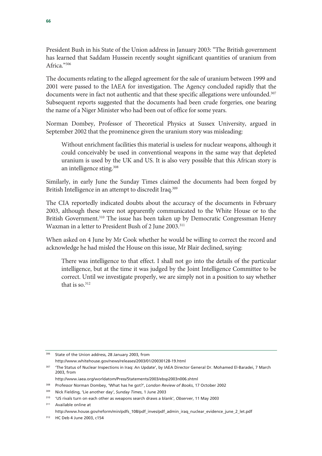President Bush in his State of the Union address in January 2003: "The British government has learned that Saddam Hussein recently sought significant quantities of uranium from Africa."306

The documents relating to the alleged agreement for the sale of uranium between 1999 and 2001 were passed to the IAEA for investigation. The Agency concluded rapidly that the documents were in fact not authentic and that these specific allegations were unfounded.<sup>307</sup> Subsequent reports suggested that the documents had been crude forgeries, one bearing the name of a Niger Minister who had been out of office for some years.

Norman Dombey, Professor of Theoretical Physics at Sussex University, argued in September 2002 that the prominence given the uranium story was misleading:

Without enrichment facilities this material is useless for nuclear weapons, although it could conceivably be used in conventional weapons in the same way that depleted uranium is used by the UK and US. It is also very possible that this African story is an intelligence sting.308

Similarly, in early June the Sunday Times claimed the documents had been forged by British Intelligence in an attempt to discredit Iraq.<sup>309</sup>

The CIA reportedly indicated doubts about the accuracy of the documents in February 2003, although these were not apparently communicated to the White House or to the British Government.<sup>310</sup> The issue has been taken up by Democratic Congressman Henry Waxman in a letter to President Bush of 2 June 2003.<sup>311</sup>

When asked on 4 June by Mr Cook whether he would be willing to correct the record and acknowledge he had misled the House on this issue, Mr Blair declined, saying:

There was intelligence to that effect. I shall not go into the details of the particular intelligence, but at the time it was judged by the Joint Intelligence Committee to be correct. Until we investigate properly, we are simply not in a position to say whether that is so. $312$ 

<sup>&</sup>lt;sup>306</sup> State of the Union address, 28 January 2003, from

http://www.whitehouse.gov/news/releases/2003/01/20030128-19.html

<sup>&</sup>lt;sup>307</sup> 'The Status of Nuclear Inspections in Iraq: An Update', by IAEA Director General Dr. Mohamed El-Baradei, 7 March 2003, from

http://www.iaea.org/worldatom/Press/Statements/2003/ebsp2003n006.shtml

<sup>308</sup> Professor Norman Dombey, 'What has he got?', *London Review of Books*, 17 October 2002

<sup>309</sup> Nick Fielding, 'Lie another day', *Sunday Times*, 1 June 2003

<sup>310 &#</sup>x27;US rivals turn on each other as weapons search draws a blank', *Observer*, 11 May 2003

<sup>311</sup> Available online at http://www.house.gov/reform/min/pdfs\_108/pdf\_inves/pdf\_admin\_iraq\_nuclear\_evidence\_june\_2\_let.pdf

<sup>312</sup> HC Deb 4 June 2003, c154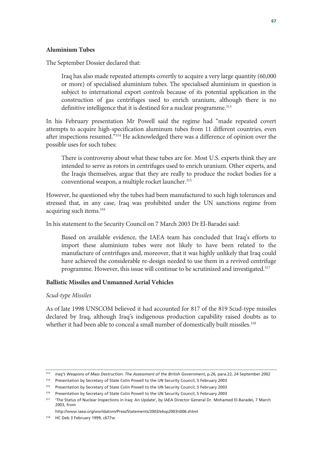## **Aluminium Tubes**

The September Dossier declared that:

Iraq has also made repeated attempts covertly to acquire a very large quantity (60,000 or more) of specialised aluminium tubes. The specialised aluminium in question is subject to international export controls because of its potential application in the construction of gas centrifuges used to enrich uranium, although there is no definitive intelligence that it is destined for a nuclear programme.<sup>313</sup>

In his February presentation Mr Powell said the regime had "made repeated covert attempts to acquire high-specification aluminum tubes from 11 different countries, even after inspections resumed."314 He acknowledged there was a difference of opinion over the possible uses for such tubes:

There is controversy about what these tubes are for. Most U.S. experts think they are intended to serve as rotors in centrifuges used to enrich uranium. Other experts, and the Iraqis themselves, argue that they are really to produce the rocket bodies for a conventional weapon, a multiple rocket launcher.<sup>315</sup>

However, he questioned why the tubes had been manufactured to such high tolerances and stressed that, in any case, Iraq was prohibited under the UN sanctions regime from acquiring such items.<sup>316</sup>

In his statement to the Security Council on 7 March 2003 Dr El-Baradei said:

Based on available evidence, the IAEA team has concluded that Iraq's efforts to import these aluminium tubes were not likely to have been related to the manufacture of centrifuges and, moreover, that it was highly unlikely that Iraq could have achieved the considerable re-design needed to use them in a revived centrifuge programme. However, this issue will continue to be scrutinized and investigated.317

# **Ballistic Missiles and Unmanned Aerial Vehicles**

## *Scud-type Missiles*

As of late 1998 UNSCOM believed it had accounted for 817 of the 819 Scud-type missiles declared by Iraq, although Iraq's indigenous production capability raised doubts as to whether it had been able to conceal a small number of domestically built missiles.<sup>318</sup>

http://www.iaea.org/worldatom/Press/Statements/2003/ebsp2003n006.shtml

<sup>313</sup> *Iraq's Weapons of Mass Destruction: The Assessment of the British Government*, p.26, para.22, 24 September 2002

<sup>314</sup> Presentation by Secretary of State Colin Powell to the UN Security Council, 5 February 2003

<sup>&</sup>lt;sup>315</sup> Presentation by Secretary of State Colin Powell to the UN Security Council, 5 February 2003

<sup>&</sup>lt;sup>316</sup> Presentation by Secretary of State Colin Powell to the UN Security Council, 5 February 2003

<sup>&</sup>lt;sup>317</sup> 'The Status of Nuclear Inspections in Iraq: An Update', by IAEA Director General Dr. Mohamed El-Baradei, 7 March 2003, from

<sup>&</sup>lt;sup>318</sup> HC Deb 3 February 1999, c677w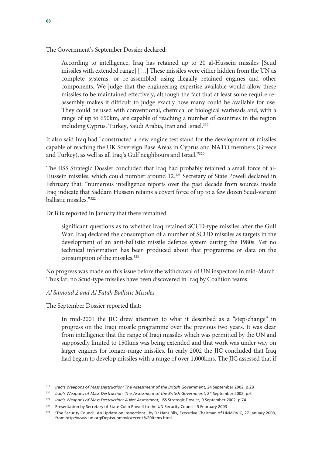The Government's September Dossier declared:

According to intelligence, Iraq has retained up to 20 al-Hussein missiles [Scud missiles with extended range] […] These missiles were either hidden from the UN as complete systems, or re-assembled using illegally retained engines and other components. We judge that the engineering expertise available would allow these missiles to be maintained effectively, although the fact that at least some require reassembly makes it difficult to judge exactly how many could be available for use. They could be used with conventional, chemical or biological warheads and, with a range of up to 650km, are capable of reaching a number of countries in the region including Cyprus, Turkey, Saudi Arabia, Iran and Israel.<sup>319</sup>

It also said Iraq had "constructed a new engine test stand for the development of missiles capable of reaching the UK Sovereign Base Areas in Cyprus and NATO members (Greece and Turkey), as well as all Iraq's Gulf neighbours and Israel."320

The IISS Strategic Dossier concluded that Iraq had probably retained a small force of al-Hussein missiles, which could number around 12.<sup>321</sup> Secretary of State Powell declared in February that: "numerous intelligence reports over the past decade from sources inside Iraq indicate that Saddam Hussein retains a covert force of up to a few dozen Scud-variant ballistic missiles."322

Dr Blix reported in January that there remained

significant questions as to whether Iraq retained SCUD-type missiles after the Gulf War. Iraq declared the consumption of a number of SCUD missiles as targets in the development of an anti-ballistic missile defence system during the 1980s. Yet no technical information has been produced about that programme or data on the consumption of the missiles.<sup>323</sup>

No progress was made on this issue before the withdrawal of UN inspectors in mid-March. Thus far, no Scud-type missiles have been discovered in Iraq by Coalition teams.

*Al Samoud 2 and Al Fatah Ballistic Missiles* 

The September Dossier reported that:

In mid-2001 the JIC drew attention to what it described as a "step-change" in progress on the Iraqi missile programme over the previous two years. It was clear from intelligence that the range of Iraqi missiles which was permitted by the UN and supposedly limited to 150kms was being extended and that work was under way on larger engines for longer-range missiles. In early 2002 the JIC concluded that Iraq had begun to develop missiles with a range of over 1,000kms. The JIC assessed that if

<sup>319</sup> *Iraq's Weapons of Mass Destruction: The Assessment of the British Government*, 24 September 2002, p.28

<sup>&</sup>lt;sup>320</sup> *Iraq's Weapons of Mass Destruction: The Assessment of the British Government*, 24 September 2002, p.6

<sup>321</sup> *Iraq's Weapons of Mass Destruction: A Net Assessment*, IISS Strategic Dossier, 9 September 2002, p.74

<sup>&</sup>lt;sup>322</sup> Presentation by Secretary of State Colin Powell to the UN Security Council, 5 February 2003

<sup>&</sup>lt;sup>323</sup> 'The Security Council: An Update on Inspections', by Dr Hans Blix, Executive Chairman of UNMOVIC, 27 January 2003, from http://www.un.org/Depts/unmovic/recent%20items.html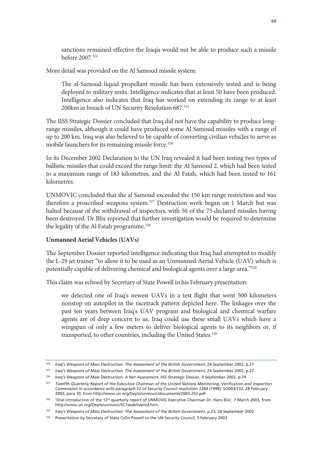sanctions remained effective the Iraqis would not be able to produce such a missile before 2007.324

More detail was provided on the Al Samoud missile system:

The al-Samoud liquid propellant missile has been extensively tested and is being deployed to military units. Intelligence indicates that at least 50 have been produced. Intelligence also indicates that Iraq has worked on extending its range to at least 200km in breach of UN Security Resolution 687.<sup>325</sup>

The IISS Strategic Dossier concluded that Iraq did not have the capability to produce longrange missiles, although it could have produced some Al Samoud missiles with a range of up to 200 km. Iraq was also believed to be capable of converting civilian vehicles to serve as mobile launchers for its remaining missile force.<sup>326</sup>

In its December 2002 Declaration to the UN Iraq revealed it had been testing two types of ballistic missiles that could exceed the range limit: the Al Samoud 2, which had been tested to a maximum range of 183 kilometres, and the Al Fatah, which had been tested to 161 kilometres.

UNMOVIC concluded that the al Samoud exceeded the 150 km range restriction and was therefore a proscribed weapons system.327 Destruction work began on 1 March but was halted because of the withdrawal of inspectors, with 50 of the 75 declared missiles having been destroyed. Dr Blix reported that further investigation would be required to determine the legality of the Al Fatah programme.<sup>328</sup>

### **Unmanned Aerial Vehicles (UAVs)**

The September Dossier reported intelligence indicating that Iraq had attempted to modify the L-29 jet trainer "to allow it to be used as an Unmanned Aerial Vehicle (UAV) which is potentially capable of delivering chemical and biological agents over a large area."329

This claim was echoed by Secretary of State Powell in his February presentation:

we detected one of Iraq's newest UAVs in a test flight that went 500 kilometers nonstop on autopilot in the racetrack pattern depicted here. The linkages over the past ten years between Iraq's UAV program and biological and chemical warfare agents are of deep concern to us. Iraq could use these small UAVs which have a wingspan of only a few meters to deliver biological agents to its neighbors or, if transported, to other countries, including the United States.<sup>330</sup>

<sup>324</sup> *Iraq's Weapons of Mass Destruction: The Assessment of the British Government*, 24 September 2002, p.27

<sup>325</sup> *Iraq's Weapons of Mass Destruction: The Assessment of the British Government*, 24 September 2002, p.27

<sup>326</sup> *Iraq's Weapons of Mass Destruction: A Net Assessment*, IISS Strategic Dossier, 9 September 2002, p.74

<sup>&</sup>lt;sup>327</sup> Twelfth Quarterly Report of the Executive Chairman of the United Nations Monitoring, Verification and Inspection *Commission in accordance with paragraph 12 of Security Council resolution 1284 (1999)*, S/2003/232, 28 February 2003, para 30, from http://www.un.org/Depts/unmovic/documents/2003-232.pdf

<sup>&</sup>lt;sup>328</sup> 'Oral introduction of the 12<sup>th</sup> quarterly report of UNMOVIC Executive Chairman Dr. Hans Blix', 7 March 2003, from http://www.un.org/Depts/unmovic/SC7asdelivered.htm

<sup>329</sup> *Iraq's Weapons of Mass Destruction: The Assessment of the British Government*, p.23, 24 September 2002

<sup>330</sup> Presentation by Secretary of State Colin Powell to the UN Security Council, 5 February 2003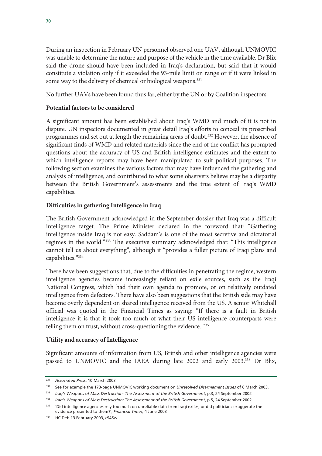During an inspection in February UN personnel observed one UAV, although UNMOVIC was unable to determine the nature and purpose of the vehicle in the time available. Dr Blix said the drone should have been included in Iraq's declaration, but said that it would constitute a violation only if it exceeded the 93-mile limit on range or if it were linked in some way to the delivery of chemical or biological weapons.<sup>331</sup>

No further UAVs have been found thus far, either by the UN or by Coalition inspectors.

# **Potential factors to be considered**

A significant amount has been established about Iraq's WMD and much of it is not in dispute. UN inspectors documented in great detail Iraq's efforts to conceal its proscribed programmes and set out at length the remaining areas of doubt.<sup>332</sup> However, the absence of significant finds of WMD and related materials since the end of the conflict has prompted questions about the accuracy of US and British intelligence estimates and the extent to which intelligence reports may have been manipulated to suit political purposes. The following section examines the various factors that may have influenced the gathering and analysis of intelligence, and contributed to what some observers believe may be a disparity between the British Government's assessments and the true extent of Iraq's WMD capabilities.

# **Difficulties in gathering Intelligence in Iraq**

The British Government acknowledged in the September dossier that Iraq was a difficult intelligence target. The Prime Minister declared in the foreword that: "Gathering intelligence inside Iraq is not easy. Saddam's is one of the most secretive and dictatorial regimes in the world."333 The executive summary acknowledged that: "This intelligence cannot tell us about everything", although it "provides a fuller picture of Iraqi plans and capabilities."334

There have been suggestions that, due to the difficulties in penetrating the regime, western intelligence agencies became increasingly reliant on exile sources, such as the Iraqi National Congress, which had their own agenda to promote, or on relatively outdated intelligence from defectors. There have also been suggestions that the British side may have become overly dependent on shared intelligence received from the US. A senior Whitehall official was quoted in the Financial Times as saying: "If there is a fault in British intelligence it is that it took too much of what their US intelligence counterparts were telling them on trust, without cross-questioning the evidence."335

### **Utility and accuracy of Intelligence**

Significant amounts of information from US, British and other intelligence agencies were passed to UNMOVIC and the IAEA during late 2002 and early 2003.336 Dr Blix,

<sup>331</sup> *Associated Press*, 10 March 2003

<sup>332</sup> See for example the 173-page UNMOVIC working document on *Unresolved Disarmament Issues* of 6 March 2003.

<sup>333</sup> *Iraq's Weapons of Mass Destruction: The Assessment of the British Government*, p.3, 24 September 2002

<sup>334</sup> *Iraq's Weapons of Mass Destruction: The Assessment of the British Government*, p.5, 24 September 2002

<sup>&</sup>lt;sup>335</sup> 'Did intelligence agencies rely too much on unreliable data from Iraqi exiles, or did politicians exaggerate the evidence presented to them?', *Financial Times*, 4 June 2003

<sup>336</sup> HC Deb 13 February 2003, c945w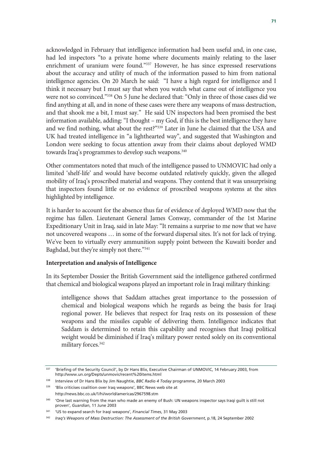acknowledged in February that intelligence information had been useful and, in one case, had led inspectors "to a private home where documents mainly relating to the laser enrichment of uranium were found."337 However, he has since expressed reservations about the accuracy and utility of much of the information passed to him from national intelligence agencies. On 20 March he said: "I have a high regard for intelligence and I think it necessary but I must say that when you watch what came out of intelligence you were not so convinced."338 On 5 June he declared that: "Only in three of those cases did we find anything at all, and in none of these cases were there any weapons of mass destruction, and that shook me a bit, I must say." He said UN inspectors had been promised the best information available, adding: "I thought – my God, if this is the best intelligence they have and we find nothing, what about the rest?"339 Later in June he claimed that the USA and UK had treated intelligence in "a lighthearted way", and suggested that Washington and London were seeking to focus attention away from their claims about deployed WMD towards Iraq's programmes to develop such weapons.<sup>340</sup>

Other commentators noted that much of the intelligence passed to UNMOVIC had only a limited 'shelf-life' and would have become outdated relatively quickly, given the alleged mobility of Iraq's proscribed material and weapons. They contend that it was unsurprising that inspectors found little or no evidence of proscribed weapons systems at the sites highlighted by intelligence.

It is harder to account for the absence thus far of evidence of deployed WMD now that the regime has fallen. Lieutenant General James Conway, commander of the 1st Marine Expeditionary Unit in Iraq, said in late May: "It remains a surprise to me now that we have not uncovered weapons … in some of the forward dispersal sites. It's not for lack of trying. We've been to virtually every ammunition supply point between the Kuwaiti border and Baghdad, but they're simply not there."341

#### **Interpretation and analysis of Intelligence**

In its September Dossier the British Government said the intelligence gathered confirmed that chemical and biological weapons played an important role in Iraqi military thinking:

intelligence shows that Saddam attaches great importance to the possession of chemical and biological weapons which he regards as being the basis for Iraqi regional power. He believes that respect for Iraq rests on its possession of these weapons and the missiles capable of delivering them. Intelligence indicates that Saddam is determined to retain this capability and recognises that Iraqi political weight would be diminished if Iraq's military power rested solely on its conventional military forces.342

<sup>&</sup>lt;sup>337</sup> 'Briefing of the Security Council', by Dr Hans Blix, Executive Chairman of UNMOVIC, 14 February 2003, from http://www.un.org/Depts/unmovic/recent%20items.html

<sup>338</sup> Interview of Dr Hans Blix by Jim Naughtie, *BBC Radio 4 Today* programme, 20 March 2003

<sup>&</sup>lt;sup>339</sup> 'Blix criticises coalition over Iraq weapons', BBC News web site at http://news.bbc.co.uk/1/hi/world/americas/2967598.stm

<sup>&</sup>lt;sup>340</sup> 'One last warning from the man who made an enemy of Bush: UN weapons inspector says Iraqi guilt is still not proven', *Guardian*, 11 June 2003

<sup>341 &#</sup>x27;US to expand search for Iraqi weapons', *Financial Times*, 31 May 2003

<sup>342</sup> *Iraq's Weapons of Mass Destruction: The Assessment of the British Government*, p.18, 24 September 2002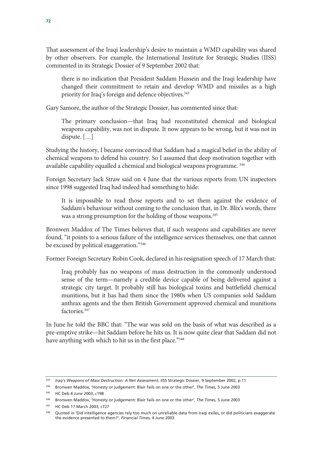That assessment of the Iraqi leadership's desire to maintain a WMD capability was shared by other observers. For example, the International Institute for Strategic Studies (IISS) commented in its Strategic Dossier of 9 September 2002 that:

there is no indication that President Saddam Hussein and the Iraqi leadership have changed their commitment to retain and develop WMD and missiles as a high priority for Iraq's foreign and defence objectives.<sup>343</sup>

Gary Samore, the author of the Strategic Dossier, has commented since that:

The primary conclusion—that Iraq had reconstituted chemical and biological weapons capability, was not in dispute. It now appears to be wrong, but it was not in dispute. […]

Studying the history, I became convinced that Saddam had a magical belief in the ability of chemical weapons to defend his country. So I assumed that deep motivation together with available capability equalled a chemical and biological weapons programme.<sup>344</sup>

Foreign Secretary Jack Straw said on 4 June that the various reports from UN inspectors since 1998 suggested Iraq had indeed had something to hide:

It is impossible to read those reports and to set them against the evidence of Saddam's behaviour without coming to the conclusion that, in Dr. Blix's words, there was a strong presumption for the holding of those weapons.<sup>345</sup>

Bronwen Maddox of The Times believes that, if such weapons and capabilities are never found, "it points to a serious failure of the intelligence services themselves, one that cannot be excused by political exaggeration."346

Former Foreign Secretary Robin Cook, declared in his resignation speech of 17 March that:

Iraq probably has no weapons of mass destruction in the commonly understood sense of the term—namely a credible device capable of being delivered against a strategic city target. It probably still has biological toxins and battlefield chemical munitions, but it has had them since the 1980s when US companies sold Saddam anthrax agents and the then British Government approved chemical and munitions factories.<sup>347</sup>

In June he told the BBC that: "The war was sold on the basis of what was described as a pre-emptive strike—hit Saddam before he hits us. It is now quite clear that Saddam did not have anything with which to hit us in the first place."<sup>348</sup>

<sup>343</sup> *Iraq's Weapons of Mass Destruction: A Net Assessment*, IISS Strategic Dossier, 9 September 2002, p.11

<sup>344</sup> Bronwen Maddox, 'Honesty or judgement: Blair fails on one or the other', *The Times*, 5 June 2003

<sup>345</sup> HC Deb 4 June 2003, c198

<sup>346</sup> Bronwen Maddox, 'Honesty or judgement: Blair fails on one or the other', *The Times*, 5 June 2003

<sup>347</sup> HC Deb 17 March 2003, c727

<sup>348</sup> Quoted in 'Did intelligence agencies rely too much on unreliable data from Iraqi exiles, or did politicians exaggerate the evidence presented to them?', *Financial Times*, 4 June 2003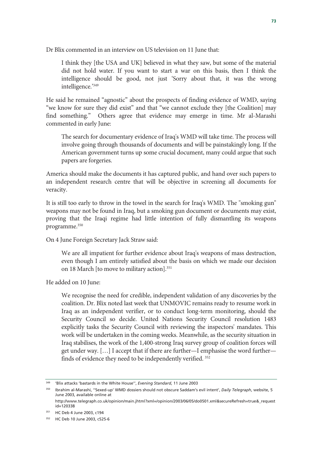Dr Blix commented in an interview on US television on 11 June that:

I think they [the USA and UK] believed in what they saw, but some of the material did not hold water. If you want to start a war on this basis, then I think the intelligence should be good, not just 'Sorry about that, it was the wrong intelligence.'349

He said he remained "agnostic" about the prospects of finding evidence of WMD, saying "we know for sure they did exist" and that "we cannot exclude they [the Coalition] may find something." Others agree that evidence may emerge in time. Mr al-Marashi commented in early June:

The search for documentary evidence of Iraq's WMD will take time. The process will involve going through thousands of documents and will be painstakingly long. If the American government turns up some crucial document, many could argue that such papers are forgeries.

America should make the documents it has captured public, and hand over such papers to an independent research centre that will be objective in screening all documents for veracity.

It is still too early to throw in the towel in the search for Iraq's WMD. The "smoking gun" weapons may not be found in Iraq, but a smoking gun document or documents may exist, proving that the Iraqi regime had little intention of fully dismantling its weapons programme.<sup>350</sup>

On 4 June Foreign Secretary Jack Straw said:

We are all impatient for further evidence about Iraq's weapons of mass destruction, even though I am entirely satisfied about the basis on which we made our decision on 18 March [to move to military action].<sup>351</sup>

He added on 10 June:

We recognise the need for credible, independent validation of any discoveries by the coalition. Dr. Blix noted last week that UNMOVIC remains ready to resume work in Iraq as an independent verifier, or to conduct long-term monitoring, should the Security Council so decide. United Nations Security Council resolution 1483 explicitly tasks the Security Council with reviewing the inspectors' mandates. This work will be undertaken in the coming weeks. Meanwhile, as the security situation in Iraq stabilises, the work of the 1,400-strong Iraq survey group of coalition forces will get under way. […] I accept that if there are further—I emphasise the word further finds of evidence they need to be independently verified. 352

<sup>349 &#</sup>x27;Blix attacks 'bastards in the White House'', *Evening Standard*, 11 June 2003

<sup>350</sup> Ibrahim al-Marashi, ''Sexed-up' WMD dossiers should not obscure Saddam's evil intent', *Daily Telegraph*, website, 5 June 2003, available online at

http://www.telegraph.co.uk/opinion/main.jhtml?xml=/opinion/2003/06/05/do0501.xml&secureRefresh=true&\_request id=120338

<sup>351</sup> HC Deb 4 June 2003, c194

<sup>352</sup> HC Deb 10 June 2003, c525-6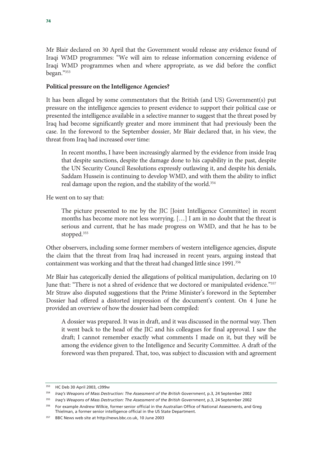Mr Blair declared on 30 April that the Government would release any evidence found of Iraqi WMD programmes: "We will aim to release information concerning evidence of Iraqi WMD programmes when and where appropriate, as we did before the conflict began."353

#### **Political pressure on the Intelligence Agencies?**

It has been alleged by some commentators that the British (and US) Government(s) put pressure on the intelligence agencies to present evidence to support their political case or presented the intelligence available in a selective manner to suggest that the threat posed by Iraq had become significantly greater and more imminent that had previously been the case. In the foreword to the September dossier, Mr Blair declared that, in his view, the threat from Iraq had increased over time:

In recent months, I have been increasingly alarmed by the evidence from inside Iraq that despite sanctions, despite the damage done to his capability in the past, despite the UN Security Council Resolutions expressly outlawing it, and despite his denials, Saddam Hussein is continuing to develop WMD, and with them the ability to inflict real damage upon the region, and the stability of the world.354

He went on to say that:

The picture presented to me by the JIC [Joint Intelligence Committee] in recent months has become more not less worrying. […] I am in no doubt that the threat is serious and current, that he has made progress on WMD, and that he has to be stopped.<sup>355</sup>

Other observers, including some former members of western intelligence agencies, dispute the claim that the threat from Iraq had increased in recent years, arguing instead that containment was working and that the threat had changed little since 1991.<sup>356</sup>

Mr Blair has categorically denied the allegations of political manipulation, declaring on 10 June that: "There is not a shred of evidence that we doctored or manipulated evidence."357 Mr Straw also disputed suggestions that the Prime Minister's foreword in the September Dossier had offered a distorted impression of the document's content. On 4 June he provided an overview of how the dossier had been compiled:

A dossier was prepared. It was in draft, and it was discussed in the normal way. Then it went back to the head of the JIC and his colleagues for final approval. I saw the draft; I cannot remember exactly what comments I made on it, but they will be among the evidence given to the Intelligence and Security Committee. A draft of the foreword was then prepared. That, too, was subject to discussion with and agreement

<sup>353</sup> HC Deb 30 April 2003, c399w

<sup>354</sup> *Iraq's Weapons of Mass Destruction: The Assessment of the British Government*, p.3, 24 September 2002

<sup>355</sup> *Iraq's Weapons of Mass Destruction: The Assessment of the British Government*, p.3, 24 September 2002

<sup>&</sup>lt;sup>356</sup> For example Andrew Wilkie, former senior official in the Australian Office of National Assessments, and Greg Thielman, a former senior intelligence official in the US State Department.

<sup>357</sup> BBC News web site at http://news.bbc.co.uk, 10 June 2003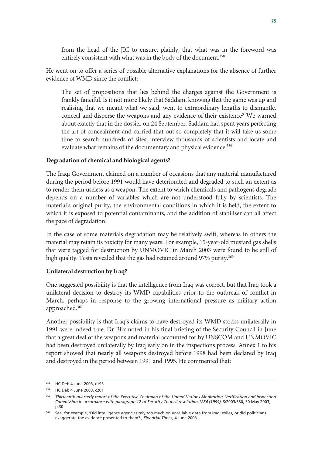from the head of the JIC to ensure, plainly, that what was in the foreword was entirely consistent with what was in the body of the document.<sup>358</sup>

He went on to offer a series of possible alternative explanations for the absence of further evidence of WMD since the conflict:

The set of propositions that lies behind the charges against the Government is frankly fanciful. Is it not more likely that Saddam, knowing that the game was up and realising that we meant what we said, went to extraordinary lengths to dismantle, conceal and disperse the weapons and any evidence of their existence? We warned about exactly that in the dossier on 24 September. Saddam had spent years perfecting the art of concealment and carried that out so completely that it will take us some time to search hundreds of sites, interview thousands of scientists and locate and evaluate what remains of the documentary and physical evidence.<sup>359</sup>

#### **Degradation of chemical and biological agents?**

The Iraqi Government claimed on a number of occasions that any material manufactured during the period before 1991 would have deteriorated and degraded to such an extent as to render them useless as a weapon. The extent to which chemicals and pathogens degrade depends on a number of variables which are not understood fully by scientists. The material's original purity, the environmental conditions in which it is held, the extent to which it is exposed to potential contaminants, and the addition of stabiliser can all affect the pace of degradation.

In the case of some materials degradation may be relatively swift, whereas in others the material may retain its toxicity for many years. For example, 15-year-old mustard gas shells that were tagged for destruction by UNMOVIC in March 2003 were found to be still of high quality. Tests revealed that the gas had retained around 97% purity.<sup>360</sup>

#### **Unilateral destruction by Iraq?**

One suggested possibility is that the intelligence from Iraq was correct, but that Iraq took a unilateral decision to destroy its WMD capabilities prior to the outbreak of conflict in March, perhaps in response to the growing international pressure as military action approached.361

Another possibility is that Iraq's claims to have destroyed its WMD stocks unilaterally in 1991 were indeed true. Dr Blix noted in his final briefing of the Security Council in June that a great deal of the weapons and material accounted for by UNSCOM and UNMOVIC had been destroyed unilaterally by Iraq early on in the inspections process. Annex 1 to his report showed that nearly all weapons destroyed before 1998 had been declared by Iraq and destroyed in the period between 1991 and 1995. He commented that:

<sup>358</sup> HC Deb 4 June 2003, c193

<sup>359</sup> HC Deb 4 June 2003, c201

<sup>&</sup>lt;sup>360</sup> Thirteenth quarterly report of the Executive Chairman of the United Nations Monitoring, Verification and Inspection *Commission in accordance with paragraph 12 of Security Council resolution 1284 (1999)*, S/2003/580, 30 May 2003, p.30

<sup>361</sup> See, for example, 'Did intelligence agencies rely too much on unreliable data from Iraqi exiles, or did politicians exaggerate the evidence presented to them?', *Financial Times*, 4 June 2003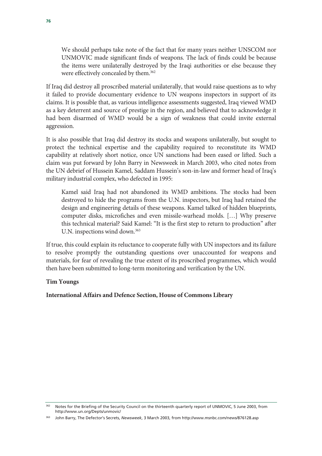We should perhaps take note of the fact that for many years neither UNSCOM nor UNMOVIC made significant finds of weapons. The lack of finds could be because the items were unilaterally destroyed by the Iraqi authorities or else because they were effectively concealed by them.<sup>362</sup>

If Iraq did destroy all proscribed material unilaterally, that would raise questions as to why it failed to provide documentary evidence to UN weapons inspectors in support of its claims. It is possible that, as various intelligence assessments suggested, Iraq viewed WMD as a key deterrent and source of prestige in the region, and believed that to acknowledge it had been disarmed of WMD would be a sign of weakness that could invite external aggression.

It is also possible that Iraq did destroy its stocks and weapons unilaterally, but sought to protect the technical expertise and the capability required to reconstitute its WMD capability at relatively short notice, once UN sanctions had been eased or lifted. Such a claim was put forward by John Barry in Newsweek in March 2003, who cited notes from the UN debrief of Hussein Kamel, Saddam Hussein's son-in-law and former head of Iraq's military industrial complex, who defected in 1995:

Kamel said Iraq had not abandoned its WMD ambitions. The stocks had been destroyed to hide the programs from the U.N. inspectors, but Iraq had retained the design and engineering details of these weapons. Kamel talked of hidden blueprints, computer disks, microfiches and even missile-warhead molds. […] Why preserve this technical material? Said Kamel: "It is the first step to return to production" after U.N. inspections wind down.<sup>363</sup>

If true, this could explain its reluctance to cooperate fully with UN inspectors and its failure to resolve promptly the outstanding questions over unaccounted for weapons and materials, for fear of revealing the true extent of its proscribed programmes, which would then have been submitted to long-term monitoring and verification by the UN.

#### **Tim Youngs**

#### **International Affairs and Defence Section, House of Commons Library**

<sup>&</sup>lt;sup>362</sup> Notes for the Briefing of the Security Council on the thirteenth quarterly report of UNMOVIC, 5 June 2003, from http://www.un.org/Depts/unmovic/

<sup>363</sup> John Barry, The Defector's Secrets, *Newsweek*, 3 March 2003, from http://www.msnbc.com/news/876128.asp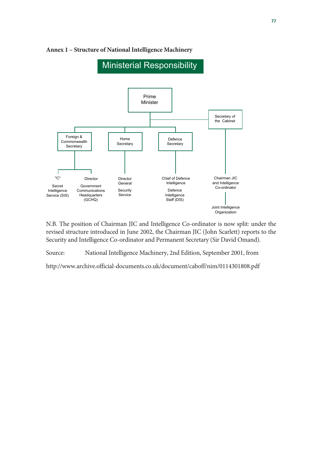

#### **Annex 1 – Structure of National Intelligence Machinery**

N.B. The position of Chairman JIC and Intelligence Co-ordinator is now split: under the revised structure introduced in June 2002, the Chairman JIC (John Scarlett) reports to the Security and Intelligence Co-ordinator and Permanent Secretary (Sir David Omand).

Source: National Intelligence Machinery, 2nd Edition, September 2001, from

http://www.archive.official-documents.co.uk/document/caboff/nim/0114301808.pdf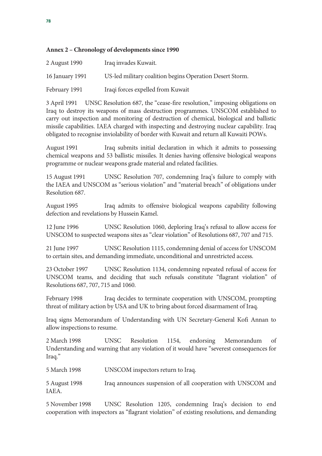#### **Annex 2 – Chronology of developments since 1990**

| 2 August 1990   | Iraq invades Kuwait.                                     |
|-----------------|----------------------------------------------------------|
| 16 January 1991 | US-led military coalition begins Operation Desert Storm. |
| February 1991   | Iraqi forces expelled from Kuwait                        |

3 April 1991 UNSC Resolution 687, the "cease-fire resolution," imposing obligations on Iraq to destroy its weapons of mass destruction programmes. UNSCOM established to carry out inspection and monitoring of destruction of chemical, biological and ballistic missile capabilities. IAEA charged with inspecting and destroying nuclear capability. Iraq obligated to recognise inviolability of border with Kuwait and return all Kuwaiti POWs.

August 1991 Iraq submits initial declaration in which it admits to possessing chemical weapons and 53 ballistic missiles. It denies having offensive biological weapons programme or nuclear weapons grade material and related facilities.

15 August 1991 UNSC Resolution 707, condemning Iraq's failure to comply with the IAEA and UNSCOM as "serious violation" and "material breach" of obligations under Resolution 687.

August 1995 Iraq admits to offensive biological weapons capability following defection and revelations by Hussein Kamel.

12 June 1996 UNSC Resolution 1060, deploring Iraq's refusal to allow access for UNSCOM to suspected weapons sites as "clear violation" of Resolutions 687, 707 and 715.

21 June 1997 UNSC Resolution 1115, condemning denial of access for UNSCOM to certain sites, and demanding immediate, unconditional and unrestricted access.

23 October 1997 UNSC Resolution 1134, condemning repeated refusal of access for UNSCOM teams, and deciding that such refusals constitute "flagrant violation" of Resolutions 687, 707, 715 and 1060.

February 1998 Iraq decides to terminate cooperation with UNSCOM, prompting threat of military action by USA and UK to bring about forced disarmament of Iraq.

Iraq signs Memorandum of Understanding with UN Secretary-General Kofi Annan to allow inspections to resume.

2 March 1998 UNSC Resolution 1154, endorsing Memorandum of Understanding and warning that any violation of it would have "severest consequences for Iraq."

5 March 1998 UNSCOM inspectors return to Iraq.

5 August 1998 Iraq announces suspension of all cooperation with UNSCOM and IAEA.

5 November 1998 UNSC Resolution 1205, condemning Iraq's decision to end cooperation with inspectors as "flagrant violation" of existing resolutions, and demanding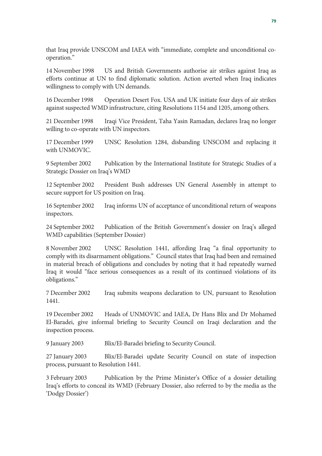that Iraq provide UNSCOM and IAEA with "immediate, complete and unconditional cooperation."

14 November 1998 US and British Governments authorise air strikes against Iraq as efforts continue at UN to find diplomatic solution. Action averted when Iraq indicates willingness to comply with UN demands.

16 December 1998 Operation Desert Fox. USA and UK initiate four days of air strikes against suspected WMD infrastructure, citing Resolutions 1154 and 1205, among others.

21 December 1998 Iraqi Vice President, Taha Yasin Ramadan, declares Iraq no longer willing to co-operate with UN inspectors.

17 December 1999 UNSC Resolution 1284, disbanding UNSCOM and replacing it with UNMOVIC.

9 September 2002 Publication by the International Institute for Strategic Studies of a Strategic Dossier on Iraq's WMD

12 September 2002 President Bush addresses UN General Assembly in attempt to secure support for US position on Iraq.

16 September 2002 Iraq informs UN of acceptance of unconditional return of weapons inspectors.

24 September 2002 Publication of the British Government's dossier on Iraq's alleged WMD capabilities (September Dossier)

8 November 2002 UNSC Resolution 1441, affording Iraq "a final opportunity to comply with its disarmament obligations." Council states that Iraq had been and remained in material breach of obligations and concludes by noting that it had repeatedly warned Iraq it would "face serious consequences as a result of its continued violations of its obligations."

7 December 2002 Iraq submits weapons declaration to UN, pursuant to Resolution 1441.

19 December 2002 Heads of UNMOVIC and IAEA, Dr Hans Blix and Dr Mohamed El-Baradei, give informal briefing to Security Council on Iraqi declaration and the inspection process.

9 January 2003 Blix/El-Baradei briefing to Security Council.

27 January 2003 Blix/El-Baradei update Security Council on state of inspection process, pursuant to Resolution 1441.

3 February 2003 Publication by the Prime Minister's Office of a dossier detailing Iraq's efforts to conceal its WMD (February Dossier, also referred to by the media as the 'Dodgy Dossier')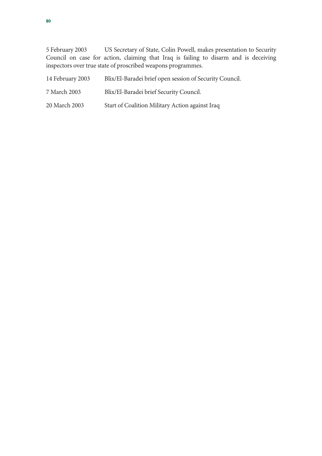5 February 2003 US Secretary of State, Colin Powell, makes presentation to Security Council on case for action, claiming that Iraq is failing to disarm and is deceiving inspectors over true state of proscribed weapons programmes.

| 14 February 2003 | Blix/El-Baradei brief open session of Security Council. |
|------------------|---------------------------------------------------------|
| 7 March 2003     | Blix/El-Baradei brief Security Council.                 |
| 20 March 2003    | Start of Coalition Military Action against Iraq         |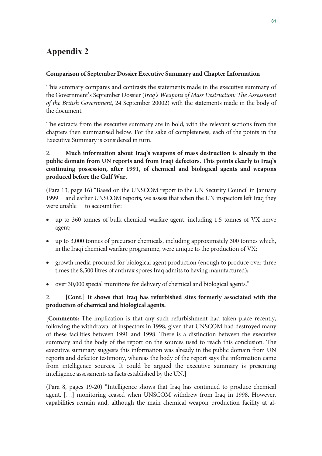# **Appendix 2**

### **Comparison of September Dossier Executive Summary and Chapter Information**

This summary compares and contrasts the statements made in the executive summary of the Government's September Dossier (*Iraq's Weapons of Mass Destruction: The Assessment of the British Government*, 24 September 20002) with the statements made in the body of the document.

The extracts from the executive summary are in bold, with the relevant sections from the chapters then summarised below. For the sake of completeness, each of the points in the Executive Summary is considered in turn.

# 2. **Much information about Iraq's weapons of mass destruction is already in the public domain from UN reports and from Iraqi defectors. This points clearly to Iraq's continuing possession, after 1991, of chemical and biological agents and weapons produced before the Gulf War.**

(Para 13, page 16) "Based on the UNSCOM report to the UN Security Council in January 1999 and earlier UNSCOM reports, we assess that when the UN inspectors left Iraq they were unable to account for:

- up to 360 tonnes of bulk chemical warfare agent, including 1.5 tonnes of VX nerve agent;
- up to 3,000 tonnes of precursor chemicals, including approximately 300 tonnes which, in the Iraqi chemical warfare programme, were unique to the production of VX;
- growth media procured for biological agent production (enough to produce over three times the 8,500 litres of anthrax spores Iraq admits to having manufactured);
- over 30,000 special munitions for delivery of chemical and biological agents."

# 2. **[Cont.] It shows that Iraq has refurbished sites formerly associated with the production of chemical and biological agents.**

[**Comments:** The implication is that any such refurbishment had taken place recently, following the withdrawal of inspectors in 1998, given that UNSCOM had destroyed many of these facilities between 1991 and 1998. There is a distinction between the executive summary and the body of the report on the sources used to reach this conclusion. The executive summary suggests this information was already in the public domain from UN reports and defector testimony, whereas the body of the report says the information came from intelligence sources. It could be argued the executive summary is presenting intelligence assessments as facts established by the UN.]

(Para 8, pages 19-20) "Intelligence shows that Iraq has continued to produce chemical agent. […] monitoring ceased when UNSCOM withdrew from Iraq in 1998. However, capabilities remain and, although the main chemical weapon production facility at al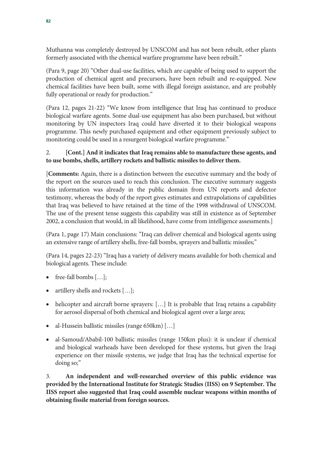Muthanna was completely destroyed by UNSCOM and has not been rebuilt, other plants formerly associated with the chemical warfare programme have been rebuilt."

(Para 9, page 20) "Other dual-use facilities, which are capable of being used to support the production of chemical agent and precursors, have been rebuilt and re-equipped. New chemical facilities have been built, some with illegal foreign assistance, and are probably fully operational or ready for production."

(Para 12, pages 21-22) "We know from intelligence that Iraq has continued to produce biological warfare agents. Some dual-use equipment has also been purchased, but without monitoring by UN inspectors Iraq could have diverted it to their biological weapons programme. This newly purchased equipment and other equipment previously subject to monitoring could be used in a resurgent biological warfare programme."

### 2. **[Cont.] And it indicates that Iraq remains able to manufacture these agents, and to use bombs, shells, artillery rockets and ballistic missiles to deliver them.**

[**Comments:** Again, there is a distinction between the executive summary and the body of the report on the sources used to reach this conclusion. The executive summary suggests this information was already in the public domain from UN reports and defector testimony, whereas the body of the report gives estimates and extrapolations of capabilities that Iraq was believed to have retained at the time of the 1998 withdrawal of UNSCOM. The use of the present tense suggests this capability was still in existence as of September 2002, a conclusion that would, in all likelihood, have come from intelligence assessments.]

(Para 1, page 17) Main conclusions: "Iraq can deliver chemical and biological agents using an extensive range of artillery shells, free-fall bombs, sprayers and ballistic missiles;"

(Para 14, pages 22-23) "Iraq has a variety of delivery means available for both chemical and biological agents. These include:

- free-fall bombs [...];
- artillery shells and rockets  $[...]$ ;
- helicopter and aircraft borne sprayers: [...] It is probable that Iraq retains a capability for aerosol dispersal of both chemical and biological agent over a large area;
- al-Hussein ballistic missiles (range 650km) [...]
- al-Samoud/Ababil-100 ballistic missiles (range 150km plus): it is unclear if chemical and biological warheads have been developed for these systems, but given the Iraqi experience on ther missile systems, we judge that Iraq has the technical expertise for doing so;"

3. **An independent and well-researched overview of this public evidence was provided by the International Institute for Strategic Studies (IISS) on 9 September. The IISS report also suggested that Iraq could assemble nuclear weapons within months of obtaining fissile material from foreign sources.**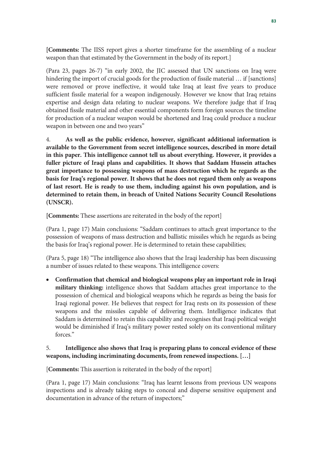**[Comments:** The IISS report gives a shorter timeframe for the assembling of a nuclear weapon than that estimated by the Government in the body of its report.]

(Para 23, pages 26-7) "in early 2002, the JIC assessed that UN sanctions on Iraq were hindering the import of crucial goods for the production of fissile material ... if [sanctions] were removed or prove ineffective, it would take Iraq at least five years to produce sufficient fissile material for a weapon indigenously. However we know that Iraq retains expertise and design data relating to nuclear weapons. We therefore judge that if Iraq obtained fissile material and other essential components form foreign sources the timeline for production of a nuclear weapon would be shortened and Iraq could produce a nuclear weapon in between one and two years"

4. **As well as the public evidence, however, significant additional information is available to the Government from secret intelligence sources, described in more detail in this paper. This intelligence cannot tell us about everything. However, it provides a fuller picture of Iraqi plans and capabilities. It shows that Saddam Hussein attaches great importance to possessing weapons of mass destruction which he regards as the basis for Iraq's regional power. It shows that he does not regard them only as weapons of last resort. He is ready to use them, including against his own population, and is determined to retain them, in breach of United Nations Security Council Resolutions (UNSCR).** 

**[Comments:** These assertions are reiterated in the body of the report]

(Para 1, page 17) Main conclusions: "Saddam continues to attach great importance to the possession of weapons of mass destruction and ballistic missiles which he regards as being the basis for Iraq's regional power. He is determined to retain these capabilities;

(Para 5, page 18) "The intelligence also shows that the Iraqi leadership has been discussing a number of issues related to these weapons. This intelligence covers:

• **Confirmation that chemical and biological weapons play an important role in Iraqi military thinking:** intelligence shows that Saddam attaches great importance to the possession of chemical and biological weapons which he regards as being the basis for Iraqi regional power. He believes that respect for Iraq rests on its possession of these weapons and the missiles capable of delivering them. Intelligence indicates that Saddam is determined to retain this capability and recognises that Iraqi political weight would be diminished if Iraq's military power rested solely on its conventional military forces."

# 5. **Intelligence also shows that Iraq is preparing plans to conceal evidence of these weapons, including incriminating documents, from renewed inspections. […]**

[**Comments:** This assertion is reiterated in the body of the report]

(Para 1, page 17) Main conclusions: "Iraq has learnt lessons from previous UN weapons inspections and is already taking steps to conceal and disperse sensitive equipment and documentation in advance of the return of inspectors;"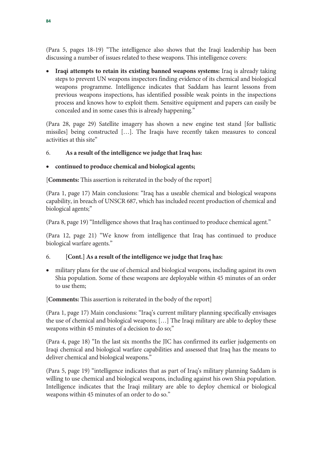(Para 5, pages 18-19) "The intelligence also shows that the Iraqi leadership has been discussing a number of issues related to these weapons. This intelligence covers:

• **Iraqi attempts to retain its existing banned weapons systems:** Iraq is already taking steps to prevent UN weapons inspectors finding evidence of its chemical and biological weapons programme. Intelligence indicates that Saddam has learnt lessons from previous weapons inspections, has identified possible weak points in the inspections process and knows how to exploit them. Sensitive equipment and papers can easily be concealed and in some cases this is already happening."

(Para 28, page 29) Satellite imagery has shown a new engine test stand [for ballistic missiles] being constructed […]. The Iraqis have recently taken measures to conceal activities at this site"

# 6. **As a result of the intelligence we judge that Iraq has:**

# • **continued to produce chemical and biological agents;**

[**Comments:** This assertion is reiterated in the body of the report]

(Para 1, page 17) Main conclusions: "Iraq has a useable chemical and biological weapons capability, in breach of UNSCR 687, which has included recent production of chemical and biological agents;"

(Para 8, page 19) "Intelligence shows that Iraq has continued to produce chemical agent."

(Para 12, page 21) "We know from intelligence that Iraq has continued to produce biological warfare agents."

### 6. **[Cont.] As a result of the intelligence we judge that Iraq has:**

• military plans for the use of chemical and biological weapons, including against its own Shia population. Some of these weapons are deployable within 45 minutes of an order to use them;

[**Comments:** This assertion is reiterated in the body of the report]

(Para 1, page 17) Main conclusions: "Iraq's current military planning specifically envisages the use of chemical and biological weapons; […] The Iraqi military are able to deploy these weapons within 45 minutes of a decision to do so;"

(Para 4, page 18) "In the last six months the JIC has confirmed its earlier judgements on Iraqi chemical and biological warfare capabilities and assessed that Iraq has the means to deliver chemical and biological weapons."

(Para 5, page 19) "intelligence indicates that as part of Iraq's military planning Saddam is willing to use chemical and biological weapons, including against his own Shia population. Intelligence indicates that the Iraqi military are able to deploy chemical or biological weapons within 45 minutes of an order to do so."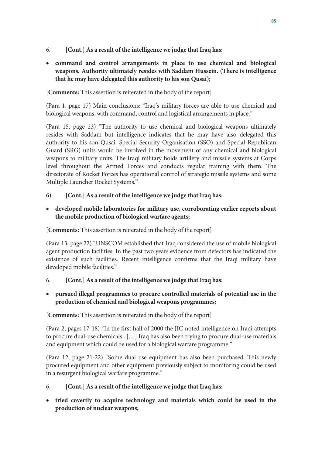- 6. **[Cont.] As a result of the intelligence we judge that Iraq has:**
- **command and control arrangements in place to use chemical and biological weapons. Authority ultimately resides with Saddam Hussein. (There is intelligence that he may have delegated this authority to his son Qusai);**

[**Comments:** This assertion is reiterated in the body of the report]

(Para 1, page 17) Main conclusions: "Iraq's military forces are able to use chemical and biological weapons, with command, control and logistical arrangements in place."

(Para 15, page 23) "The authority to use chemical and biological weapons ultimately resides with Saddam but intelligence indicates that he may have also delegated this authority to his son Qusai. Special Security Organisation (SSO) and Special Republican Guard (SRG) units would be involved in the movement of any chemical and biological weapons to military units. The Iraqi military holds artillery and missile systems at Corps level throughout the Armed Forces and conducts regular training with them. The directorate of Rocket Forces has operational control of strategic missile systems and some Multiple Launcher Rocket Systems."

- **6) [Cont.] As a result of the intelligence we judge that Iraq has:**
- **developed mobile laboratories for military use, corroborating earlier reports about the mobile production of biological warfare agents;**

[**Comments:** This assertion is reiterated in the body of the report]

(Para 13, page 22) "UNSCOM established that Iraq considered the use of mobile biological agent production facilities. In the past two years evidence from defectors has indicated the existence of such facilities. Recent intelligence confirms that the Iraqi military have developed mobile facilities."

# 6. **[Cont.] As a result of the intelligence we judge that Iraq has:**

• **pursued illegal programmes to procure controlled materials of potential use in the production of chemical and biological weapons programmes;** 

[**Comments:** This assertion is reiterated in the body of the report]

(Para 2, pages 17-18) "In the first half of 2000 the JIC noted intelligence on Iraqi attempts to procure dual-use chemicals . […] Iraq has also been trying to procure dual-use materials and equipment which could be used for a biological warfare programme."

(Para 12, page 21-22) "Some dual use equipment has also been purchased. This newly procured equipment and other equipment previously subject to monitoring could be used in a resurgent biological warfare programme."

- 6. **[Cont.] As a result of the intelligence we judge that Iraq has:**
- **tried covertly to acquire technology and materials which could be used in the production of nuclear weapons;**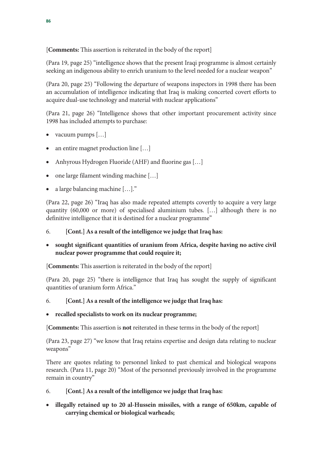[**Comments:** This assertion is reiterated in the body of the report]

(Para 19, page 25) "intelligence shows that the present Iraqi programme is almost certainly seeking an indigenous ability to enrich uranium to the level needed for a nuclear weapon"

(Para 20, page 25) "Following the departure of weapons inspectors in 1998 there has been an accumulation of intelligence indicating that Iraq is making concerted covert efforts to acquire dual-use technology and material with nuclear applications"

(Para 21, page 26) "Intelligence shows that other important procurement activity since 1998 has included attempts to purchase:

- vacuum pumps [...]
- an entire magnet production line [...]
- Anhyrous Hydrogen Fluoride (AHF) and fluorine gas [...]
- one large filament winding machine […]
- a large balancing machine [...]."

(Para 22, page 26) "Iraq has also made repeated attempts covertly to acquire a very large quantity (60,000 or more) of specialised aluminium tubes. […] although there is no definitive intelligence that it is destined for a nuclear programme"

#### 6. **[Cont.] As a result of the intelligence we judge that Iraq has:**

• **sought significant quantities of uranium from Africa, despite having no active civil nuclear power programme that could require it;** 

[**Comments:** This assertion is reiterated in the body of the report]

(Para 20, page 25) "there is intelligence that Iraq has sought the supply of significant quantities of uranium form Africa."

#### 6. **[Cont.] As a result of the intelligence we judge that Iraq has:**

#### • **recalled specialists to work on its nuclear programme;**

[**Comments:** This assertion is **not** reiterated in these terms in the body of the report]

(Para 23, page 27) "we know that Iraq retains expertise and design data relating to nuclear weapons"

There are quotes relating to personnel linked to past chemical and biological weapons research. (Para 11, page 20) "Most of the personnel previously involved in the programme remain in country"

### 6. **[Cont.] As a result of the intelligence we judge that Iraq has:**

• **illegally retained up to 20 al-Hussein missiles, with a range of 650km, capable of carrying chemical or biological warheads;**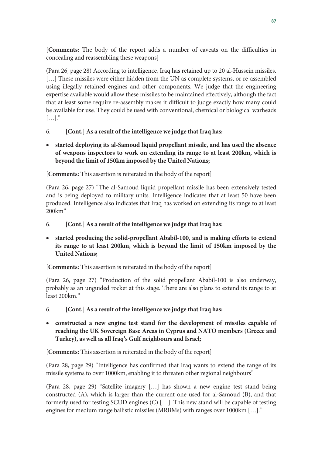**[Comments:** The body of the report adds a number of caveats on the difficulties in concealing and reassembling these weapons]

(Para 26, page 28) According to intelligence, Iraq has retained up to 20 al-Hussein missiles. [...] These missiles were either hidden from the UN as complete systems, or re-assembled using illegally retained engines and other components. We judge that the engineering expertise available would allow these missiles to be maintained effectively, although the fact that at least some require re-assembly makes it difficult to judge exactly how many could be available for use. They could be used with conventional, chemical or biological warheads  $[...]$ ."

# 6. **[Cont.] As a result of the intelligence we judge that Iraq has:**

• **started deploying its al-Samoud liquid propellant missile, and has used the absence of weapons inspectors to work on extending its range to at least 200km, which is beyond the limit of 150km imposed by the United Nations;** 

[**Comments:** This assertion is reiterated in the body of the report]

(Para 26, page 27) "The al-Samoud liquid propellant missile has been extensively tested and is being deployed to military units. Intelligence indicates that at least 50 have been produced. Intelligence also indicates that Iraq has worked on extending its range to at least 200km"

- 6. **[Cont.] As a result of the intelligence we judge that Iraq has:**
- **started producing the solid-propellant Ababil-100, and is making efforts to extend its range to at least 200km, which is beyond the limit of 150km imposed by the United Nations;**

[**Comments:** This assertion is reiterated in the body of the report]

(Para 26, page 27) "Production of the solid propellant Ababil-100 is also underway, probably as an unguided rocket at this stage. There are also plans to extend its range to at least 200km."

- 6. **[Cont.] As a result of the intelligence we judge that Iraq has:**
- **constructed a new engine test stand for the development of missiles capable of reaching the UK Sovereign Base Areas in Cyprus and NATO members (Greece and Turkey), as well as all Iraq's Gulf neighbours and Israel;**

[**Comments:** This assertion is reiterated in the body of the report]

(Para 28, page 29) "Intelligence has confirmed that Iraq wants to extend the range of its missile systems to over 1000km, enabling it to threaten other regional neighbours"

(Para 28, page 29) "Satellite imagery […] has shown a new engine test stand being constructed (A), which is larger than the current one used for al-Samoud (B), and that formerly used for testing SCUD engines (C) […]. This new stand will be capable of testing engines for medium range ballistic missiles (MRBMs) with ranges over 1000km […]."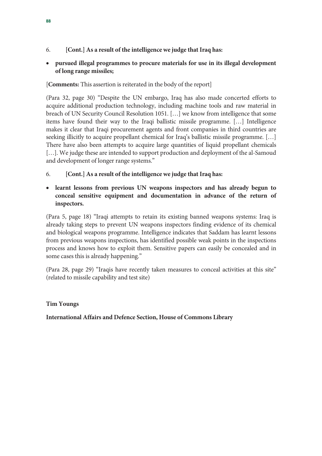- 6. **[Cont.] As a result of the intelligence we judge that Iraq has:**
- **pursued illegal programmes to procure materials for use in its illegal development of long range missiles;**

# [**Comments:** This assertion is reiterated in the body of the report]

(Para 32, page 30) "Despite the UN embargo, Iraq has also made concerted efforts to acquire additional production technology, including machine tools and raw material in breach of UN Security Council Resolution 1051. […] we know from intelligence that some items have found their way to the Iraqi ballistic missile programme. […] Intelligence makes it clear that Iraqi procurement agents and front companies in third countries are seeking illicitly to acquire propellant chemical for Iraq's ballistic missile programme. […] There have also been attempts to acquire large quantities of liquid propellant chemicals [...]. We judge these are intended to support production and deployment of the al-Samoud and development of longer range systems."

# 6. **[Cont.] As a result of the intelligence we judge that Iraq has:**

• **learnt lessons from previous UN weapons inspectors and has already begun to conceal sensitive equipment and documentation in advance of the return of inspectors.** 

(Para 5, page 18) "Iraqi attempts to retain its existing banned weapons systems: Iraq is already taking steps to prevent UN weapons inspectors finding evidence of its chemical and biological weapons programme. Intelligence indicates that Saddam has learnt lessons from previous weapons inspections, has identified possible weak points in the inspections process and knows how to exploit them. Sensitive papers can easily be concealed and in some cases this is already happening."

(Para 28, page 29) "Iraqis have recently taken measures to conceal activities at this site" (related to missile capability and test site)

### **Tim Youngs**

**International Affairs and Defence Section, House of Commons Library**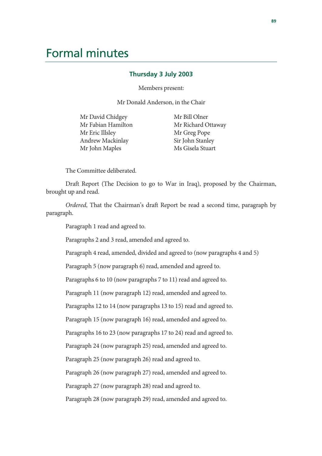#### **Thursday 3 July 2003**

Members present:

Mr Donald Anderson, in the Chair

Mr David Chidgey Mr Fabian Hamilton Mr Eric Illsley Andrew Mackinlay Mr John Maples

 Mr Bill Olner Mr Richard Ottaway Mr Greg Pope Sir John Stanley Ms Gisela Stuart

The Committee deliberated.

Draft Report (The Decision to go to War in Iraq), proposed by the Chairman, brought up and read.

*Ordered*, That the Chairman's draft Report be read a second time, paragraph by paragraph.

Paragraph 1 read and agreed to.

Paragraphs 2 and 3 read, amended and agreed to.

Paragraph 4 read, amended, divided and agreed to (now paragraphs 4 and 5)

Paragraph 5 (now paragraph 6) read, amended and agreed to.

Paragraphs 6 to 10 (now paragraphs 7 to 11) read and agreed to.

Paragraph 11 (now paragraph 12) read, amended and agreed to.

Paragraphs 12 to 14 (now paragraphs 13 to 15) read and agreed to.

Paragraph 15 (now paragraph 16) read, amended and agreed to.

Paragraphs 16 to 23 (now paragraphs 17 to 24) read and agreed to.

Paragraph 24 (now paragraph 25) read, amended and agreed to.

Paragraph 25 (now paragraph 26) read and agreed to.

Paragraph 26 (now paragraph 27) read, amended and agreed to.

Paragraph 27 (now paragraph 28) read and agreed to.

Paragraph 28 (now paragraph 29) read, amended and agreed to.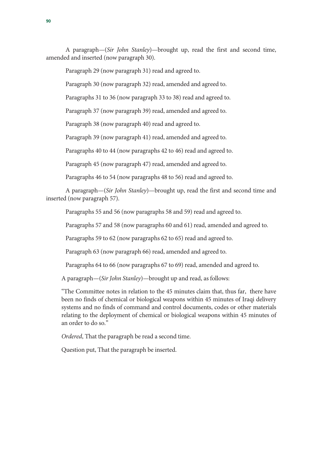A paragraph—(*Sir John Stanley*)—brought up, read the first and second time, amended and inserted (now paragraph 30).

Paragraph 29 (now paragraph 31) read and agreed to.

Paragraph 30 (now paragraph 32) read, amended and agreed to.

Paragraphs 31 to 36 (now paragraph 33 to 38) read and agreed to.

Paragraph 37 (now paragraph 39) read, amended and agreed to.

Paragraph 38 (now paragraph 40) read and agreed to.

Paragraph 39 (now paragraph 41) read, amended and agreed to.

Paragraphs 40 to 44 (now paragraphs 42 to 46) read and agreed to.

Paragraph 45 (now paragraph 47) read, amended and agreed to.

Paragraphs 46 to 54 (now paragraphs 48 to 56) read and agreed to.

A paragraph—(*Sir John Stanley*)—brought up, read the first and second time and inserted (now paragraph 57).

Paragraphs 55 and 56 (now paragraphs 58 and 59) read and agreed to.

Paragraphs 57 and 58 (now paragraphs 60 and 61) read, amended and agreed to.

Paragraphs 59 to 62 (now paragraphs 62 to 65) read and agreed to.

Paragraph 63 (now paragraph 66) read, amended and agreed to.

Paragraphs 64 to 66 (now paragraphs 67 to 69) read, amended and agreed to.

A paragraph—(*Sir John Stanley*)—brought up and read, as follows:

"The Committee notes in relation to the 45 minutes claim that, thus far, there have been no finds of chemical or biological weapons within 45 minutes of Iraqi delivery systems and no finds of command and control documents, codes or other materials relating to the deployment of chemical or biological weapons within 45 minutes of an order to do so."

*Ordered*, That the paragraph be read a second time.

Question put, That the paragraph be inserted.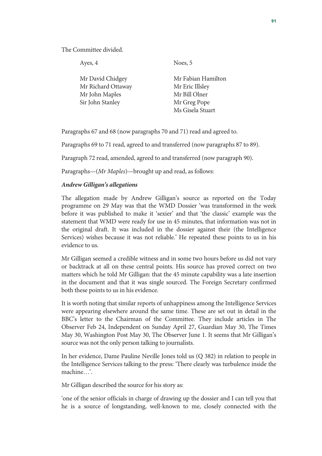| Ayes, 4            | Noes, 5            |
|--------------------|--------------------|
| Mr David Chidgey   | Mr Fabian Hamilton |
| Mr Richard Ottaway | Mr Eric Illsley    |
| Mr John Maples     | Mr Bill Olner      |
| Sir John Stanley   | Mr Greg Pope       |
|                    | Ms Gisela Stuart   |

Paragraphs 67 and 68 (now paragraphs 70 and 71) read and agreed to.

Paragraphs 69 to 71 read, agreed to and transferred (now paragraphs 87 to 89).

Paragraph 72 read, amended, agreed to and transferred (now paragraph 90).

Paragraphs—(*Mr Maples*)—brought up and read, as follows:

#### *Andrew Gilligan's allegations*

The allegation made by Andrew Gilligan's source as reported on the Today programme on 29 May was that the WMD Dossier 'was transformed in the week before it was published to make it 'sexier' and that 'the classic' example was the statement that WMD were ready for use in 45 minutes, that information was not in the original draft. It was included in the dossier against their (the Intelligence Services) wishes because it was not reliable.' He repeated these points to us in his evidence to us.

Mr Gilligan seemed a credible witness and in some two hours before us did not vary or backtrack at all on these central points. His source has proved correct on two matters which he told Mr Gilligan: that the 45 minute capability was a late insertion in the document and that it was single sourced. The Foreign Secretary confirmed both these points to us in his evidence.

It is worth noting that similar reports of unhappiness among the Intelligence Services were appearing elsewhere around the same time. These are set out in detail in the BBC's letter to the Chairman of the Committee. They include articles in The Observer Feb 24, Independent on Sunday April 27, Guardian May 30, The Times May 30, Washington Post May 30, The Observer June 1. It seems that Mr Gilligan's source was not the only person talking to journalists.

In her evidence, Dame Pauline Neville Jones told us (Q 382) in relation to people in the Intelligence Services talking to the press: 'There clearly was turbulence inside the machine…'.

Mr Gilligan described the source for his story as:

'one of the senior officials in charge of drawing up the dossier and I can tell you that he is a source of longstanding, well-known to me, closely connected with the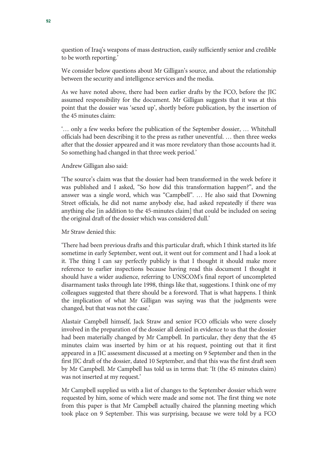question of Iraq's weapons of mass destruction, easily sufficiently senior and credible to be worth reporting.'

We consider below questions about Mr Gilligan's source, and about the relationship between the security and intelligence services and the media.

As we have noted above, there had been earlier drafts by the FCO, before the JIC assumed responsibility for the document. Mr Gilligan suggests that it was at this point that the dossier was 'sexed up', shortly before publication, by the insertion of the 45 minutes claim:

'… only a few weeks before the publication of the September dossier, … Whitehall officials had been describing it to the press as rather uneventful. … then three weeks after that the dossier appeared and it was more revelatory than those accounts had it. So something had changed in that three week period.'

#### Andrew Gilligan also said:

'The source's claim was that the dossier had been transformed in the week before it was published and I asked, "So how did this transformation happen?", and the answer was a single word, which was "Campbell". … He also said that Downing Street officials, he did not name anybody else, had asked repeatedly if there was anything else [in addition to the 45-minutes claim] that could be included on seeing the original draft of the dossier which was considered dull.'

#### Mr Straw denied this:

'There had been previous drafts and this particular draft, which I think started its life sometime in early September, went out, it went out for comment and I had a look at it. The thing I can say perfectly publicly is that I thought it should make more reference to earlier inspections because having read this document I thought it should have a wider audience, referring to UNSCOM's final report of uncompleted disarmament tasks through late 1998, things like that, suggestions. I think one of my colleagues suggested that there should be a foreword. That is what happens. I think the implication of what Mr Gilligan was saying was that the judgments were changed, but that was not the case.'

Alastair Campbell himself, Jack Straw and senior FCO officials who were closely involved in the preparation of the dossier all denied in evidence to us that the dossier had been materially changed by Mr Campbell. In particular, they deny that the 45 minutes claim was inserted by him or at his request, pointing out that it first appeared in a JIC assessment discussed at a meeting on 9 September and then in the first JIC draft of the dossier, dated 10 September, and that this was the first draft seen by Mr Campbell. Mr Campbell has told us in terms that: 'It (the 45 minutes claim) was not inserted at my request.'

Mr Campbell supplied us with a list of changes to the September dossier which were requested by him, some of which were made and some not. The first thing we note from this paper is that Mr Campbell actually chaired the planning meeting which took place on 9 September. This was surprising, because we were told by a FCO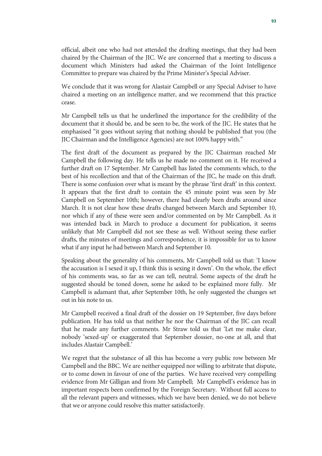official, albeit one who had not attended the drafting meetings, that they had been chaired by the Chairman of the JIC. We are concerned that a meeting to discuss a document which Ministers had asked the Chairman of the Joint Intelligence Committee to prepare was chaired by the Prime Minister's Special Adviser.

We conclude that it was wrong for Alastair Campbell or any Special Adviser to have chaired a meeting on an intelligence matter, and we recommend that this practice cease.

Mr Campbell tells us that he underlined the importance for the credibility of the document that it should be, and be seen to be, the work of the JIC. He states that he emphasised "it goes without saying that nothing should be published that you (the JIC Chairman and the Intelligence Agencies) are not 100% happy with."

The first draft of the document as prepared by the JIC Chairman reached Mr Campbell the following day. He tells us he made no comment on it. He received a further draft on 17 September. Mr Campbell has listed the comments which, to the best of his recollection and that of the Chairman of the JIC, he made on this draft. There is some confusion over what is meant by the phrase 'first draft' in this context. It appears that the first draft to contain the 45 minute point was seen by Mr Campbell on September 10th; however, there had clearly been drafts around since March. It is not clear how these drafts changed between March and September 10, nor which if any of these were seen and/or commented on by Mr Campbell. As it was intended back in March to produce a document for publication, it seems unlikely that Mr Campbell did not see these as well. Without seeing these earlier drafts, the minutes of meetings and correspondence, it is impossible for us to know what if any input he had between March and September 10.

Speaking about the generality of his comments, Mr Campbell told us that: 'I know the accusation is I sexed it up, I think this is sexing it down'. On the whole, the effect of his comments was, so far as we can tell, neutral. Some aspects of the draft he suggested should be toned down, some he asked to be explained more fully. Mr Campbell is adamant that, after September 10th, he only suggested the changes set out in his note to us.

Mr Campbell received a final draft of the dossier on 19 September, five days before publication. He has told us that neither he nor the Chairman of the JIC can recall that he made any further comments. Mr Straw told us that 'Let me make clear, nobody 'sexed-up' or exaggerated that September dossier, no-one at all, and that includes Alastair Campbell.'

We regret that the substance of all this has become a very public row between Mr Campbell and the BBC. We are neither equipped nor willing to arbitrate that dispute, or to come down in favour of one of the parties. We have received very compelling evidence from Mr Gilligan and from Mr Campbell; Mr Campbell's evidence has in important respects been confirmed by the Foreign Secretary. Without full access to all the relevant papers and witnesses, which we have been denied, we do not believe that we or anyone could resolve this matter satisfactorily.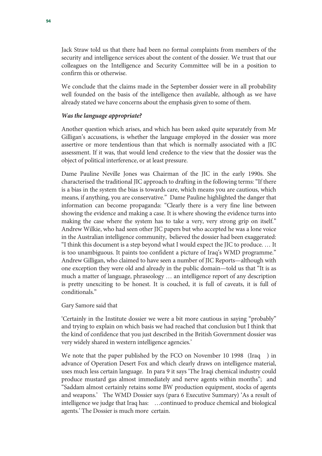Jack Straw told us that there had been no formal complaints from members of the security and intelligence services about the content of the dossier. We trust that our colleagues on the Intelligence and Security Committee will be in a position to confirm this or otherwise.

We conclude that the claims made in the September dossier were in all probability well founded on the basis of the intelligence then available, although as we have already stated we have concerns about the emphasis given to some of them.

#### *Was the language appropriate?*

Another question which arises, and which has been asked quite separately from Mr Gilligan's accusations, is whether the language employed in the dossier was more assertive or more tendentious than that which is normally associated with a JIC assessment. If it was, that would lend credence to the view that the dossier was the object of political interference, or at least pressure.

Dame Pauline Neville Jones was Chairman of the JIC in the early 1990s. She characterised the traditional JIC approach to drafting in the following terms: "If there is a bias in the system the bias is towards care, which means you are cautious, which means, if anything, you are conservative." Dame Pauline highlighted the danger that information can become propaganda: "Clearly there is a very fine line between showing the evidence and making a case. It is where showing the evidence turns into making the case where the system has to take a very, very strong grip on itself." Andrew Wilkie, who had seen other JIC papers but who accepted he was a lone voice in the Australian intelligence community, believed the dossier had been exaggerated: "I think this document is a step beyond what I would expect the JIC to produce. … It is too unambiguous. It paints too confident a picture of Iraq's WMD programme." Andrew Gilligan, who claimed to have seen a number of JIC Reports—although with one exception they were old and already in the public domain—told us that "It is as much a matter of language, phraseology … an intelligence report of any description is pretty unexciting to be honest. It is couched, it is full of caveats, it is full of conditionals."

#### Gary Samore said that

'Certainly in the Institute dossier we were a bit more cautious in saying "probably" and trying to explain on which basis we had reached that conclusion but I think that the kind of confidence that you just described in the British Government dossier was very widely shared in western intelligence agencies.'

We note that the paper published by the FCO on November 10 1998 (Iraq ) in advance of Operation Desert Fox and which clearly draws on intelligence material, uses much less certain language. In para 9 it says 'The Iraqi chemical industry could produce mustard gas almost immediately and nerve agents within months"; and "Saddam almost certainly retains some BW production equipment, stocks of agents and weapons.' The WMD Dossier says (para 6 Executive Summary) 'As a result of intelligence we judge that Iraq has: …continued to produce chemical and biological agents.' The Dossier is much more certain.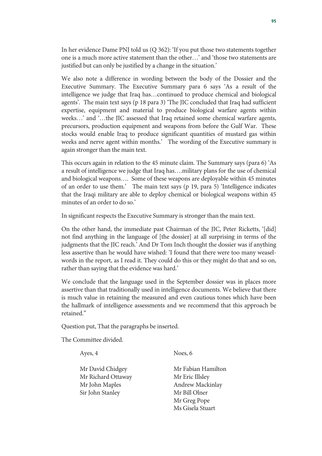In her evidence Dame PNJ told us (Q 362): 'If you put those two statements together one is a much more active statement than the other…' and 'those two statements are justified but can only be justified by a change in the situation.'

We also note a difference in wording between the body of the Dossier and the Executive Summary. The Executive Summary para 6 says 'As a result of the intelligence we judge that Iraq has…continued to produce chemical and biological agents'. The main text says (p 18 para 3) 'The JIC concluded that Iraq had sufficient expertise, equipment and material to produce biological warfare agents within weeks…' and '…the JIC assessed that Iraq retained some chemical warfare agents, precursors, production equipment and weapons from before the Gulf War. These stocks would enable Iraq to produce significant quantities of mustard gas within weeks and nerve agent within months.' The wording of the Executive summary is again stronger than the main text.

This occurs again in relation to the 45 minute claim. The Summary says (para 6) 'As a result of intelligence we judge that Iraq has….military plans for the use of chemical and biological weapons…. Some of these weapons are deployable within 45 minutes of an order to use them.' The main text says (p 19, para 5) 'Intelligence indicates that the Iraqi military are able to deploy chemical or biological weapons within 45 minutes of an order to do so.'

In significant respects the Executive Summary is stronger than the main text.

On the other hand, the immediate past Chairman of the JIC, Peter Ricketts, '[did] not find anything in the language of [the dossier] at all surprising in terms of the judgments that the JIC reach.' And Dr Tom Inch thought the dossier was if anything less assertive than he would have wished: 'I found that there were too many weaselwords in the report, as I read it. They could do this or they might do that and so on, rather than saying that the evidence was hard.'

We conclude that the language used in the September dossier was in places more assertive than that traditionally used in intelligence documents. We believe that there is much value in retaining the measured and even cautious tones which have been the hallmark of intelligence assessments and we recommend that this approach be retained."

Question put, That the paragraphs be inserted.

The Committee divided.

Ayes, 4

Noes, 6

Mr David Chidgey Mr Richard Ottaway Mr John Maples Sir John Stanley

Mr Fabian Hamilton Mr Eric Illsley Andrew Mackinlay Mr Bill Olner Mr Greg Pope Ms Gisela Stuart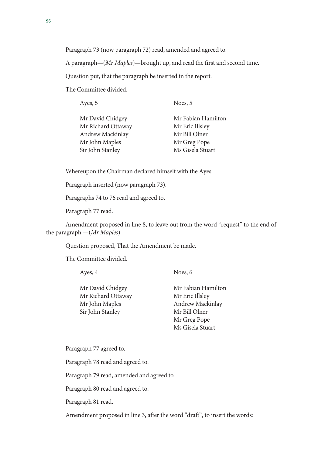Paragraph 73 (now paragraph 72) read, amended and agreed to.

A paragraph—(*Mr Maples*)—brought up, and read the first and second time.

Question put, that the paragraph be inserted in the report.

The Committee divided.

| Ayes, 5            | Noes, 5            |
|--------------------|--------------------|
| Mr David Chidgey   | Mr Fabian Hamilton |
| Mr Richard Ottaway | Mr Eric Illsley    |
| Andrew Mackinlay   | Mr Bill Olner      |
| Mr John Maples     | Mr Greg Pope       |
| Sir John Stanley   | Ms Gisela Stuart   |

Whereupon the Chairman declared himself with the Ayes.

Paragraph inserted (now paragraph 73).

Paragraphs 74 to 76 read and agreed to.

Paragraph 77 read.

Amendment proposed in line 8, to leave out from the word "request" to the end of the paragraph.—(*Mr Maples*)

Question proposed, That the Amendment be made.

The Committee divided.

Ayes, 4

Noes, 6

| Mr David Chidgey   | Mr Fabian Hamilton |
|--------------------|--------------------|
| Mr Richard Ottaway | Mr Eric Illsley    |
| Mr John Maples     | Andrew Mackinlay   |
| Sir John Stanley   | Mr Bill Olner      |
|                    | Mr Greg Pope       |
|                    | Ms Gisela Stuart   |

Paragraph 77 agreed to.

Paragraph 78 read and agreed to.

Paragraph 79 read, amended and agreed to.

Paragraph 80 read and agreed to.

Paragraph 81 read.

Amendment proposed in line 3, after the word "draft", to insert the words: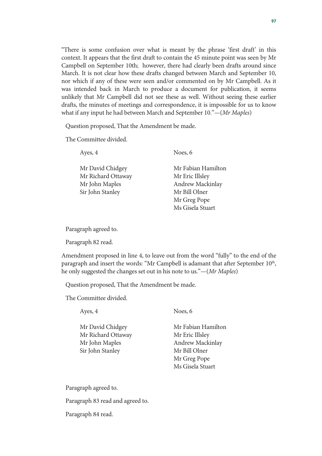"There is some confusion over what is meant by the phrase 'first draft' in this context. It appears that the first draft to contain the 45 minute point was seen by Mr Campbell on September 10th; however, there had clearly been drafts around since March. It is not clear how these drafts changed between March and September 10, nor which if any of these were seen and/or commented on by Mr Campbell. As it was intended back in March to produce a document for publication, it seems unlikely that Mr Campbell did not see these as well. Without seeing these earlier drafts, the minutes of meetings and correspondence, it is impossible for us to know what if any input he had between March and September 10."—(*Mr Maples*)

Question proposed, That the Amendment be made.

The Committee divided.

Ayes, 4

Mr David Chidgey Mr Richard Ottaway Mr John Maples Sir John Stanley

Noes, 6

Mr Fabian Hamilton Mr Eric Illsley Andrew Mackinlay Mr Bill Olner Mr Greg Pope Ms Gisela Stuart

Paragraph agreed to.

Paragraph 82 read.

Amendment proposed in line 4, to leave out from the word "fully" to the end of the paragraph and insert the words: "Mr Campbell is adamant that after September 10<sup>th</sup>, he only suggested the changes set out in his note to us."—(*Mr Maples*)

Question proposed, That the Amendment be made.

The Committee divided.

Ayes, 4

Mr David Chidgey Mr Richard Ottaway Mr John Maples Sir John Stanley

Noes, 6

Mr Fabian Hamilton Mr Eric Illsley Andrew Mackinlay Mr Bill Olner Mr Greg Pope Ms Gisela Stuart

Paragraph agreed to.

Paragraph 83 read and agreed to.

Paragraph 84 read.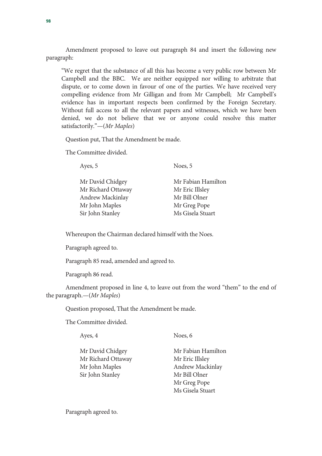Amendment proposed to leave out paragraph 84 and insert the following new paragraph:

"We regret that the substance of all this has become a very public row between Mr Campbell and the BBC. We are neither equipped nor willing to arbitrate that dispute, or to come down in favour of one of the parties. We have received very compelling evidence from Mr Gilligan and from Mr Campbell; Mr Campbell's evidence has in important respects been confirmed by the Foreign Secretary. Without full access to all the relevant papers and witnesses, which we have been denied, we do not believe that we or anyone could resolve this matter satisfactorily."—(*Mr Maples*)

Question put, That the Amendment be made.

The Committee divided.

Mr John Maples Sir John Stanley

Ayes, 5

Mr David Chidgey Mr Richard Ottaway Andrew Mackinlay

Noes, 5

Mr Fabian Hamilton Mr Eric Illsley Mr Bill Olner Mr Greg Pope Ms Gisela Stuart

Whereupon the Chairman declared himself with the Noes.

Paragraph agreed to.

Paragraph 85 read, amended and agreed to.

Paragraph 86 read.

Amendment proposed in line 4, to leave out from the word "them" to the end of the paragraph.—(*Mr Maples*)

Question proposed, That the Amendment be made.

The Committee divided.

Ayes, 4

Mr David Chidgey

Mr Richard Ottaway Mr John Maples Sir John Stanley

Noes, 6

Mr Fabian Hamilton Mr Eric Illsley Andrew Mackinlay Mr Bill Olner Mr Greg Pope Ms Gisela Stuart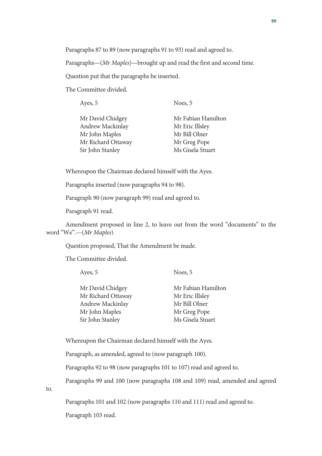Paragraphs 87 to 89 (now paragraphs 91 to 93) read and agreed to.

Paragraphs—(*Mr Maples*)—brought up and read the first and second time.

Question put that the paragraphs be inserted.

The Committee divided.

| Ayes, 5                 | Noes, 5            |
|-------------------------|--------------------|
| Mr David Chidgey        | Mr Fabian Hamilton |
| <b>Andrew Mackinlay</b> | Mr Eric Illsley    |
| Mr John Maples          | Mr Bill Olner      |
| Mr Richard Ottaway      | Mr Greg Pope       |
| Sir John Stanley        | Ms Gisela Stuart   |

Whereupon the Chairman declared himself with the Ayes.

Paragraphs inserted (now paragraphs 94 to 98).

Paragraph 90 (now paragraph 99) read and agreed to.

Paragraph 91 read.

Amendment proposed in line 2, to leave out from the word "documents" to the word "We".—(*Mr Maples*)

Question proposed, That the Amendment be made.

The Committee divided.

Ayes, 5

Noes, 5

| Mr Fabian Hamilton |
|--------------------|
| Mr Eric Illsley    |
| Mr Bill Olner      |
| Mr Greg Pope       |
| Ms Gisela Stuart   |
|                    |

Whereupon the Chairman declared himself with the Ayes.

Paragraph, as amended, agreed to (now paragraph 100).

Paragraphs 92 to 98 (now paragraphs 101 to 107) read and agreed to.

Paragraphs 99 and 100 (now paragraphs 108 and 109) read, amended and agreed

to.

Paragraphs 101 and 102 (now paragraphs 110 and 111) read and agreed to.

Paragraph 103 read.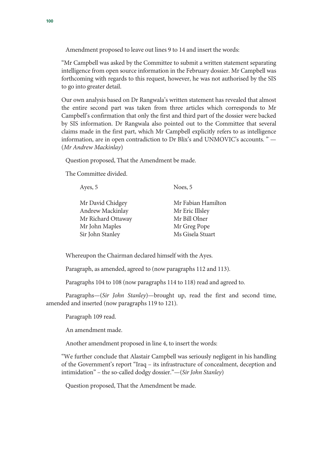Amendment proposed to leave out lines 9 to 14 and insert the words:

"Mr Campbell was asked by the Committee to submit a written statement separating intelligence from open source information in the February dossier. Mr Campbell was forthcoming with regards to this request, however, he was not authorised by the SIS to go into greater detail.

Our own analysis based on Dr Rangwala's written statement has revealed that almost the entire second part was taken from three articles which corresponds to Mr Campbell's confirmation that only the first and third part of the dossier were backed by SIS information. Dr Rangwala also pointed out to the Committee that several claims made in the first part, which Mr Campbell explicitly refers to as intelligence information, are in open contradiction to Dr Blix's and UNMOVIC's accounts. " — (*Mr Andrew Mackinlay*)

Question proposed, That the Amendment be made.

The Committee divided.

| Ayes, 5            | Noes, 5            |
|--------------------|--------------------|
| Mr David Chidgey   | Mr Fabian Hamilton |
| Andrew Mackinlay   | Mr Eric Illsley    |
| Mr Richard Ottaway | Mr Bill Olner      |
| Mr John Maples     | Mr Greg Pope       |
| Sir John Stanley   | Ms Gisela Stuart   |

Whereupon the Chairman declared himself with the Ayes.

Paragraph, as amended, agreed to (now paragraphs 112 and 113).

Paragraphs 104 to 108 (now paragraphs 114 to 118) read and agreed to.

 Paragraphs—(*Sir John Stanley*)—brought up, read the first and second time, amended and inserted (now paragraphs 119 to 121).

Paragraph 109 read.

An amendment made.

Another amendment proposed in line 4, to insert the words:

"We further conclude that Alastair Campbell was seriously negligent in his handling of the Government's report "Iraq – its infrastructure of concealment, deception and intimidation" – the so-called dodgy dossier."—(*Sir John Stanley*)

Question proposed, That the Amendment be made.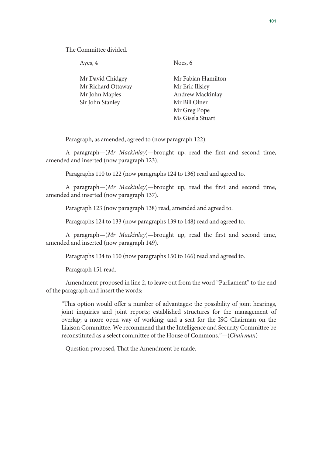Ayes, 4

Mr David Chidgey Mr Richard Ottaway Mr John Maples Sir John Stanley

Noes, 6

Mr Fabian Hamilton Mr Eric Illsley Andrew Mackinlay Mr Bill Olner Mr Greg Pope Ms Gisela Stuart

Paragraph, as amended, agreed to (now paragraph 122).

 A paragraph—(*Mr Mackinlay*)—brought up, read the first and second time, amended and inserted (now paragraph 123).

Paragraphs 110 to 122 (now paragraphs 124 to 136) read and agreed to.

 A paragraph—(*Mr Mackinlay*)—brought up, read the first and second time, amended and inserted (now paragraph 137).

Paragraph 123 (now paragraph 138) read, amended and agreed to.

Paragraphs 124 to 133 (now paragraphs 139 to 148) read and agreed to.

 A paragraph—(*Mr Mackinlay*)—brought up, read the first and second time, amended and inserted (now paragraph 149).

Paragraphs 134 to 150 (now paragraphs 150 to 166) read and agreed to.

Paragraph 151 read.

Amendment proposed in line 2, to leave out from the word "Parliament" to the end of the paragraph and insert the words:

"This option would offer a number of advantages: the possibility of joint hearings, joint inquiries and joint reports; established structures for the management of overlap; a more open way of working; and a seat for the ISC Chairman on the Liaison Committee. We recommend that the Intelligence and Security Committee be reconstituted as a select committee of the House of Commons."—(*Chairman*)

Question proposed, That the Amendment be made.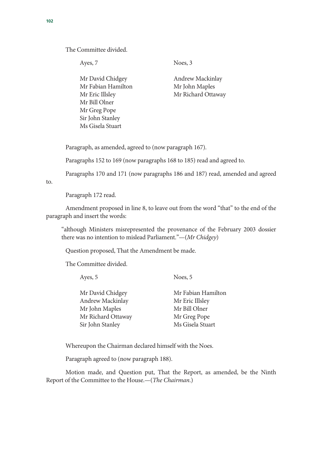Ayes, 7

Mr David Chidgey Mr Fabian Hamilton Mr Eric Illsley Mr Bill Olner Mr Greg Pope Sir John Stanley Ms Gisela Stuart

Noes, 3

Andrew Mackinlay Mr John Maples Mr Richard Ottaway

Paragraph, as amended, agreed to (now paragraph 167).

Paragraphs 152 to 169 (now paragraphs 168 to 185) read and agreed to.

Paragraphs 170 and 171 (now paragraphs 186 and 187) read, amended and agreed

to.

Paragraph 172 read.

Amendment proposed in line 8, to leave out from the word "that" to the end of the paragraph and insert the words:

"although Ministers misrepresented the provenance of the February 2003 dossier there was no intention to mislead Parliament."—(*Mr Chidgey*)

Question proposed, That the Amendment be made.

The Committee divided.

Ayes, 5

Noes, 5

| Mr David Chidgey   | Mr Fabian Hamilton |
|--------------------|--------------------|
| Andrew Mackinlay   | Mr Eric Illsley    |
| Mr John Maples     | Mr Bill Olner      |
| Mr Richard Ottaway | Mr Greg Pope       |
| Sir John Stanley   | Ms Gisela Stuart   |
|                    |                    |

Whereupon the Chairman declared himself with the Noes.

Paragraph agreed to (now paragraph 188).

Motion made, and Question put, That the Report, as amended, be the Ninth Report of the Committee to the House.—(*The Chairman*.)